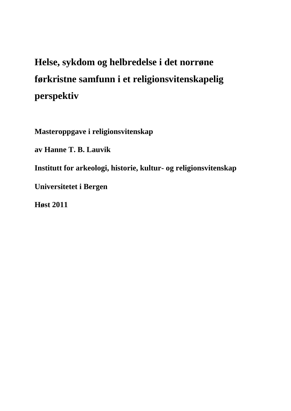# **Helse, sykdom og helbredelse i det norrøne førkristne samfunn i et religionsvitenskapelig perspektiv**

**Masteroppgave i religionsvitenskap**

**av Hanne T. B. Lauvik**

**Institutt for arkeologi, historie, kultur- og religionsvitenskap**

**Universitetet i Bergen**

**Høst 2011**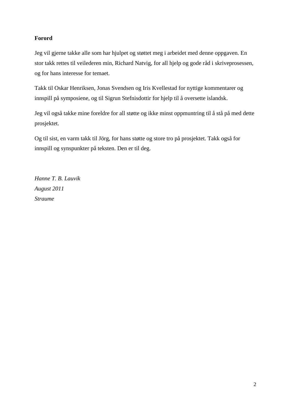# **Forord**

Jeg vil gjerne takke alle som har hjulpet og støttet meg i arbeidet med denne oppgaven. En stor takk rettes til veilederen min, Richard Natvig, for all hjelp og gode råd i skriveprosessen, og for hans interesse for temaet.

Takk til Oskar Henriksen, Jonas Svendsen og Iris Kvellestad for nyttige kommentarer og innspill på symposiene, og til Sigrun Stefnisdottir for hjelp til å oversette islandsk.

Jeg vil også takke mine foreldre for all støtte og ikke minst oppmuntring til å stå på med dette prosjektet.

Og til sist, en varm takk til Jörg, for hans støtte og store tro på prosjektet. Takk også for innspill og synspunkter på teksten. Den er til deg.

*Hanne T. B. Lauvik August 2011 Straume*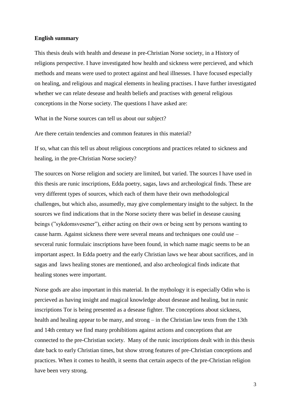#### **English summary**

This thesis deals with health and desease in pre-Christian Norse society, in a History of religions perspective. I have investigated how health and sickness were percieved, and which methods and means were used to protect against and heal illnesses. I have focused especially on healing, and religious and magical elements in healing practises. I have further investigated whether we can relate desease and health beliefs and practises with general religious conceptions in the Norse society. The questions I have asked are:

What in the Norse sources can tell us about our subject?

Are there certain tendencies and common features in this material?

If so, what can this tell us about religious conceptions and practices related to sickness and healing, in the pre-Christian Norse society?

The sources on Norse religion and society are limited, but varied. The sources I have used in this thesis are runic inscriptions, Edda poetry, sagas, laws and archeological finds. These are very different types of sources, which each of them have their own methodological challenges, but which also, assumedly, may give complementary insight to the subject. In the sources we find indications that in the Norse society there was belief in desease causing beings ("sykdomsvesener"), either acting on their own or being sent by persons wanting to cause harm. Against sickness there were several means and techniques one could use – sevceral runic formulaic inscriptions have been found, in which name magic seems to be an important aspect. In Edda poetry and the early Christian laws we hear about sacrifices, and in sagas and laws healing stones are mentioned, and also archeological finds indicate that healing stones were important.

Norse gods are also important in this material. In the mythology it is especially Odin who is percieved as having insight and magical knowledge about desease and healing, but in runic inscriptions Tor is being presented as a desease fighter. The conceptions about sickness, health and healing appear to be many, and strong – in the Christian law texts from the 13th and 14th century we find many prohibitions against actions and conceptions that are connected to the pre-Christian society. Many of the runic inscriptions dealt with in this thesis date back to early Christian times, but show strong features of pre-Christian conceptions and practices. When it comes to health, it seems that certain aspects of the pre-Christian religion have been very strong.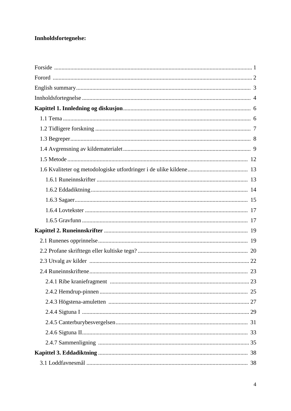# Innholdsfortegnelse:

| 23 |
|----|
|    |
|    |
|    |
|    |
|    |
|    |
|    |
|    |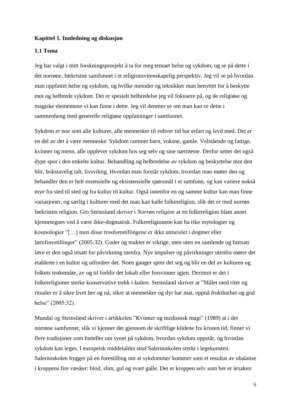#### **Kapittel 1. Innledning og diskusjon**

# **1.1 Tema**

Jeg har valgt i mitt forskningsprosjekt å ta for meg temaet helse og sykdom, og se på dette i det norrøne, førkristne samfunnet i et religionsvitenskapelig perspektiv. Jeg vil se på hvordan man oppfattet helse og sykdom, og hvilke metoder og teknikker man benyttet for å beskytte mot og helbrede sykdom. Det er spesielt helbredelse jeg vil fokusere på, og de religiøse og magiske elementene vi kan finne i dette. Jeg vil deretter se om man kan se dette i sammenheng med generelle religiøse oppfatninger i samfunnet.

Sykdom er noe som alle kulturer, alle mennesker til enhver tid har erfart og levd med. Det er en del av det å være menneske. Sykdom rammer barn, voksne, gamle. Velstående og fattige, kvinner og menn, alle opplever sykdom hos seg selv og sine nærmeste. Derfor setter det også dype spor i den enkelte kultur. Behandling og helbredelse av sykdom og beskyttelse mot den blir, bokstavelig talt, livsviktig. Hvordan man forstår sykdom, hvordan man møter den og behandler den er helt essensielle og eksistensielle spørsmål i et samfunn, og kan variere nokså mye fra sted til sted og fra kultur til kultur. Også innenfor en og samme kultur kan man finne variasjoner, og særlig i kulturer med det man kan kalle folkereligion, slik det er med norrøn førkristen religion. Gro Steinsland skriver i *Norrøn religion* at en folkereligion blant annet kjennetegnes ved å være ikke-dogmatisk. Folkereligionene kan ha rike mytologier og kosmologier "[…] men disse trosforestillingene er ikke utmeislet i dogmer eller læreforestillinger" (2005:32). Guder og makter er viktige, men uten en samlende og fastsatt lære er den også utsatt for påvirkning utenfra. Nye impulser og påvirkninger utenfra møter det etablerte i en kultur og utfordrer det. Noen ganger sprer det seg og blir en del av kulturen og folkets tenkemåte, av og til forblir det lokalt eller forsvinner igjen. Derimot er det i folkereligioner sterke konservative trekk i *kulten*. Steinsland skriver at "Målet med riter og ritualer er å sikre livet her og nå, sikre at mennesker og dyr har mat, oppnå fruktbarhet og god helse" (2005:32).

Mundal og Steinsland skriver i artikkelen "Kvinner og medisinsk magi" (1989) at i det norrøne samfunnet, slik vi kjenner det gjennom de skriftlige kildene fra kristen tid, finner vi flere tradisjoner som forteller om synet på sykdom, hvordan sykdom oppstår, og hvordan sykdom kan leges. I europeisk middelalder stod Salernoskolen sterkt i legekunsten. Salernoskolen bygger på en forestilling om at sykdommer kommer som et resultat av ubalanse i kroppens fire væsker: blod, slim, gul og svart galle. Det er kroppen selv som her er årsaken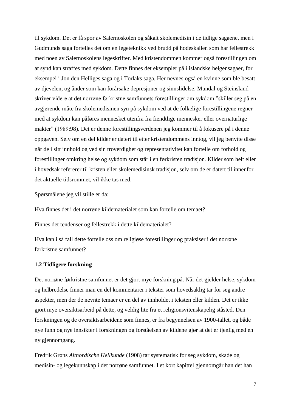til sykdom. Det er få spor av Salernoskolen og såkalt skolemedisin i de tidlige sagaene, men i Gudmunds saga fortelles det om en legeteknikk ved brudd på hodeskallen som har fellestrekk med noen av Salernoskolens legeskrifter. Med kristendommen kommer også forestillingen om at synd kan straffes med sykdom. Dette finnes det eksempler på i islandske helgensagaer, for eksempel i Jon den Helliges saga og i Torlaks saga. Her nevnes også en kvinne som ble besatt av djevelen, og ånder som kan forårsake depresjoner og sinnslidelse. Mundal og Steinsland skriver videre at det norrøne førkristne samfunnets forestillinger om sykdom "skiller seg på en avgjørende måte fra skolemedisinen syn på sykdom ved at de folkelige forestillingene regner med at sykdom kan påføres mennesket utenfra fra fiendtlige mennesker eller overnaturlige makter" (1989:98). Det er denne forestillingsverdenen jeg kommer til å fokusere på i denne oppgaven. Selv om en del kilder er datert til etter kristendommens inntog, vil jeg benytte disse når de i sitt innhold og ved sin troverdighet og representativitet kan fortelle om forhold og forestillinger omkring helse og sykdom som står i en førkristen tradisjon. Kilder som helt eller i hovedsak refererer til kristen eller skolemedisinsk tradisjon, selv om de er datert til innenfor det aktuelle tidsrommet, vil ikke tas med.

Spørsmålene jeg vil stille er da:

Hva finnes det i det norrøne kildematerialet som kan fortelle om temaet?

Finnes det tendenser og fellestrekk i dette kildematerialet?

Hva kan i så fall dette fortelle oss om religiøse forestillinger og praksiser i det norrøne førkristne samfunnet?

#### **1.2 Tidligere forskning**

Det norrøne førkristne samfunnet er det gjort mye forskning på. Når det gjelder helse, sykdom og helbredelse finner man en del kommentarer i tekster som hovedsaklig tar for seg andre aspekter, men der de nevnte temaer er en del av innholdet i teksten eller kilden. Det er ikke gjort mye oversiktsarbeid på dette, og veldig lite fra et religionsvitenskapelig ståsted. Den forskningen og de oversiktsarbeidene som finnes, er fra begynnelsen av 1900-tallet, og både nye funn og nye innsikter i forskningen og forståelsen av kildene gjør at det er tjenlig med en ny gjennomgang.

Fredrik Grøns *Altnordische Heilkunde* (1908) tar systematisk for seg sykdom, skade og medisin- og legekunnskap i det norrøne samfunnet. I et kort kapittel gjennomgår han det han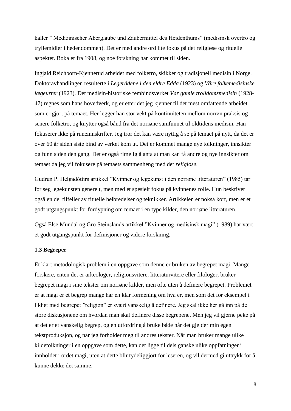kaller " Medizinischer Aberglaube und Zaubermittel des Heidenthums" (medisinsk overtro og tryllemidler i hedendommen). Det er med andre ord lite fokus på det religiøse og rituelle aspektet. Boka er fra 1908, og noe forskning har kommet til siden.

Ingjald Reichborn-Kjennerud arbeidet med folketro, skikker og tradisjonell medisin i Norge. Doktoravhandlingen resulterte i *Legerådene i den eldre Edda* (1923) og *Våre folkemedisinske lægeurter* (1923). Det medisin-historiske fembindsverket *Vår gamle trolldomsmedisin* (1928- 47) regnes som hans hovedverk, og er etter det jeg kjenner til det mest omfattende arbeidet som er gjort på temaet. Her legger han stor vekt på kontinuiteten mellom norrøn praksis og senere folketro, og knytter også bånd fra det norrøne samfunnet til oldtidens medisin. Han fokuserer ikke på runeinnskrifter. Jeg tror det kan være nyttig å se på temaet på nytt, da det er over 60 år siden siste bind av verket kom ut. Det er kommet mange nye tolkninger, innsikter og funn siden den gang. Det er også rimelig å anta at man kan få andre og nye innsikter om temaet da jeg vil fokusere på temaets sammenheng med det *religiøse*.

Gudrún P. Helgadóttirs artikkel "Kvinner og legekunst i den norrøne litteraturen" (1985) tar for seg legekunsten generelt, men med et spesielt fokus på kvinnenes rolle. Hun beskriver også en del tilfeller av rituelle helbredelser og teknikker. Artikkelen er nokså kort, men er et godt utgangspunkt for fordypning om temaet i en type kilder, den norrøne litteraturen.

Også Else Mundal og Gro Steinslands artikkel "Kvinner og medisinsk magi" (1989) har vært et godt utgangspunkt for definisjoner og videre forskning.

#### **1.3 Begreper**

Et klart metodologisk problem i en oppgave som denne er bruken av begrepet magi. Mange forskere, enten det er arkeologer, religionsvitere, litteraturvitere eller filologer, bruker begrepet magi i sine tekster om norrøne kilder, men ofte uten å definere begrepet. Problemet er at magi er et begrep mange har en klar formening om hva er, men som det for eksempel i likhet med begrepet "religion" er svært vanskelig å definere. Jeg skal ikke her gå inn på de store diskusjonene om hvordan man skal definere disse begrepene. Men jeg vil gjerne peke på at det er et vanskelig begrep, og en utfordring å bruke både når det gjelder min egen tekstproduksjon, og når jeg forholder meg til andres tekster. Når man bruker mange ulike kildetolkninger i en oppgave som dette, kan det ligge til dels ganske ulike oppfatninger i innholdet i ordet magi, uten at dette blir tydeliggjort for leseren, og vil dermed gi uttrykk for å kunne dekke det samme.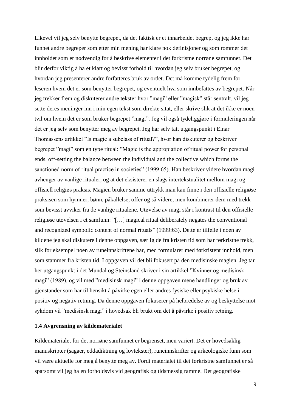Likevel vil jeg selv benytte begrepet, da det faktisk er et innarbeidet begrep, og jeg ikke har funnet andre begreper som etter min mening har klare nok definisjoner og som rommer det innholdet som er nødvendig for å beskrive elementer i det førkristne norrøne samfunnet. Det blir derfor viktig å ha et klart og bevisst forhold til hvordan jeg selv bruker begrepet, og hvordan jeg presenterer andre forfatteres bruk av ordet. Det må komme tydelig frem for leseren hvem det er som benytter begrepet, og eventuelt hva som innbefattes av begrepet. Når jeg trekker frem og diskuterer andre tekster hvor "magi" eller "magisk" står sentralt, vil jeg sette deres meninger inn i min egen tekst som direkte sitat, eller skrive slik at det ikke er noen tvil om hvem det er som bruker begrepet "magi". Jeg vil også tydeliggjøre i formuleringen når det er jeg selv som benytter meg av begrepet. Jeg har selv tatt utgangspunkt i Einar Thomassens artikkel "Is magic a subclass of ritual?", hvor han diskuterer og beskriver begrepet "magi" som en type ritual: "Magic is the appropiation of ritual power for personal ends, off-setting the balance between the individual and the collective which forms the sanctioned norm of ritual practice in societies" (1999:65). Han beskriver videre hvordan magi avhenger av vanlige ritualer, og at det eksisterer en slags intertekstualitet mellom magi og offisiell religiøs praksis. Magien bruker samme uttrykk man kan finne i den offisielle religiøse praksisen som hymner, bønn, påkallelse, offer og så videre, men kombinerer dem med trekk som bevisst avviker fra de vanlige ritualene. Utøvelse av magi står i kontrast til den offisielle religiøse utøvelsen i et samfunn: "[…] magical ritual deliberately negates the conventional and recognized symbolic content of normal rituals" (1999:63). Dette er tilfelle i noen av kildene jeg skal diskutere i denne oppgaven, særlig de fra kristen tid som har førkristne trekk, slik for eksempel noen av runeinnskriftene har, med formularer med førkristent innhold, men som stammer fra kristen tid. I oppgaven vil det bli fokusert på den medisinske magien. Jeg tar her utgangspunkt i det Mundal og Steinsland skriver i sin artikkel "Kvinner og medisinsk magi" (1989), og vil med "medisinsk magi" i denne oppgaven mene handlinger og bruk av gjenstander som har til hensikt å påvirke egen eller andres fysiske eller psykiske helse i positiv og negativ retning. Da denne oppgaven fokuserer på helbredelse av og beskyttelse mot sykdom vil "medisinsk magi" i hovedsak bli brukt om det å påvirke i positiv retning.

## **1.4 Avgrensning av kildematerialet**

Kildematerialet for det norrøne samfunnet er begrenset, men variert. Det er hovedsaklig manuskripter (sagaer, eddadiktning og lovtekster), runeinnskrifter og arkeologiske funn som vil være aktuelle for meg å benytte meg av. Fordi materialet til det førkristne samfunnet er så sparsomt vil jeg ha en forholdsvis vid geografisk og tidsmessig ramme. Det geografiske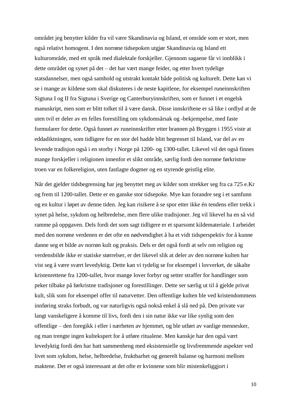området jeg benytter kilder fra vil være Skandinavia og Island, et område som er stort, men også relativt homogent. I den norrøne tidsepoken utgjør Skandinavia og Island ett kulturområde, med ett språk med dialektale forskjeller. Gjennom sagaene får vi innblikk i dette området og synet på det – det har vært mange feider, og etter hvert tydelige statsdannelser, men også samhold og utstrakt kontakt både politisk og kulturelt. Dette kan vi se i mange av kildene som skal diskuteres i de neste kapitlene, for eksempel runeinnskriften Sigtuna I og II fra Sigtuna i Sverige og Canterburyinnskriften, som er funnet i et engelsk manuskript, men som er blitt tolket til å være dansk. Disse innskriftene er så like i ordlyd at de uten tvil er deler av en felles forestilling om sykdomsårsak og -bekjempelse, med faste formularer for dette. Også funnet av runeinnskrifter etter brannen på Bryggen i 1955 viste at eddadiktningen, som tidligere for en stor del hadde blitt begrenset til Island, var del av en levende tradisjon også i en storby i Norge på 1200- og 1300-tallet. Likevel vil det også finnes mange forskjeller i religionen innenfor et slikt område, særlig fordi den norrøne førkristne troen var en folkereligion, uten fastlagte dogmer og en styrende geistlig elite.

Når det gjelder tidsbegrensing har jeg benyttet meg av kilder som strekker seg fra ca 725 e.Kr og frem til 1200-tallet. Dette er en ganske stor tidsepoke. Mye kan forandre seg i et samfunn og en kultur i løpet av denne tiden. Jeg kan risikere å se spor etter ikke én tendens eller trekk i synet på helse, sykdom og helbredelse, men flere ulike tradisjoner. Jeg vil likevel ha en så vid ramme på oppgaven. Dels fordi det som sagt tidligere er et sparsomt kildemateriale. I arbeidet med den norrøne verdenen er det ofte en nødvendighet å ha et vidt tidsperspektiv for å kunne danne seg et bilde av norrøn kult og praksis. Dels er det også fordi at selv om religion og verdensbilde ikke er statiske størrelser, er det likevel slik at deler av den norrøne kulten har vist seg å være svært levedyktig. Dette kan vi tydelig se for eksempel i lovverket, de såkalte kristenrettene fra 1200-tallet, hvor mange lover forbyr og setter straffer for handlinger som peker tilbake på førkristne tradisjoner og forestillinger. Dette ser særlig ut til å gjelde privat kult, slik som for eksempel offer til naturvetter. Den offentlige kulten ble ved kristendommens innføring straks forbudt, og var naturligvis også nokså enkel å slå ned på. Den private var langt vanskeligere å komme til livs, fordi den i sin natur ikke var like synlig som den offentlige – den foregikk i eller i nærheten av hjemmet, og ble utført av vanlige mennesker, og man trengte ingen kultekspert for å utføre ritualene. Men kanskje har den også vært levedyktig fordi den har hatt sammenheng med eksistensielle og livsfremmende aspekter ved livet som sykdom, helse, helbredelse, fruktbarhet og generelt balanse og harmoni mellom maktene. Det er også interessant at det ofte er kvinnene som blir mistenkeliggjort i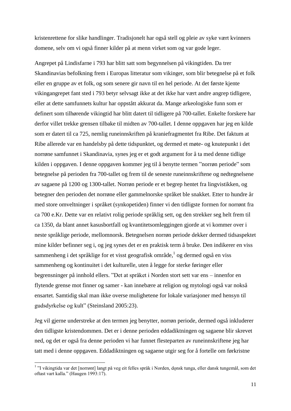kristenrettene for slike handlinger. Tradisjonelt har også stell og pleie av syke vært kvinners domene, selv om vi også finner kilder på at menn virket som og var gode leger.

Angrepet på Lindisfarne i 793 har blitt satt som begynnelsen på vikingtiden. Da trer Skandinavias befolkning frem i Europas litteratur som vikinger, som blir betegnelse på et folk eller en gruppe av et folk, og som senere gir navn til en hel periode. At det første kjente vikingangrepet fant sted i 793 betyr selvsagt ikke at det ikke har vært andre angrep tidligere, eller at dette samfunnets kultur har oppstått akkurat da. Mange arkeologiske funn som er definert som tilhørende vikingtid har blitt datert til tidligere på 700-tallet. Enkelte forskere har derfor villet trekke grensen tilbake til midten av 700-tallet. I denne oppgaven har jeg en kilde som er datert til ca 725, nemlig runeinnskriften på kraniefragmentet fra Ribe. Det faktum at Ribe allerede var en handelsby på dette tidspunktet, og dermed et møte- og knutepunkt i det norrøne samfunnet i Skandinavia, synes jeg er et godt argument for å ta med denne tidlige kilden i oppgaven. I denne oppgaven kommer jeg til å benytte termen "norrøn periode" som betegnelse på perioden fra 700-tallet og frem til de seneste runeinnskriftene og nedtegnelsene av sagaene på 1200 og 1300-tallet. Norrøn periode er et begrep hentet fra lingvistikken, og betegner den perioden det norrøne eller gammelnorske språket ble snakket. Etter to hundre år med store omveltninger i språket (synkopetiden) finner vi den tidligste formen for norrønt fra ca 700 e.Kr. Dette var en relativt rolig periode språklig sett, og den strekker seg helt frem til ca 1350, da blant annet kasusbortfall og kvantitetsomleggingen gjorde at vi kommer over i neste språklige periode, mellomnorsk. Betegnelsen norrøn periode dekker dermed tidsaspektet mine kilder befinner seg i, og jeg synes det er en praktisk term å bruke. Den indikerer en viss sammenheng i det språklige for et visst geografisk område,<sup>1</sup> og dermed også en viss sammenheng og kontinuitet i det kulturelle, uten å legge for sterke føringer eller begrensninger på innhold ellers. "Det at språket i Norden stort sett var ens – innenfor en flytende grense mot finner og samer - kan innebære at religion og mytologi også var nokså ensartet. Samtidig skal man ikke overse mulighetene for lokale variasjoner med hensyn til gudsdyrkelse og kult" (Steinsland 2005:23).

Jeg vil gjerne understreke at den termen jeg benytter, norrøn periode, dermed også inkluderer den tidligste kristendommen. Det er i denne perioden eddadiktningen og sagaene blir skrevet ned, og det er også fra denne perioden vi har funnet flesteparten av runeinnskriftene jeg har tatt med i denne oppgaven. Eddadiktningen og sagaene utgir seg for å fortelle om førkristne

<sup>&</sup>lt;sup>1</sup> "I vikingtida var det [norrønt] langt på veg eit felles språk i Norden, dǫnsk tunga, eller dansk tungemål, som det oftast vart kalla." (Haugen 1993:17).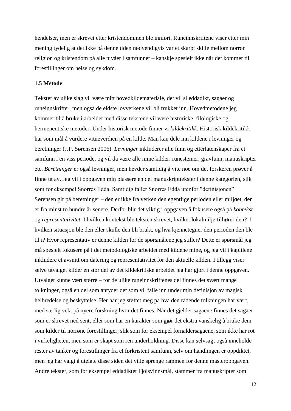hendelser, men er skrevet etter kristendommen ble innført. Runeinnskriftene viser etter min mening tydelig at det ikke på denne tiden nødvendigvis var et skarpt skille mellom norrøn religion og kristendom på alle nivåer i samfunnet – kanskje spesielt ikke når det kommer til forestillinger om helse og sykdom.

#### **1.5 Metode**

Tekster av ulike slag vil være mitt hovedkildemateriale, det vil si eddadikt, sagaer og runeinnskrifter, men også de eldste lovverkene vil bli trukket inn. Hovedmetodene jeg kommer til å bruke i arbeidet med disse tekstene vil være historiske, filologiske og hermeneutiske metoder. Under historisk metode finner vi *kildekritikk*. Historisk kildekritikk har som mål å vurdere vitneverdien på en kilde. Man kan dele inn kildene i levninger og beretninger (J.P. Sørensen 2006). *Levninger* inkluderer alle funn og etterlatenskaper fra et samfunn i en viss periode, og vil da være alle mine kilder: runesteiner, gravfunn, manuskripter etc. *Beretninger* er også levninger, men hevder samtidig å vite noe om det forskeren prøver å finne ut av. Jeg vil i oppgaven min plassere en del manuskripttekster i denne kategorien, slik som for eksempel Snorres Edda. Samtidig faller Snorres Edda utenfor "definisjonen" Sørensen gir på beretninger – den er ikke fra verken den egentlige perioden eller miljøet, den er fra minst to hundre år senere. Derfor blir det viktig i oppgaven å fokusere også på *kontekst* og *representativitet*. I hvilken kontekst ble teksten skrevet, hvilket lokalmiljø tilhører den? I hvilken situasjon ble den eller skulle den bli brukt, og hva kjennetegner den perioden den ble til i? Hvor representativ er denne kilden for de spørsmålene jeg stiller? Dette er spørsmål jeg må spesielt fokusere på i det metodologiske arbeidet med kildene mine, og jeg vil i kapitlene inkludere et avsnitt om datering og representativitet for den aktuelle kilden. I tillegg viser selve utvalget kilder en stor del av det kildekritiske arbeidet jeg har gjort i denne oppgaven. Utvalget kunne vært større – for de ulike runeinnskriftenes del finnes det svært mange tolkninger, også en del som antyder det som vil falle inn under min definisjon av magisk helbredelse og beskyttelse. Her har jeg støttet meg på hva den rådende tolkningen har vært, med særlig vekt på nyere forskning hvor det finnes. Når det gjelder sagaene finnes det sagaer som er skrevet ned sent, eller som har en karakter som gjør det ekstra vanskelig å bruke dem som kilder til norrøne forestillinger, slik som for eksempel fornaldersagaene, som ikke har rot i virkeligheten, men som er skapt som ren underholdning. Disse kan selvsagt også inneholde rester av tanker og forestillinger fra et førkristent samfunn, selv om handlingen er oppdiktet, men jeg har valgt å utelate disse siden det ville sprenge rammen for denne masteroppgaven. Andre tekster, som for eksempel eddadiktet Fjolsvinnsmål, stammer fra manuskripter som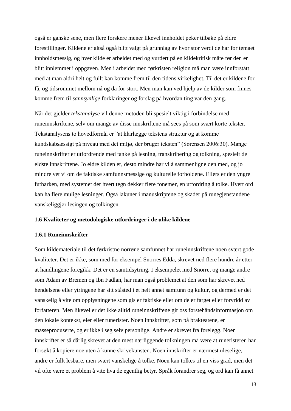også er ganske sene, men flere forskere mener likevel innholdet peker tilbake på eldre forestillinger. Kildene er altså også blitt valgt på grunnlag av hvor stor verdi de har for temaet innholdsmessig, og hver kilde er arbeidet med og vurdert på en kildekritisk måte før den er blitt innlemmet i oppgaven. Men i arbeidet med førkristen religion må man være innforstått med at man aldri helt og fullt kan komme frem til den tidens virkelighet. Til det er kildene for få, og tidsrommet mellom nå og da for stort. Men man kan ved hjelp av de kilder som finnes komme frem til *sannsynlige* forklaringer og forslag på hvordan ting var den gang.

Når det gjelder *tekstanalyse* vil denne metoden bli spesielt viktig i forbindelse med runeinnskriftene, selv om mange av disse innskriftene må sees på som svært korte tekster. Tekstanalysens to hovedformål er "at klarlægge tekstens struktur og at komme kundskabsæssigt på niveau med det miljø, der bruger teksten" (Sørensen 2006:30). Mange runeinnskrifter er utfordrende med tanke på lesning, transkribering og tolkning, spesielt de eldste innskriftene. Jo eldre kilden er, desto mindre har vi å sammenligne den med, og jo mindre vet vi om de faktiske samfunnsmessige og kulturelle forholdene. Ellers er den yngre futharken, med systemet der hvert tegn dekker flere fonemer, en utfordring å tolke. Hvert ord kan ha flere mulige lesninger. Også lakuner i manuskriptene og skader på runegjenstandene vanskeliggjør lesingen og tolkingen.

#### **1.6 Kvaliteter og metodologiske utfordringer i de ulike kildene**

### **1.6.1 Runeinnskrifter**

Som kildemateriale til det førkristne norrøne samfunnet har runeinnskriftene noen svært gode kvaliteter. Det er ikke, som med for eksempel Snorres Edda, skrevet ned flere hundre år etter at handlingene foregikk. Det er en samtidsytring. I eksempelet med Snorre, og mange andre som Adam av Bremen og Ibn Fadlan, har man også problemet at den som har skrevet ned hendelsene eller ytringene har sitt ståsted i et helt annet samfunn og kultur, og dermed er det vanskelig å vite om opplysningene som gis er faktiske eller om de er farget eller forvridd av forfatteren. Men likevel er det ikke alltid runeinnskriftene gir oss førstehåndsinformasjon om den lokale kontekst, eier eller runerister. Noen innskrifter, som på brakteatene, er masseproduserte, og er ikke i seg selv personlige. Andre er skrevet fra forelegg. Noen innskrifter er så dårlig skrevet at den mest nærliggende tolkningen må være at runeristeren har forsøkt å kopiere noe uten å kunne skrivekunsten. Noen innskrifter er nærmest uleselige, andre er fullt lesbare, men svært vanskelige å tolke. Noen kan tolkes til en viss grad, men det vil ofte være et problem å vite hva de egentlig betyr. Språk forandrer seg, og ord kan få annet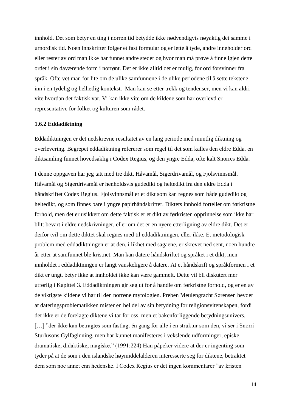innhold. Det som betyr en ting i norrøn tid betydde ikke nødvendigvis nøyaktig det samme i urnordisk tid. Noen innskrifter følger et fast formular og er lette å tyde, andre inneholder ord eller rester av ord man ikke har funnet andre steder og hvor man må prøve å finne igjen dette ordet i sin daværende form i norrønt. Det er ikke alltid det er mulig, for ord forsvinner fra språk. Ofte vet man for lite om de ulike samfunnene i de ulike periodene til å sette tekstene inn i en tydelig og helhetlig kontekst. Man kan se etter trekk og tendenser, men vi kan aldri vite hvordan det faktisk var. Vi kan ikke vite om de kildene som har overlevd er representative for folket og kulturen som rådet.

#### **1.6.2 Eddadiktning**

Eddadiktningen er det nedskrevne resultatet av en lang periode med muntlig diktning og overlevering. Begrepet eddadiktning refererer som regel til det som kalles den eldre Edda, en diktsamling funnet hovedsaklig i Codex Regius, og den yngre Edda, ofte kalt Snorres Edda.

I denne oppgaven har jeg tatt med tre dikt, Håvamål, Sigerdrivamål, og Fjolsvinnsmål. Håvamål og Sigerdrivamål er henholdsvis gudedikt og heltedikt fra den eldre Edda i håndskriftet Codex Regius. Fjolsvinnsmål er et dikt som kan regnes som både gudedikt og heltedikt, og som finnes bare i yngre papirhåndskrifter. Diktets innhold forteller om førkristne forhold, men det er usikkert om dette faktisk er et dikt av førkristen opprinnelse som ikke har blitt bevart i eldre nedskrivninger, eller om det er en nyere etterligning av eldre dikt. Det er derfor tvil om dette diktet skal regnes med til eddadiktningen, eller ikke. Et metodologisk problem med eddadiktningen er at den, i likhet med sagaene, er skrevet ned sent, noen hundre år etter at samfunnet ble kristnet. Man kan datere håndskriftet og språket i et dikt, men innholdet i eddadiktningen er langt vanskeligere å datere. At et håndskrift og språkformen i et dikt er ungt, betyr ikke at innholdet ikke kan være gammelt. Dette vil bli diskutert mer utførlig i Kapittel 3. Eddadiktningen gir seg ut for å handle om førkristne forhold, og er en av de viktigste kildene vi har til den norrøne mytologien. Preben Meulengracht Sørensen hevder at dateringsproblematikken mister en hel del av sin betydning for religionsvitenskapen, fordi det ikke er de forelagte diktene vi tar for oss, men et bakenforliggende betydningsunivers, [...] "der ikke kan betragtes som fastlagt én gang for alle i en struktur som den, vi ser i Snorri Sturlusons Gylfaginning, men har kunnet manifesteres i vekslende udforminger, episke, dramatiske, didaktiske, magiske." (1991:224) Han påpeker videre at der er ingenting som tyder på at de som i den islandske høymiddelalderen interesserte seg for diktene, betraktet dem som noe annet enn hedenske. I Codex Regius er det ingen kommentarer "av kristen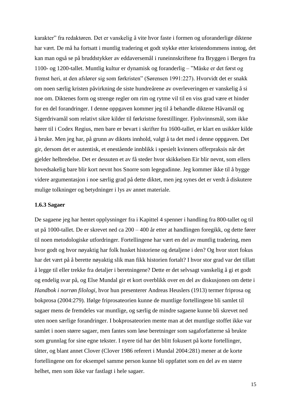karakter" fra redaktøren. Det er vanskelig å vite hvor faste i formen og uforanderlige diktene har vært. De må ha fortsatt i muntlig tradering et godt stykke etter kristendommens inntog, det kan man også se på bruddstykker av eddaversemål i runeinnskriftene fra Bryggen i Bergen fra 1100- og 1200-tallet. Muntlig kultur er dynamisk og foranderlig – "Måske er det først og fremst heri, at den afslører sig som førkristen" (Sørensen 1991:227). Hvorvidt det er snakk om noen særlig kristen påvirkning de siste hundreårene av overleveringen er vanskelig å si noe om. Diktenes form og strenge regler om rim og rytme vil til en viss grad være et hinder for en del forandringer. I denne oppgaven kommer jeg til å behandle diktene Håvamål og Sigerdrivamål som relativt sikre kilder til førkristne forestillinger. Fjolsvinnsmål, som ikke hører til i Codex Regius, men bare er bevart i skrifter fra 1600-tallet, er klart en usikker kilde å bruke. Men jeg har, på grunn av diktets innhold, valgt å ta det med i denne oppgaven. Det gir, dersom det er autentisk, et enestående innblikk i spesielt kvinners offerpraksis når det gjelder helbredelse. Det er dessuten et av få steder hvor skikkelsen Eir blir nevnt, som ellers hovedsakelig bare blir kort nevnt hos Snorre som legegudinne. Jeg kommer ikke til å bygge videre argumentasjon i noe særlig grad på dette diktet, men jeg synes det er verdt å diskutere mulige tolkninger og betydninger i lys av annet materiale.

#### **1.6.3 Sagaer**

De sagaene jeg har hentet opplysninger fra i Kapittel 4 spenner i handling fra 800-tallet og til ut på 1000-tallet. De er skrevet ned ca 200 – 400 år etter at handlingen foregikk, og dette fører til noen metodologiske utfordringer. Fortellingene har vært en del av muntlig tradering, men hvor godt og hvor nøyaktig har folk husket historiene og detaljene i den? Og hvor stort fokus har det vært på å berette nøyaktig slik man fikk historien fortalt? I hvor stor grad var det tillatt å legge til eller trekke fra detaljer i beretningene? Dette er det selvsagt vanskelig å gi et godt og endelig svar på, og Else Mundal gir et kort overblikk over en del av diskusjonen om dette i *Handbok i norrøn filologi,* hvor hun presenterer Andreas Heuslers (1913) termer friprosa og bokprosa (2004:279). Ifølge friprosateorien kunne de muntlige fortellingene bli samlet til sagaer mens de fremdeles var muntlige, og særlig de mindre sagaene kunne bli skrevet ned uten noen særlige forandringer. I bokprosateorien mente man at det muntlige stoffet ikke var samlet i noen større sagaer, men fantes som løse beretninger som sagaforfatterne så brukte som grunnlag for sine egne tekster. I nyere tid har det blitt fokusert på korte fortellinger, tåtter, og blant annet Clover (Clover 1986 referert i Mundal 2004:281) mener at de korte fortellingene om for eksempel samme person kunne bli oppfattet som en del av en større helhet, men som ikke var fastlagt i hele sagaer.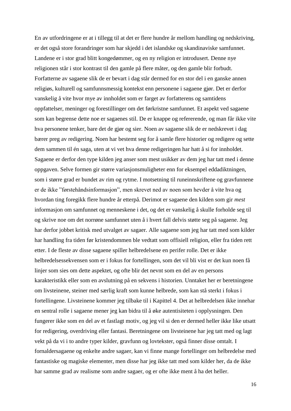En av utfordringene er at i tillegg til at det er flere hundre år mellom handling og nedskriving, er det også store forandringer som har skjedd i det islandske og skandinaviske samfunnet. Landene er i stor grad blitt kongedømmer, og en ny religion er introdusert. Denne nye religionen står i stor kontrast til den gamle på flere måter, og den gamle blir forbudt. Forfatterne av sagaene slik de er bevart i dag står dermed for en stor del i en ganske annen religiøs, kulturell og samfunnsmessig kontekst enn personene i sagaene gjør. Det er derfor vanskelig å vite hvor mye av innholdet som er farget av forfatterens og samtidens oppfattelser, meninger og forestillinger om det førkristne samfunnet. Et aspekt ved sagaene som kan begrense dette noe er sagaenes stil. De er knappe og refererende, og man får ikke vite hva personene tenker, bare det de gjør og sier. Noen av sagaene slik de er nedskrevet i dag bærer preg av redigering. Noen har bestemt seg for å samle flere historier og redigere og sette dem sammen til én saga, uten at vi vet hva denne redigeringen har hatt å si for innholdet. Sagaene er derfor den type kilden jeg anser som mest usikker av dem jeg har tatt med i denne oppgaven. Selve formen gir større variasjonsmuligheter enn for eksempel eddadiktningen, som i større grad er bundet av rim og rytme. I motsetning til runeinnskriftene og gravfunnene er de ikke "førstehåndsinformasjon", men skrevet ned av noen som hevder å vite hva og hvordan ting foregikk flere hundre år etterpå. Derimot er sagaene den kilden som gir *mest* informasjon om samfunnet og menneskene i det, og det er vanskelig å skulle forholde seg til og skrive noe om det norrøne samfunnet uten å i hvert fall delvis støtte seg på sagaene. Jeg har derfor jobbet kritisk med utvalget av sagaer. Alle sagaene som jeg har tatt med som kilder har handling fra tiden før kristendommen ble vedtatt som offisiell religion, eller fra tiden rett etter. I de fleste av disse sagaene spiller helbredelsene en perifer rolle. Det er ikke helbredelsessekvensen som er i fokus for fortellingen, som det vil bli vist er det kun noen få linjer som sies om dette aspektet, og ofte blir det nevnt som en del av en persons karakteristikk eller som en avslutning på en sekvens i historien. Unntaket her er beretningene om livsteinene, steiner med særlig kraft som kunne helbrede, som kan stå sterkt i fokus i fortellingene. Livsteinene kommer jeg tilbake til i Kapittel 4. Det at helbredelsen ikke innehar en sentral rolle i sagaene mener jeg kan bidra til å øke autentisiteten i opplysningen. Den fungerer ikke som en del av et fastlagt motiv, og jeg vil si den er dermed heller ikke like utsatt for redigering, overdriving eller fantasi. Beretningene om livsteinene har jeg tatt med og lagt vekt på da vi i to andre typer kilder, gravfunn og lovtekster, også finner disse omtalt. I fornaldersagaene og enkelte andre sagaer, kan vi finne mange fortellinger om helbredelse med fantastiske og magiske elementer, men disse har jeg ikke tatt med som kilder her, da de ikke har samme grad av realisme som andre sagaer, og er ofte ikke ment å ha det heller.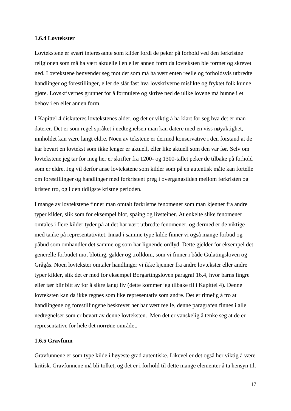#### **1.6.4 Lovtekster**

Lovtekstene er svært interessante som kilder fordi de peker på forhold ved den førkristne religionen som må ha vært aktuelle i en eller annen form da lovteksten ble formet og skrevet ned. Lovtekstene henvender seg mot det som må ha vært enten reelle og forholdsvis utbredte handlinger og forestillinger, eller de slår fast hva lovskriverne mislikte og fryktet folk kunne gjøre. Lovskrivernes grunner for å formulere og skrive ned de ulike lovene må bunne i et behov i en eller annen form.

I Kapittel 4 diskuteres lovtekstenes alder, og det er viktig å ha klart for seg hva det er man daterer. Det er som regel språket i nedtegnelsen man kan datere med en viss nøyaktighet, innholdet kan være langt eldre. Noen av tekstene er dermed konservative i den forstand at de har bevart en lovtekst som ikke lenger er aktuell, eller like aktuell som den var før. Selv om lovtekstene jeg tar for meg her er skrifter fra 1200- og 1300-tallet peker de tilbake på forhold som er eldre. Jeg vil derfor anse lovtekstene som kilder som på en autentisk måte kan fortelle om forestillinger og handlinger med førkristent preg i overgangstiden mellom førkristen og kristen tro, og i den tidligste kristne perioden.

I mange av lovtekstene finner man omtalt førkristne fenomener som man kjenner fra andre typer kilder, slik som for eksempel blot, spåing og livsteiner. At enkelte slike fenomener omtales i flere kilder tyder på at det har vært utbredte fenomener, og dermed er de viktige med tanke på representativitet. Innad i samme type kilde finner vi også mange forbud og påbud som omhandler det samme og som har lignende ordlyd. Dette gjelder for eksempel det generelle forbudet mot bloting, galder og trolldom, som vi finner i både Gulatingsloven og Grågås. Noen lovtekster omtaler handlinger vi ikke kjenner fra andre lovtekster eller andre typer kilder, slik det er med for eksempel Borgartingsloven paragraf 16.4, hvor barns fingre eller tær blir bitt av for å sikre langt liv (dette kommer jeg tilbake til i Kapittel 4). Denne lovteksten kan da ikke regnes som like representativ som andre. Det er rimelig å tro at handlingene og forestillingene beskrevet her har vært reelle, denne paragrafen finnes i alle nedtegnelser som er bevart av denne lovteksten. Men det er vanskelig å tenke seg at de er representative for hele det norrøne området.

#### **1.6.5 Gravfunn**

Gravfunnene er som type kilde i høyeste grad autentiske. Likevel er det også her viktig å være kritisk. Gravfunnene må bli tolket, og det er i forhold til dette mange elementer å ta hensyn til.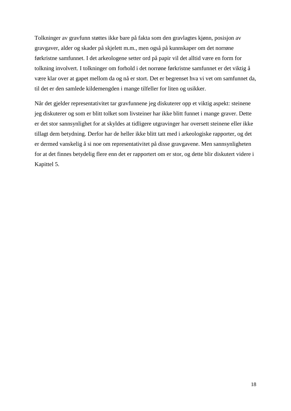Tolkninger av gravfunn støttes ikke bare på fakta som den gravlagtes kjønn, posisjon av gravgaver, alder og skader på skjelett m.m., men også på kunnskaper om det norrøne førkristne samfunnet. I det arkeologene setter ord på papir vil det alltid være en form for tolkning involvert. I tolkninger om forhold i det norrøne førkristne samfunnet er det viktig å være klar over at gapet mellom da og nå er stort. Det er begrenset hva vi vet om samfunnet da, til det er den samlede kildemengden i mange tilfeller for liten og usikker.

Når det gjelder representativitet tar gravfunnene jeg diskuterer opp et viktig aspekt: steinene jeg diskuterer og som er blitt tolket som livsteiner har ikke blitt funnet i mange graver. Dette er det stor sannsynlighet for at skyldes at tidligere utgravinger har oversett steinene eller ikke tillagt dem betydning. Derfor har de heller ikke blitt tatt med i arkeologiske rapporter, og det er dermed vanskelig å si noe om representativitet på disse gravgavene. Men sannsynligheten for at det finnes betydelig flere enn det er rapportert om er stor, og dette blir diskutert videre i Kapittel 5.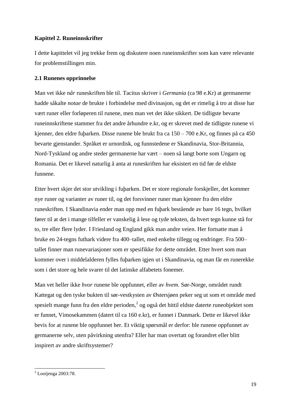# **Kapittel 2. Runeinnskrifter**

I dette kapittelet vil jeg trekke frem og diskutere noen runeinnskrifter som kan være relevante for problemstillingen min.

# **2.1 Runenes opprinnelse**

Man vet ikke *når* runeskriften ble til. Tacitus skriver i *Germania* (ca 98 e.Kr) at germanerne hadde såkalte *notae* de brukte i forbindelse med divinasjon, og det er rimelig å tro at disse har vært runer eller forløperen til runene, men man vet det ikke sikkert. De tidligste bevarte runeinnskriftene stammer fra det andre århundre e.kr, og er skrevet med de tidligste runene vi kjenner, den eldre fuþarken. Disse runene ble brukt fra ca 150 – 700 e.Kr, og finnes på ca 450 bevarte gjenstander. Språket er urnordisk, og funnstedene er Skandinavia, Stor-Britannia, Nord-Tyskland og andre steder germanerne har vært – noen så langt borte som Ungarn og Romania. Det er likevel naturlig å anta at runeskriften har eksistert en tid før de eldste funnene.

Etter hvert skjer det stor utvikling i fuþarken. Det er store regionale forskjeller, det kommer nye runer og varianter av runer til, og det forsvinner runer man kjenner fra den eldre runeskriften. I Skandinavia ender man opp med en fuþark bestående av bare 16 tegn, hvilket fører til at det i mange tilfeller er vanskelig å lese og tyde teksten, da hvert tegn kunne stå for to, tre eller flere lyder. I Friesland og England gikk man andre veien. Her fortsatte man å bruke en 24-tegns futhark videre fra 400–tallet, med enkelte tillegg og endringer. Fra 500– tallet finner man runevariasjoner som er spesifikke for dette området. Etter hvert som man kommer over i middelalderen fylles fuþarken igjen ut i Skandinavia, og man får en runerekke som i det store og hele svarer til det latinske alfabetets fonemer.

Man vet heller ikke *hvor* runene ble oppfunnet, eller av *hvem*. Sør-Norge, området rundt Kattegat og den tyske bukten til sør-vestkysten av Østersjøen peker seg ut som et område med spesielt mange funn fra den eldre perioden,<sup>2</sup> og også det hittil eldste daterte runeobjektet som er funnet, Vimosekammen (datert til ca 160 e.kr), er funnet i Danmark. Dette er likevel ikke bevis for at runene ble oppfunnet her. Et viktig spørsmål er derfor: ble runene oppfunnet av germanerne selv, uten påvirkning utenfra? Eller har man overtatt og forandret eller blitt inspirert av andre skriftsystemer?

<sup>-</sup> $2$  Looijenga 2003:78.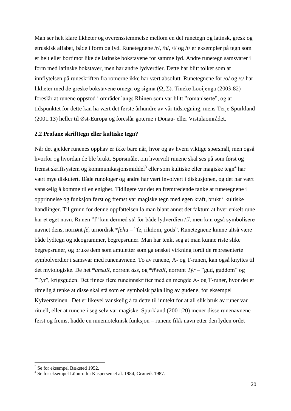Man ser helt klare likheter og overensstemmelse mellom en del runetegn og latinsk, gresk og etruskisk alfabet, både i form og lyd. Runetegnene /r/, /h/, /i/ og /t/ er eksempler på tegn som er helt eller bortimot like de latinske bokstavene for samme lyd. Andre runetegn samsvarer i form med latinske bokstaver, men har andre lydverdier. Dette har blitt tolket som at innflytelsen på runeskriften fra romerne ikke har vært absolutt. Runetegnene for /o/ og /s/ har likheter med de greske bokstavene omega og sigma (Ω, Σ). Tineke Looijenga (2003:82) foreslår at runene oppstod i områder langs Rhinen som var blitt "romaniserte", og at tidspunktet for dette kan ha vært det første århundre av vår tidsregning, mens Terje Spurkland (2001:13) heller til Øst-Europa og foreslår goterne i Donau- eller Vistulaområdet.

#### **2.2 Profane skrifttegn eller kultiske tegn?**

Når det gjelder runenes opphav er ikke bare når, hvor og av hvem viktige spørsmål, men også hvorfor og hvordan de ble brukt. Spørsmålet om hvorvidt runene skal ses på som først og fremst skriftsystem og kommunikasjonsmiddel $^3$  eller som kultiske eller magiske tegn $^4$  har vært mye diskutert. Både runologer og andre har vært involvert i diskusjonen, og det har vært vanskelig å komme til en enighet. Tidligere var det en fremtredende tanke at runetegnene i opprinnelse og funksjon først og fremst var magiske tegn med egen kraft, brukt i kultiske handlinger. Til grunn for denne oppfattelsen la man blant annet det faktum at hver enkelt rune har et eget navn. Runen "f" kan dermed stå for både lydverdien /f/, men kan også symbolisere navnet dens, norrønt *fé*, urnordisk \**fehu* – "fe, rikdom, gods". Runetegnene kunne altså være både lydtegn og ideogrammer, begrepsruner. Man har tenkt seg at man kunne riste slike begrepsruner, og bruke dem som amuletter som ga ønsket virkning fordi de representerte symbolverdier i samsvar med runenavnene. To av runene, A- og T-runen, kan også knyttes til det mytologiske. De het \**ansuR*, norrønt *áss*, og \**tīwaR*, norrønt *Týr* – "gud, guddom" og "Tyr", krigsguden. Det finnes flere runeinnskrifter med en mengde A- og T-runer, hvor det er rimelig å tenke at disse skal stå som en symbolsk påkalling av gudene, for eksempel Kylversteinen. Det er likevel vanskelig å ta dette til inntekt for at all slik bruk av runer var rituell, eller at runene i seg selv var magiske. Spurkland (2001:20) mener disse runenavnene først og fremst hadde en mnemoteknisk funksjon – runene fikk navn etter den lyden ordet

<sup>3</sup> Se for eksempel Bæksted 1952.

<sup>4</sup> Se for eksempel Lönnroth i Kaspersen et al. 1984, Grønvik 1987.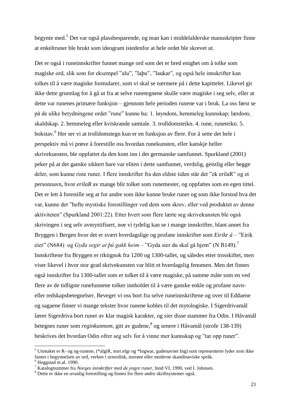begynte med.<sup>5</sup> Det var også plassbesparende, og man kan i middelalderske manuskripter finne at enkeltruner ble brukt som ideogram istedenfor at hele ordet ble skrevet ut.

Det er også i runeinnskrifter funnet mange ord som det er bred enighet om å tolke som magiske ord, slik som for eksempel "alu", "laþu", "laukar", og også hele innskrifter kan tolkes til å være magiske formularer, som vi skal se nærmere på i dette kapittelet. Likevel gir ikke dette grunnlag for å gå ut fra at selve runetegnene skulle være magiske i seg selv, eller at dette var runenes primære funksjon – gjennom hele perioden runene var i bruk. La oss først se på de ulike betydningene ordet "rune" kunne ha: 1. løyndom, hemmeleg kunnskap; lærdom; skaldskap. 2. hemmeleg eller kviskrande samtale. 3. trolldomsteikn. 4. rune, runeteikn. 5. bokstav.<sup>6</sup> Her ser vi at trolldomstegn kun er en funksjon av flere. For å sette det hele i perspektiv må vi prøve å forestille oss hvordan runekunsten, eller kanskje heller skrivekunsten, ble oppfattet da den kom inn i det germanske samfunnet. Spurkland (2001) peker på at det ganske sikkert bare var eliten i dette samfunnet, verdslig, geistlig eller begge deler, som kunne riste runer. I flere innskrifter fra den eldste tiden står det "ek erilaR" og et personnavn, hvor *erilaR* av mange blir tolket som runemester, og oppfattes som en egen tittel. Det er lett å forestille seg at for andre som ikke kunne bruke runer og som ikke forstod hva det var, kunne det "hefte mystiske forestillinger ved dem som skrev, eller ved produktet av denne aktiviteten" (Spurkland 2001:22). Etter hvert som flere lærte seg skrivekunsten ble også skrivingen i seg selv avmystifisert, noe vi tydelig kan se i mange innskrifter, blant annet fra Bryggen i Bergen hvor det er svært hverdagslige og profane innskrifter som *Eirikr á* – "Eirik eier" (N684) og *Gyđa segir at þú gakk heim* – "Gyda sier du skal gå hjem" (N B149).<sup>7</sup> Innskriftene fra Bryggen er riktignok fra 1200 og 1300-tallet, og således etter trosskiftet, men viser likevel i hvor stor grad skrivekunsten var blitt et hverdagslig fenomen. Men det finnes også innskrifter fra 1300-tallet som er tolket til å være magiske, på samme måte som en ved flere av de tidligste runefunnene tolker innholdet til å være ganske enkle og profane navneller redskapsbetegnelser. Beveger vi oss bort fra selve runeinnskriftene og over til Eddaene og sagaene finner vi mange tekster hvor runene kobles til det mytologiske. I Sigerdrivamål lærer Sigerdriva bort runer av klar magisk karakter, og sier disse stammer fra Odin. I Håvamål betegnes runer som *reginkunnom*, gitt av gudene, <sup>8</sup> og senere i Håvamål (strofe 138-139) beskrives det hvordan Odin ofrer seg selv for å vinne mer kunnskap og "tar opp runer".

1

<sup>5</sup> Unntaket er R- og ng-runene, (\*algiR, norr.elgr og \*Ingwar, gudenavnet Ing) som representerte lyder som ikke fantes i begynnelsen av ord, verken i urnordisk, norrønt eller moderne skandinaviske språk.

 $<sup>6</sup>$  Heggstad et.al. 1990.</sup>

<sup>7</sup> Katalognummer fra *Norges innskrifter med de yngre runer*, bind VI, 1990, ved I. Johnsen.

<sup>8</sup> Dette er ikke en uvanlig forestilling og finnes for flere andre skriftsystemer også.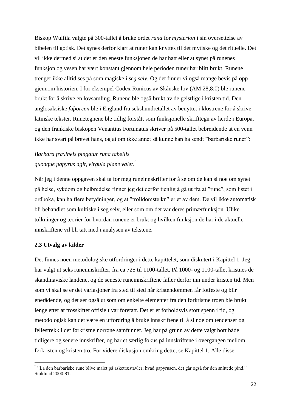Biskop Wulfila valgte på 300-tallet å bruke ordet *runa* for *mysterion* i sin oversettelse av bibelen til gotisk. Det synes derfor klart at runer kan knyttes til det mytiske og det rituelle. Det vil ikke dermed si at det er den eneste funksjonen de har hatt eller at synet på runenes funksjon og vesen har vært konstant gjennom hele perioden runer har blitt brukt. Runene trenger ikke alltid ses på som magiske i *seg selv.* Og det finner vi også mange bevis på opp gjennom historien. I for eksempel Codex Runicus av Skånske lov (AM 28,8:0) ble runene brukt for å skrive en lovsamling. Runene ble også brukt av de geistlige i kristen tid. Den anglosaksiske *fuþorcen* ble i England fra sekshundretallet av benyttet i klostrene for å skrive latinske tekster. Runetegnene ble tidlig forstått som funksjonelle skrifttegn av lærde i Europa, og den frankiske biskopen Venantius Fortunatus skriver på 500-tallet bebreidende at en venn ikke har svart på brevet hans, og at om ikke annet så kunne han ha sendt "barbariske runer":

# *Barbara fraxineis pingatur runa tabellis quodque papyrus agit, virgula plane valet.<sup>9</sup>*

Når jeg i denne oppgaven skal ta for meg runeinnskrifter for å se om de kan si noe om synet på helse, sykdom og helbredelse finner jeg det derfor tjenlig å gå ut fra at "rune", som listet i ordboka, kan ha flere betydninger, og at "trolldomsteikn" er et av dem. De vil ikke automatisk bli behandlet som kultiske i seg selv, eller som om det var deres primærfunksjon. Ulike tolkninger og teorier for hvordan runene er brukt og hvilken funksjon de har i de aktuelle innskriftene vil bli tatt med i analysen av tekstene.

#### **2.3 Utvalg av kilder**

-

Det finnes noen metodologiske utfordringer i dette kapittelet, som diskutert i Kapittel 1. Jeg har valgt ut seks runeinnskrifter, fra ca 725 til 1100-tallet. På 1000- og 1100-tallet kristnes de skandinaviske landene, og de seneste runeinnskriftene faller derfor inn under kristen tid. Men som vi skal se er det variasjoner fra sted til sted når kristendommen får fotfeste og blir enerådende, og det ser også ut som om enkelte elementer fra den førkristne troen ble brukt lenge etter at trosskiftet offisielt var foretatt. Det er et forholdsvis stort spenn i tid, og metodologisk kan det være en utfordring å bruke innskriftene til å si noe om tendenser og fellestrekk i det førkristne norrøne samfunnet. Jeg har på grunn av dette valgt bort både tidligere og senere innskrifter, og har et særlig fokus på innskriftene i overgangen mellom førkristen og kristen tro. For videre diskusjon omkring dette, se Kapittel 1. Alle disse

<sup>&</sup>lt;sup>9</sup> "La den barbariske rune blive malet på asketræstavler; hvad papyrusen, det går også for den snittede pind." Stoklund 2000:81.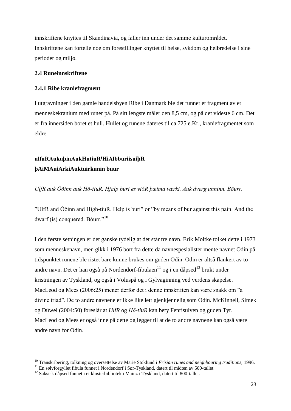innskriftene knyttes til Skandinavia, og faller inn under det samme kulturområdet. Innskriftene kan fortelle noe om forestillinger knyttet til helse, sykdom og helbredelse i sine perioder og miljø.

# **2.4 Runeinnskriftene**

1

## **2.4.1 Ribe kraniefragment**

I utgravninger i den gamle handelsbyen Ribe i Danmark ble det funnet et fragment av et menneskekranium med runer på. På sitt lengste måler den 8,5 cm, og på det videste 6 cm. Det er fra innersiden boret et hull. Hullet og runene dateres til ca 725 e.Kr., kraniefragmentet som eldre.

# **ulfuRAukuþinAukHutiuRꞋHiAlbburiisuiþR þAiMAuiArkiAuktuirkunin buur**

*UlfR auk Ōðinn auk Hō-tiuR. Hjalp buri es viðR þæima værki. Auk dverg unninn. Bōurr.*

"UlfR and Óðinn and High-tiuR. Help is buri" or "by means of bur against this pain. And the dwarf (is) conquered. Bóurr."<sup>10</sup>

I den første setningen er det ganske tydelig at det står tre navn. Erik Moltke tolket dette i 1973 som menneskenavn, men gikk i 1976 bort fra dette da navnespesialister mente navnet Odin på tidspunktet runene ble ristet bare kunne brukes om guden Odin. Odin er altså flankert av to andre navn. Det er han også på Nordendorf-fibulaen $^{11}$  og i en dåpsed $^{12}$  brukt under kristningen av Tyskland, og også i Voluspå og i Gylvaginning ved verdens skapelse. MacLeod og Mees (2006:25) mener derfor det i denne innskriften kan være snakk om "a divine triad". De to andre navnene er ikke like lett gjenkjennelig som Odin. McKinnell, Simek og Düwel (2004:50) foreslår at *UlfR* og *Hō-tiuR* kan bety Fenrisulven og guden Tyr. MacLeod og Mees er også inne på dette og legger til at de to andre navnene kan også være andre navn for Odin.

<sup>10</sup> Transkribering, tolkning og oversettelse av Marie Stoklund i *Frisian runes and neighbouring traditions,* 1996.

<sup>&</sup>lt;sup>11</sup> En sølvforgyllet fibula funnet i Nordendorf i Sør-Tyskland, datert til midten av 500-tallet.

<sup>&</sup>lt;sup>12</sup> Saksisk dåpsed funnet i et klosterbibliotek i Mainz i Tyskland, datert til 800-tallet.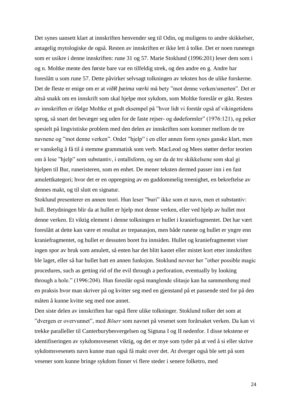Det synes uansett klart at innskriften henvender seg til Odin, og muligens to andre skikkelser, antagelig mytologiske de også. Resten av innskriften er ikke lett å tolke. Det er noen runetegn som er usikre i denne innskriften: rune 31 og 57. Marie Stoklund (1996:201) leser dem som i og n. Moltke mente den første bare var en tilfeldig strek, og den andre en g. Andre har foreslått u som rune 57. Dette påvirker selvsagt tolkningen av teksten hos de ulike forskerne. Det de fleste er enige om er at *viðR þæima værki* må bety "mot denne verken/smerten". Det er altså snakk om en innskrift som skal hjelpe mot sykdom, som Moltke foreslår er gikt. Resten av innskriften er ifølge Moltke et godt eksempel på "hvor lidt vi forstår også af vikingetidens sprog, så snart det bevæger seg uden for de faste rejser- og dødeformler" (1976:121), og peker spesielt på lingvistiske problem med den delen av innskriften som kommer mellom de tre navnene og "mot denne verken". Ordet "hjelp" i en eller annen form synes ganske klart, men er vanskelig å få til å stemme grammatisk som verb. MacLeod og Mees støtter derfor teorien om å lese "hjelp" som substantiv, i entallsform, og ser da de tre skikkelsene som skal gi hjelpen til Bur, runeristeren, som en enhet. De mener teksten dermed passer inn i en fast amulettkategori; hvor det er en oppregning av en guddommelig treenighet, en bekreftelse av dennes makt, og til slutt en signatur.

Stoklund presenterer en annen teori. Hun leser "buri" ikke som et navn, men et substantiv: hull. Betydningen blir da at hullet er hjelp mot denne verken, eller ved hjelp av hullet mot denne verken. Et viktig element i denne tolkningen er hullet i kraniefragmentet. Det har vært foreslått at dette kan være et resultat av trepanasjon, men både runene og hullet er yngre enn kraniefragmentet, og hullet er dessuten boret fra innsiden. Hullet og kraniefragmentet viser ingen spor av bruk som amulett, så enten har det blitt kastet eller mistet kort etter innskriften ble laget, eller så har hullet hatt en annen funksjon. Stoklund nevner her "other possible magic procedures, such as getting rid of the evil through a perforation, eventually by looking through a hole." (1996:204). Hun foreslår også manglende slitasje kan ha sammenheng med en praksis hvor man skriver på og kvitter seg med en gjenstand på et passende sted for på den måten å kunne kvitte seg med noe annet.

Den siste delen av innskriften har også flere ulike tolkninger. Stoklund tolker det som at "dvergen er overvunnet", med *Bōurr* som navnet på vesenet som forårsaket verken. Da kan vi trekke paralleller til Canterburybesvergelsen og Sigtuna I og II nedenfor. I disse tekstene er identifiseringen av sykdomsvesenet viktig, og det er mye som tyder på at ved å si eller skrive sykdomsvesenets navn kunne man også få makt over det. At dverger også ble sett på som vesener som kunne bringe sykdom finner vi flere steder i senere folketro, med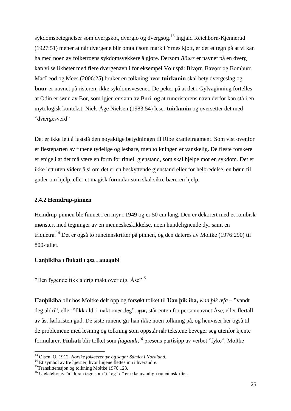sykdomsbetegnelser som dvergskot, dverglo og dvergsog.<sup>13</sup> Ingjald Reichborn-Kjennerud (1927:51) mener at når dvergene blir omtalt som mark i Ymes kjøtt, er det et tegn på at vi kan ha med noen av folketroens sykdomsvekkere å gjøre. Dersom *Bōurr* er navnet på en dverg kan vi se likheter med flere dvergenavn i for eksempel Voluspå: Bivorr, Bavorr og Bomburr. MacLeod og Mees (2006:25) bruker en tolkning hvor **tuirkunin** skal bety dvergeslag og **buur** er navnet på risteren, ikke sykdomsvesenet. De peker på at det i Gylvaginning fortelles at Odin er sønn av Bor, som igjen er sønn av Buri, og at runeristerens navn derfor kan stå i en mytologisk kontekst. Niels Åge Nielsen (1983:54) leser **tuirkuniu** og oversetter det med "dværgesverd"

Det er ikke lett å fastslå den nøyaktige betydningen til Ribe kraniefragment. Som vist ovenfor er flesteparten av runene tydelige og lesbare, men tolkningen er vanskelig. De fleste forskere er enige i at det må være en form for rituell gjenstand, som skal hjelpe mot en sykdom. Det er ikke lett uten videre å si om det er en beskyttende gjenstand eller for helbredelse, en bønn til guder om hjelp, eller et magisk formular som skal sikre bæreren hjelp.

## **2.4.2 Hemdrup-pinnen**

Hemdrup-pinnen ble funnet i en myr i 1949 og er 50 cm lang. Den er dekorert med et rombisk mønster, med tegninger av en menneskeskikkelse, noen hundelignende dyr samt en triquetra.<sup>14</sup> Det er også to runeinnskrifter på pinnen, og den dateres av Moltke (1976:290) til 800-tallet.

## **Uanþikiba ı fiukati ı ąsa . auaąubi**

"Den fygende fikk aldrig makt over dig, Åse"<sup>15</sup>

**Uanþikiba** blir hos Moltke delt opp og forsøkt tolket til **Uan þik iba,** *wan þik æfa* **– "**vandt deg aldri", eller "fikk aldri makt over deg". **ąsa,** står enten for personnavnet Åse, eller flertall av ås, førkristen gud. De siste runene gir han ikke noen tolkning på, og henviser her også til de problemene med lesning og tolkning som oppstår når tekstene beveger seg utenfor kjente formularer. **Fiukati** blir tolket som *fiugandi,<sup>16</sup>* presens partisipp av verbet "fyke". Moltke

<sup>13</sup> Olsen, O. 1912. *Norske folkeeventyr og sagn: Samlet i Nordland.*

<sup>&</sup>lt;sup>14</sup> Et symbol av tre hjørner, hvor linjene flettes inn i hverandre.

<sup>&</sup>lt;sup>15</sup>Translitterasjon og tolkning Moltke 1976:123.

<sup>&</sup>lt;sup>16</sup> Utelatelse av "n" foran tegn som "t" og "d" er ikke uvanlig i runeinnskrifter.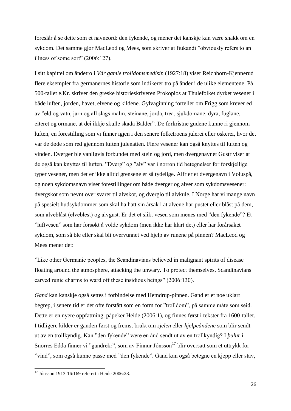foreslår å se dette som et navneord: den fykende, og mener det kanskje kan være snakk om en sykdom. Det samme gjør MacLeod og Mees, som skriver at fiukandi "obviously refers to an illness of some sort" (2006:127).

I sitt kapittel om åndetro i *Vår gamle trolldomsmedisin* (1927:18) viser Reichborn-Kjennerud flere eksempler fra germanernes historie som indikerer tro på ånder i de ulike elementene. På 500-tallet e.Kr. skriver den greske historieskriveren Prokopios at Thulefolket dyrket vesener i både luften, jorden, havet, elvene og kildene. Gylvaginning forteller om Frigg som krever ed av "eld og vatn, jarn og all slags malm, steinane, jorda, trea, sjukdomane, dyra, fuglane, eiteret og ormane, at dei ikkje skulle skada Balder". De førkristne gudene kunne ri gjennom luften, en forestilling som vi finner igjen i den senere folketroens julerei eller oskerei, hvor det var de døde som red gjennom luften julenatten. Flere vesener kan også knyttes til luften og vinden. Dverger ble vanligvis forbundet med stein og jord, men dvergenavnet Gustr viser at de også kan knyttes til luften. "Dverg" og "alv" var i norrøn tid betegnelser for forskjellige typer vesener, men det er ikke alltid grensene er så tydelige. Alfr er et dvergenavn i Voluspå, og noen sykdomsnavn viser forestillinger om både dverger og alver som sykdomsvesener: dvergskot som nevnt over svarer til alvskot, og dverglo til alvkule. I Norge har vi mange navn på spesielt hudsykdommer som skal ha hatt sin årsak i at alvene har pustet eller blåst på dem, som alveblåst (elveblest) og alvgust. Er det et slikt vesen som menes med "den fykende"? Et "luftvesen" som har forsøkt å volde sykdom (men ikke har klart det) eller har forårsaket sykdom, som så ble eller skal bli overvunnet ved hjelp av runene på pinnen? MacLeod og Mees mener det:

"Like other Germanic peoples, the Scandinavians believed in malignant spirits of disease floating around the atmosphere, attacking the unwary. To protect themselves, Scandinavians carved runic charms to ward off these insidious beings" (2006:130).

*Gand* kan kanskje også settes i forbindelse med Hemdrup-pinnen. Gand er et noe uklart begrep, i senere tid er det ofte forstått som en form for "trolldom", på samme måte som seid. Dette er en nyere oppfattning, påpeker Heide (2006:1), og finnes først i tekster fra 1600-tallet. I tidligere kilder er ganden først og fremst brukt om *sjelen* eller *hjelpeåndene* som blir sendt ut av en trollkyndig. Kan "den fykende" være en ånd sendt ut av en trollkyndig? I *þulur* i Snorres Edda finner vi "gandrekr", som av Finnur Jónsson<sup>17</sup> blir oversatt som et uttrykk for "vind", som også kunne passe med "den fykende". Gand kan også betegne en kjepp eller stav,

<sup>&</sup>lt;sup>17</sup> Jónsson 1913-16:169 referert i Heide 2006:28.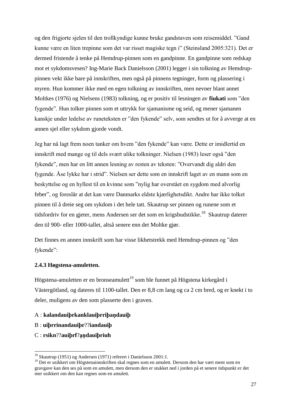og den frigjorte sjelen til den trollkyndige kunne bruke gandstaven som reisemiddel. "Gand kunne være en liten trepinne som det var risset magiske tegn i" (Steinsland 2005:321). Det er dermed fristende å tenke på Hemdrup-pinnen som en gandpinne. En gandpinne som redskap mot et sykdomsvesen? Ing-Marie Back Danielsson (2001) legger i sin tolkning av Hemdruppinnen vekt ikke bare på innskriften, men også på pinnens tegninger, form og plassering i myren. Hun kommer ikke med en egen tolkning av innskriften, men nevner blant annet Moltkes (1976) og Nielsens (1983) tolkning, og er positiv til lesningen av **fiukati** som "den fygende". Hun tolker pinnen som et uttrykk for sjamanisme og seid, og mener sjamanen kanskje under ledelse av runeteksten er "den fykende" selv, som sendtes ut for å avverge at en annen sjel eller sykdom gjorde vondt.

Jeg har nå lagt frem noen tanker om hvem "den fykende" kan være. Dette er imidlertid en innskrift med mange og til dels svært ulike tolkninger. Nielsen (1983) leser også "den fykende", men har en litt annen lesning av resten av teksten: "Overvandt dig aldri den fygende. Åse lykke har i strid". Nielsen ser dette som en innskrift laget av en mann som en beskyttelse og en hyllest til en kvinne som "nylig har overstået en sygdom med alvorlig feber", og foreslår at det kan være Danmarks eldste kjærlighetsdikt. Andre har ikke tolket pinnen til å dreie seg om sykdom i det hele tatt. Skautrup ser pinnen og runene som et tidsfordriv for en gjeter, mens Andersen ser det som en krigsbudstikke.<sup>18</sup> Skautrup daterer den til 900- eller 1000-tallet, altså senere enn det Moltke gjør.

Det finnes en annen innskrift som har visse likhetstrekk med Hemdrup-pinnen og "den fykende":

#### **2.4.3 Høgstena-amuletten.**

Högstena-amuletten er en bronseamulett<sup>19</sup> som ble funnet på Högstena kirkegård i Västergötland, og dateres til 1100-tallet. Den er 8,8 cm lang og ca 2 cm bred, og er knekt i to deler, muligens av den som plasserte den i graven.

- A : **kalandauiþrkanklauiþrriþaṇdauiþ**
- B : **uiþrrinandauiþr**??**iandauiþ**
- C : **rsikn**??**auiþrf**?**ạṇdauiþriuh**

<sup>&</sup>lt;sup>18</sup> Skautrup (1951) og Andersen (1971) referert i Danielsson 2001:1.

<sup>&</sup>lt;sup>19</sup> Det er usikkert om Högstenainnskriften skal regnes som en amulett. Dersom den har vært ment som en gravgave kan den ses på som en amulett, men dersom den er stukket ned i jorden på et senere tidspunkt er det mer usikkert om den kan regnes som en amulett.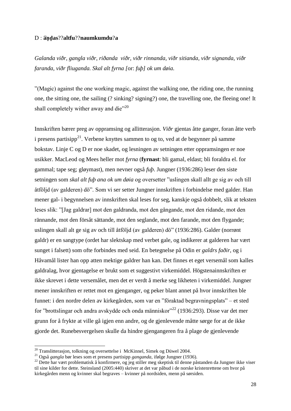#### D : ͡**aṇḍas**??**altfu**??**naumkumdu**?**a**

*Galanda viðr, gangla viðr, riðanda viðr, viðr rinnanda, viðr sitianda, viðr signanda, viðr faranda, viðr fliuganda. Skal alt fyrna [*or: *fuþ] ok um døia.*

"(Magic) against the one working magic, against the walking one, the riding one, the running one, the sitting one, the sailing (? sinking? signing?) one, the travelling one, the fleeing one! It shall completely wither away and die $"^{20}$ 

Innskriften bærer preg av oppramsing og allitterasjon. *Viðr* gjentas åtte ganger, foran åtte verb i presens partisipp<sup>21</sup>. Verbene knyttes sammen to og to, ved at de begynner på samme bokstav. Linje C og D er noe skadet, og lesningen av setningen etter oppramsingen er noe usikker. MacLeod og Mees heller mot *fyrna* (**fyrnast**: bli gamal, eldast; bli foraldra el. for gammal; tape seg; gløymast), men nevner også *fuþ*. Jungner (1936:286) leser den siste setningen som *skal alt fuþ ana ok um døia* og oversetter "uslingen skall allt ge sig av och till åtföljd (av galderen) dö". Som vi ser setter Jungner innskriften i forbindelse med galder. Han mener gal- i begynnelsen av innskriften skal leses for seg, kanskje også dobbelt, slik at teksten leses slik: "[Jag galdrar] mot den galdranda, mot den gångande, mot den ridande, mot den rännande, mot den försåt sättande, mot den seglande, mot den farande, mot den flygande; uslingen skall alt ge sig av och till åtföljd (av galderen) dö" (1936:286). Galder (norrønt galdr) er en sangtype (ordet har slektskap med verbet gale, og indikerer at galderen har vært sunget i falsett) som ofte forbindes med seid. En betegnelse på Odin er *galdrs faðir*, og i Håvamål lister han opp atten mektige galdrer han kan. Det finnes et eget versemål som kalles galdralag, hvor gjentagelse er brukt som et suggestivt virkemiddel. Högstenainnskriften er ikke skrevet i dette versemålet, men det er verdt å merke seg likheten i virkemiddel. Jungner mener innskriften er rettet mot en gjenganger, og peker blant annet på hvor innskriften ble funnet: i den nordre delen av kirkegården, som var en "föraktad begravningsplats" – et sted for "brottslingar och andra avskydde och onda människor"<sup>22</sup> (1936:293). Disse var det mer grunn for å frykte at ville gå igjen enn andre, og de gjenlevende måtte sørge for at de ikke gjorde det. Runebesvergelsen skulle da hindre gjengangeren fra å plage de gjenlevende

1

 $^{20}$  Translitterasjon, tolkning og oversettelse i McKinnel, Simek og Düwel 2004.

<sup>21</sup> Også *gangla* bør leses som et presens partisipp *ganganda*, ifølge Jungner (1936).

<sup>&</sup>lt;sup>22</sup> Dette har vært problematisk å konfirmere, og jeg stiller meg skeptisk til denne påstanden da Jungner ikke viser til sine kilder for dette. Steinsland (2005:440) skriver at det var påbud i de norske kristenrettene om hvor på kirkegården menn og kvinner skal begraves – kvinner på nordsiden, menn på sørsiden.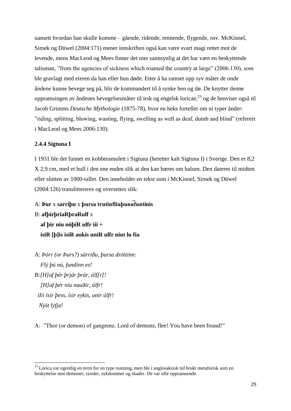uansett hvordan han skulle komme – gående, ridende, rennende, flygende, osv. McKinnel, Simek og Düwel (2004:171) mener innskriften også kan være svart magi rettet mot de levende, mens MacLeod og Mees finner det mer sannsynlig at det har vært en beskyttende talisman, "from the agencies of sickness which roamed the country at large" (2006:130), som ble gravlagt med eieren da han eller hun døde. Etter å ha ramset opp syv måter de onde åndene kunne bevege seg på, blir de kommandert til å synke hen og dø. De knytter denne oppramsingen av åndenes bevegelsesmåter til irsk og engelsk loricae, <sup>23</sup> og de henviser også til Jacob Grimms *Deutsche Mythologie* (1875-78), hvor en heks forteller om ni typer ånder: "riding, splitting, blowing, wasting, flying, swelling as well as deaf, dumb and blind" (referert i MacLeod og Mees 2006:130).

## **2.4.4 Sigtuna I**

-

I 1931 ble det funnet en kobberamulett i Sigtuna (heretter kalt Sigtuna I) i Sverige. Den er 8,2 X 2,9 cm, med et hull i den ene enden slik at den kan bæres om halsen. Den dateres til midten eller slutten av 1000-tallet. Den inneholder en tekst som i McKinnel, Simek og Düwel (2004:126) translittereres og oversettes slik:

# A: **Þur** x **sarriþu** x **þursa trutinfliuþunu͡funtinis**

B: **afþirþriaRþraRulf** x  **af þir niu nöþiR ulfr iii + isiR [þ]is isiR aukis uniR ulfr niut lu fia**

A: *Þórr (or Þurs?) sárriðu, þursa dróttinn: Flý þú nú, fundinn es!* B:*[H]af þér þrjár þrár, úlf[r]! [H]af þér níu nauðir, úlfr! iIii ísir þess, ísir eykis, unir úlfr! Njót lyfja!*

A: "Thor (or demon) of gangrene, Lord of demons, flee! You have been found!"

<sup>&</sup>lt;sup>23</sup> Lorica var egentlig en term for en type rustning, men ble i anglosaksisk tid brukt metaforisk som en beskyttelse mot demoner, synder, sykdommer og skader. De var ofte oppramsende.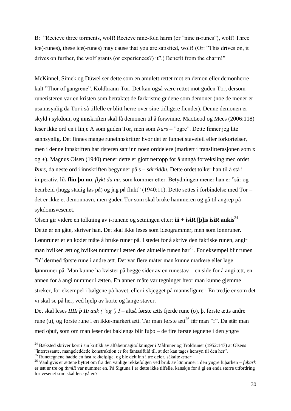B: "Recieve three torments, wolf! Recieve nine-fold harm (or "nine **n-**runes"), wolf! Three ice(-runes), these ice(-runes) may cause that you are satisfied, wolf! (Or: "This drives on, it drives on further, the wolf grants (or experiences?) it".) Benefit from the charm!"

McKinnel, Simek og Düwel ser dette som en amulett rettet mot en demon eller demonherre kalt "Thor of gangrene", Koldbrann-Tor. Det kan også være rettet mot guden Tor, dersom runeristeren var en kristen som betraktet de førkristne gudene som demoner (noe de mener er usannsynlig da Tor i så tilfelle er blitt herre over sine tidligere fiender). Denne demonen er skyld i sykdom, og innskriften skal få demonen til å forsvinne. MacLeod og Mees (2006:118) leser ikke ord en i linje A som guden Tor, men som *Þurs –* "ogre". Dette finner jeg lite sannsynlig. Det finnes mange runeinnskrifter hvor det er funnet stavefeil eller forkortelser, men i denne innskriften har risteren satt inn noen orddelere (markert i translitterasjonen som x og +). Magnus Olsen (1940) mener dette er gjort nettopp for å unngå forveksling med ordet *Þurs,* da neste ord i innskriften begynner på s – *sárridðu.* Dette ordet tolker han til å stå i imperativ, lik **fliu þu nu**, *flykt du nu*, som kommer etter. Betydningen mener han er "sår og bearbeid (hugg stadig løs på) og jag på flukt" (1940:11). Dette settes i forbindelse med Tor – det er ikke et demonnavn, men guden Tor som skal bruke hammeren og gå til angrep på sykdomsvesenet.

Olsen gir videre en tolkning av i-runene og setningen etter: **iii + isiR [b]is isiR aukis**<sup>24</sup> Dette er en gåte, skriver han. Det skal ikke leses som ideogrammer, men som lønnruner. Lønnruner er en kodet måte å bruke runer på. I stedet for å skrive den faktiske runen, angir man hvilken ætt og hvilket nummer i ætten den aktuelle runen har<sup>25</sup>. For eksempel blir runen "h" dermed første rune i andre ætt. Det var flere måter man kunne markere eller lage lønnruner på. Man kunne ha kvister på begge sider av en runestav – en side for å angi ætt, en annen for å angi nummer i ætten. En annen måte var tegninger hvor man kunne gjemme streker, for eksempel i bølgene på havet, eller i skjegget på mannsfigurer. En tredje er som det vi skal se på her, ved hjelp av korte og lange staver.

Det skal leses *IIIIɪ þ IIɪ auk ("og") I* – altså første ætts fjerde rune (o), þ, første ætts andre rune (u), og første rune i en ikke-markert ætt. Tar man første ætt<sup>26</sup> får man "f". Da står man med oþuf, som om man leser det baklengs blir fuþo – de fire første tegnene i den yngre

1

<sup>&</sup>lt;sup>24</sup> Bæksted skriver kort i sin kritikk av alfabetmagitolkninger i Målruner og Troldruner (1952:147) at Olsens "interessante, mangeleddede konstruktion er for fantasifuld til, at der kan tages hensyn til den her".

<sup>25</sup> Runetegnene hadde en fast rekkefølge, og ble delt inn i tre deler, såkalte *ætter*.

<sup>26</sup> Vanligvis er ættene byttet om fra den vanlige rekkefølgen ved bruk av lønnruner i den yngre fuþarken – *fuþark* er ætt nr tre og *tbmlR* var nummer en. På Sigtuna I er dette ikke tilfelle, kanskje for å gi en enda større utfordring for vesenet som skal løse gåten?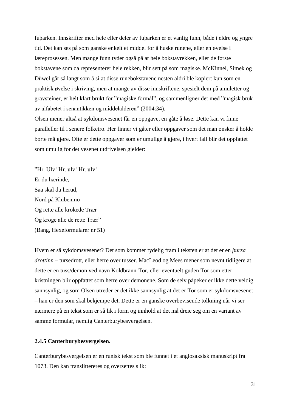fuþarken. Innskrifter med hele eller deler av fuþarken er et vanlig funn, både i eldre og yngre tid. Det kan ses på som ganske enkelt et middel for å huske runene, eller en øvelse i læreprosessen. Men mange funn tyder også på at hele bokstavrekken, eller de første bokstavene som da representerer hele rekken, blir sett på som magiske. McKinnel, Simek og Düwel går så langt som å si at disse runebokstavene nesten aldri ble kopiert kun som en praktisk øvelse i skriving, men at mange av disse innskriftene, spesielt dem på amuletter og gravsteiner, er helt klart brukt for "magiske formål", og sammenligner det med "magisk bruk av alfabetet i senantikken og middelalderen" (2004:34).

Olsen mener altså at sykdomsvesenet får en oppgave, en gåte å løse. Dette kan vi finne paralleller til i senere folketro. Her finner vi gåter eller oppgaver som det man ønsker å holde borte må gjøre. Ofte er dette oppgaver som er umulige å gjøre, i hvert fall blir det oppfattet som umulig for det vesenet utdrivelsen gjelder:

"Hr. Ulv! Hr. ulv! Hr. ulv! Er du hærinde, Saa skal du herud, Nord på Klubenmo Og rette alle krokede Trær Og kroge alle de rette Trær" (Bang, Hexeformularer nr 51)

Hvem er så sykdomsvesenet? Det som kommer tydelig fram i teksten er at det er en *þursa drottinn* – tursedrott, eller herre over tusser. MacLeod og Mees mener som nevnt tidligere at dette er en tuss/demon ved navn Koldbrann-Tor, eller eventuelt guden Tor som etter kristningen blir oppfattet som herre over demonene. Som de selv påpeker er ikke dette veldig sannsynlig, og som Olsen utreder er det ikke sannsynlig at det er Tor som er sykdomsvesenet – han er den som skal bekjempe det. Dette er en ganske overbevisende tolkning når vi ser nærmere på en tekst som er så lik i form og innhold at det må dreie seg om en variant av samme formular, nemlig Canterburybesvergelsen.

#### **2.4.5 Canterburybesvergelsen.**

Canterburybesvergelsen er en runisk tekst som ble funnet i et anglosaksisk manuskript fra 1073. Den kan translittereres og oversettes slik: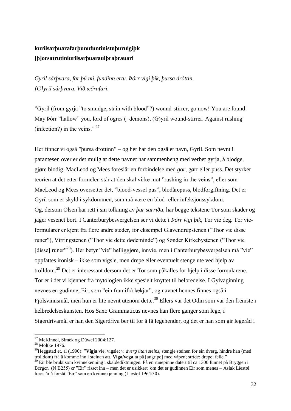# **kurilsarþuarafarþunufuntinistuþuruigiþk [þ]orsatrutiniurilsarþuarauiþraþrauari**

*Gyril sárþvara, far þú nú, fundinn ertu. Þórr vigi þik, þursa dróttin, [G]yril sárþvara. Við æðrafari.*

"Gyril (from gyrja "to smudge, stain with blood"?) wound-stirrer, go now! You are found! May Þórr "hallow" you, lord of ogres (=demons), (G)yril wound-stirrer. Against rushing (infection?) in the veins." <sup>27</sup>

Her finner vi også "þursa drottinn" – og her har den også et navn, Gyril. Som nevnt i parantesen over er det mulig at dette navnet har sammenheng med verbet gyrja, å blodge, gjøre blodig. MacLeod og Mees foreslår en forbindelse med *gor*, gørr eller puss. Det styrker teorien at det etter formelen står at den skal virke mot "rushing in the veins", eller som MacLeod og Mees oversetter det, "blood-vessel pus", blodårepuss, blodforgiftning. Det er Gyril som er skyld i sykdommen, som må være en blod- eller infeksjonssykdom. Og, dersom Olsen har rett i sin tolkning av *þur sarriðu*, har begge tekstene Tor som skader og jager vesenet bort. I Canterburybesvergelsen ser vi dette i *Þórr vigi þik,* Tor vie deg. Tor vieformularer er kjent fra flere andre steder, for eksempel Glavendrupstenen ("Thor vie disse runer"), Virringstenen ("Thor vie dette dødeminde") og Sønder Kirkebystenen ("Thor vie [disse] runer"<sup>28</sup>). Her betyr "vie" helliggjøre, innvie, men i Canterburybesvergelsen må "vie" oppfattes ironisk – ikke som vigsle, men drepe eller eventuelt stenge ute ved hjelp av trolldom.<sup>29</sup> Det er interessant dersom det er Tor som påkalles for hjelp i disse formularene. Tor er i det vi kjenner fra mytologien ikke spesielt knyttet til helbredelse. I Gylvaginning nevnes en gudinne, Eir, som "ein framifrå lækjar", og navnet hennes finnes også i Fjolsvinnsmål, men hun er lite nevnt utenom dette.<sup>30</sup> Ellers var det Odin som var den fremste i helbredelseskunsten. Hos Saxo Grammaticus nevnes han flere ganger som lege, i Sigerdrivamål er han den Sigerdriva ber til for å få legehender, og det er han som gir legeråd i

 $27$  McKinnel, Simek og Düwel 2004:127.

 $^{28}$  Moltke 1976.

<sup>29</sup>Heggstad et. al (1990): "**Vígja** vie, vigsle; *v. dverg útan steins*, stengje steinen for ein dverg, hindre han (med trolldom) frå å komme inn i steinen att. **Viga/vega** ta på [angripe] med våpen; stride; drepe; felle."

<sup>30</sup> Eir ble brukt som kvinnekenning i skaldediktningen. På en runepinne datert til ca 1300 funnet på Bryggen i Bergen (N B255) er "Eir" risset inn – men det er usikkert om det er gudinnen Eir som menes – Aslak Liestøl foreslår å forstå "Eir" som en kvinnekjenning (Liestøl 1964:30).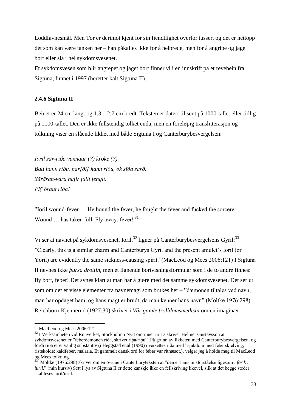Loddfavnesmål. Men Tor er derimot kjent for sin fiendtlighet overfor tusser, og det er nettopp det som kan være tanken her – han påkalles ikke for å helbrede, men for å angripe og jage bort eller slå i hel sykdomsvesenet.

Et sykdomsvesen som blir angrepet og jaget bort finner vi i en innskrift på et revebein fra Sigtuna, funnet i 1997 (heretter kalt Sigtuna II).

## **2.4.6 Sigtuna II**

Beinet er 24 cm langt og 1.3 – 2,7 cm bredt. Teksten er datert til sent på 1000-tallet eller tidlig på 1100-tallet. Den er ikke fullstendig tolket enda, men en foreløpig translitterasjon og tolkning viser en slående likhet med både Sigtuna I og Canterburybesvergelsen:

*Ioril sār-riða vaxnaur (?) kroke (?). Batt hann riðu, bar[ði] hann riðu, ok sīða sarð. Sārāran-vara hafir fullt fengit. Flȳ braut riða!*

"Ioril wound-fever … He bound the fever, he fought the fever and fucked the sorcerer. Wound ... has taken full. Fly away, fever! 31

Vi ser at navnet på sykdomsvesenet, Ioril,<sup>32</sup> ligner på Canterburybesvergelsens Gyril:<sup>33</sup> "Clearly, this is a similar charm and Canterburys Gyril and the present amulet's Ioril (or Yoril) are evidently the same sickness-causing spirit."(MacLeod og Mees 2006:121) I Sigtuna II nevnes ikke *þursa dróttin*, men et lignende bortvisningsformular som i de to andre finnes: fly bort, feber! Det synes klart at man har å gjøre med det samme sykdomsvesenet. Det ser ut som om det er visse elementer fra navnemagi som brukes her – "dæmonen tiltales ved navn, man har opdaget ham, og hans magt er brudt, da man kenner hans navn" (Moltke 1976:298). Reichborn-Kjennerud (1927:30) skriver i *Vår gamle trolldomsmedisin* om en imaginær

1

 $31$  MacLeod og Mees 2006:121.

<sup>&</sup>lt;sup>32</sup> I Verksamheten vid Runverket, Stockholm i Nytt om runer nr 13 skriver Helmer Gustavsson at sykdomsvesenet er "feberdemonen riða, skrivet riþa/riþu". På grunn av likheten med Canterburybesvergelsen, og fordi riða er et vanlig substantiv (i Heggstad et.al (1990) oversettes riða med "sjukdom med feberskjelving, ristekolde; kaldfeber, malaria. Et gammelt dansk ord for feber var rithæsot.), velger jeg å holde meg til MacLeod og Mees tolkning.

<sup>33</sup> Moltke (1976:298) skriver om en o-rune i Canterburyteksten at "den er hans misforståelse ligesom *i for k i iuril.*" (min kursiv) Sett i lys av Sigtuna II er dette kanskje ikke en feilskriving likevel, slik at det begge steder skal leses ioril/iuril.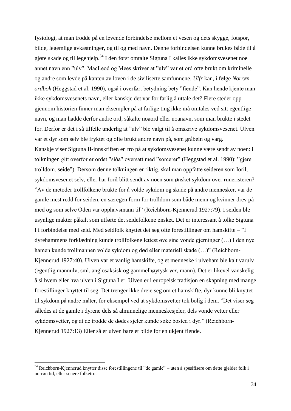fysiologi, at man trodde på en levende forbindelse mellom et vesen og dets skygge, fotspor, bilde, legemlige avkastninger, og til og med navn. Denne forbindelsen kunne brukes både til å gjøre skade og til legehjelp.<sup>34</sup> I den først omtalte Sigtuna I kalles ikke sykdomsvesenet noe annet navn enn "ulv". MacLeod og Mees skriver at "ulv" var et ord ofte brukt om kriminelle og andre som levde på kanten av loven i de siviliserte samfunnene. *Ulfr* kan, i følge *Norrøn ordbok* (Heggstad et al. 1990), også i overført betydning bety "fiende". Kan hende kjente man ikke sykdomsvesenets navn, eller kanskje det var for farlig å uttale det? Flere steder opp gjennom historien finner man eksempler på at farlige ting ikke må omtales ved sitt egentlige navn, og man hadde derfor andre ord, såkalte noaord eller noanavn, som man brukte i stedet for. Derfor er det i så tilfelle underlig at "ulv" ble valgt til å omskrive sykdomsvesenet. Ulven var et dyr som selv ble fryktet og ofte brukt andre navn på, som gråbein og varg. Kanskje viser Sigtuna II-innskriften en tro på at sykdomsvesenet kunne være sendt av noen: i tolkningen gitt overfor er ordet "siða" oversatt med "sorcerer" (Heggstad et al. 1990): "gjere trolldom, seide"). Dersom denne tolkningen er riktig, skal man oppfatte seideren som Ioril, sykdomsvesenet selv, eller har Ioril blitt sendt av noen som ønsket sykdom over runeristeren? "Av de metoder trollfolkene brukte for å volde sykdom og skade på andre mennesker, var de gamle mest redd for seiden, en særegen form for trolldom som både menn og kvinner drev på med og som selve Oden var opphavsmann til" (Reichborn-Kjennerud 1927:79). I seiden ble usynlige makter påkalt som utførte det seidefolkene ønsket. Det er interessant å tolke Sigtuna I i forbindelse med seid. Med seidfolk knyttet det seg ofte forestillinger om hamskifte – "I dyrehammens forklædning kunde trollfolkene lettest øve sine vonde gjerninger (…) I den nye hamen kunde trollmannen volde sykdom og død eller materiell skade (…)" (Reichborn-Kjennerud 1927:40). Ulven var et vanlig hamskifte, og et menneske i ulveham ble kalt varulv (egentlig mannulv, sml. anglosaksisk og gammelhøytysk *ver*, mann). Det er likevel vanskelig å si hvem eller hva ulven i Sigtuna I er. Ulven er i europeisk tradisjon en skapning med mange forestillinger knyttet til seg. Det trenger ikke dreie seg om et hamskifte, dyr kunne bli knyttet til sykdom på andre måter, for eksempel ved at sykdomsvetter tok bolig i dem. "Det viser seg således at de gamle i dyrene dels så alminnelige menneskesjeler, dels vonde vetter eller sykdomsvetter, og at de trodde de dødes sjeler kunde søke bosted i dyr." (Reichborn-Kjennerud 1927:13) Eller så er ulven bare et bilde for en ukjent fiende.

<sup>34</sup> Reichborn-Kjennerud knytter disse forestillingene til "de gamle" – uten å spesifisere om dette gjelder folk i norrøn tid, eller senere folketro.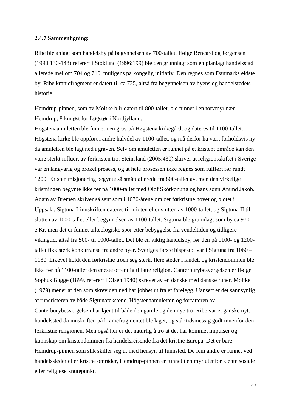#### **2.4.7 Sammenligning:**

Ribe ble anlagt som handelsby på begynnelsen av 700-tallet. Ifølge Bencard og Jørgensen (1990:130-148) referert i Stoklund (1996:199) ble den grunnlagt som en planlagt handelsstad allerede mellom 704 og 710, muligens på kongelig initiativ. Den regnes som Danmarks eldste by. Ribe kraniefragment er datert til ca 725, altså fra begynnelsen av byens og handelstedets historie.

Hemdrup-pinnen, som av Moltke blir datert til 800-tallet, ble funnet i en torvmyr nær Hemdrup, 8 km øst for Løgstør i Nordjylland.

Högstenaamuletten ble funnet i en grav på Høgstena kirkegård, og dateres til 1100-tallet. Högstena kirke ble oppført i andre halvdel av 1100-tallet, og må derfor ha vært forholdsvis ny da amuletten ble lagt ned i graven. Selv om amuletten er funnet på et kristent område kan den være sterkt influert av førkristen tro. Steinsland (2005:430) skriver at religionsskiftet i Sverige var en langvarig og broket prosess, og at hele prosessen ikke regnes som fullført før rundt 1200. Kristen misjonering begynte så smått allerede fra 800-tallet av, men den virkelige kristningen begynte ikke før på 1000-tallet med Olof Skötkonung og hans sønn Anund Jakob. Adam av Bremen skriver så sent som i 1070-årene om det førkristne hovet og blotet i Uppsala. Sigtuna I-innskriften dateres til midten eller slutten av 1000-tallet, og Sigtuna II til slutten av 1000-tallet eller begynnelsen av 1100-tallet. Sigtuna ble grunnlagt som by ca 970 e.Kr, men det er funnet arkeologiske spor etter bebyggelse fra vendeltiden og tidligere vikingtid, altså fra 500- til 1000-tallet. Det ble en viktig handelsby, før den på 1100- og 1200 tallet fikk sterk konkurranse fra andre byer. Sveriges første bispestol var i Sigtuna fra 1060 – 1130. Likevel holdt den førkristne troen seg sterkt flere steder i landet, og kristendommen ble ikke før på 1100-tallet den eneste offentlig tillatte religion. Canterburybesvergelsen er ifølge Sophus Bugge (1899, referert i Olsen 1940) skrevet av en danske med danske runer. Moltke (1979) mener at den som skrev den ned har jobbet ut fra et forelegg. Uansett er det sannsynlig at runeristeren av både Sigtunatekstene, Högstenaamuletten og forfatteren av Canterburybesvergelsen har kjent til både den gamle og den nye tro. Ribe var et ganske nytt handelssted da innskriften på kraniefragmentet ble laget, og står tidsmessig godt innenfor den førkristne religionen. Men også her er det naturlig å tro at det har kommet impulser og kunnskap om kristendommen fra handelsreisende fra det kristne Europa. Det er bare Hemdrup-pinnen som slik skiller seg ut med hensyn til funnsted. De fem andre er funnet ved handelssteder eller kristne områder, Hemdrup-pinnen er funnet i en myr utenfor kjente sosiale eller religiøse knutepunkt.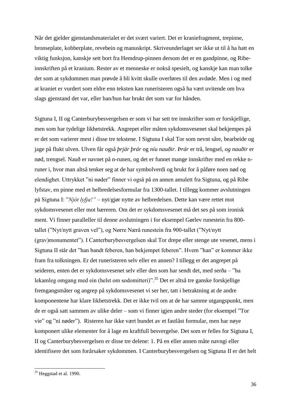Når det gjelder gjenstandsmaterialet er det svært variert. Det er kraniefragment, trepinne, bronseplate, kobberplate, revebein og manuskript. Skriveunderlaget ser ikke ut til å ha hatt en viktig funksjon, kanskje sett bort fra Hemdrup-pinnen dersom det er en gandpinne, og Ribeinnskriften på et kranium. Rester av et menneske er nokså spesielt, og kanskje kan man tolke det som at sykdommen man prøvde å bli kvitt skulle overføres til den avdøde. Men i og med at kraniet er vurdert som eldre enn teksten kan runeristeren også ha vært uvitende om hva slags gjenstand det var, eller han/hun har brukt det som var for hånden.

Sigtuna I, II og Canterburybesvergelsen er som vi har sett tre innskrifter som er forskjellige, men som har tydelige likhetstrekk. Angrepet eller måten sykdomsvesenet skal bekjempes på er det som varierer mest i disse tre tekstene. I Sigtuna I skal Tor som nevnt såre, bearbeide og jage på flukt ulven. Ulven får også *þrjár þrár* og *níu nauðir. Þrár* er trå, lengsel, *og nauðir* er nød, trengsel. Nauð er navnet på n-runen, og det er funnet mange innskrifter med en rekke nruner i, hvor man altså tenker seg at de har symbolverdi og brukt for å påføre noen nød og elendighet. Uttrykket "ni nøder" finner vi også på en annen amulett fra Sigtuna, og på Ribe lyfstav, en pinne med et helbredelsesformular fra 1300-tallet. I tillegg kommer avslutningen på Sigtuna I: "*Njót lyfja!" –* nyt/gjør nytte av helbredelsen. Dette kan være rettet mot sykdomsvesenet eller mot bæreren. Om det er sykdomsvesenet må det ses på som ironisk ment. Vi finner paralleller til denne avslutningen i for eksempel Gørlev runestein fra 800 tallet ("Nyt/nytt graven vel"), og Nørre Nærå runestein fra 900-tallet ("Nyt/nytt (grav)monumentet"). I Canterburybesvergelsen skal Tor drepe eller stenge ute vesenet, mens i Sigtuna II står det "han bandt feberen, han bekjempet feberen". Hvem "han" er kommer ikke fram fra tolkningen. Er det runeristeren selv eller en annen? I tillegg er det angrepet på seideren, enten det er sykdomsvesenet selv eller den som har sendt det, med serða – "ha lekamleg omgang med ein (helst om sodomitteri)".<sup>35</sup> Det er altså tre ganske forskjellige fremgangsmåter og angrep på sykdomsvesenet vi ser her, tatt i betraktning at de andre komponentene har klare likhetstrekk. Det er ikke tvil om at de har samme utgangspunkt, men de er også satt sammen av ulike deler – som vi finner igjen andre steder (for eksempel "Tor vie" og "ni nøder"). Risteren har ikke vært bundet av et fastlåst formular, men har nøye komponert ulike elementer for å lage en kraftfull besvergelse. Det som er felles for Sigtuna I, II og Canterburybesvergelsen er disse tre delene: 1. På en eller annen måte navngi eller identifisere det som forårsaker sykdommen. I Canterburybesvergelsen og Sigtuna II er det helt

 $35$  Heggstad et al. 1990.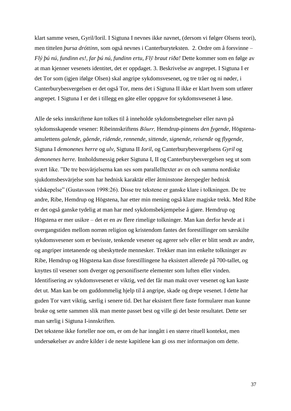klart samme vesen, Gyril/Ioril. I Sigtuna I nevnes ikke navnet, (dersom vi følger Olsens teori), men tittelen *þursa dróttinn*, som også nevnes i Canterburyteksten. 2. Ordre om å forsvinne – *Flý þú nú, fundinn es!, far þú nú, fundinn ertu, Flȳ braut riða!* Dette kommer som en følge av at man kjenner vesenets identitet, det er oppdaget. 3. Beskrivelse av angrepet. I Sigtuna I er det Tor som (igjen ifølge Olsen) skal angripe sykdomsvesenet, og tre tråer og ni nøder, i Canterburybesvergelsen er det også Tor, mens det i Sigtuna II ikke er klart hvem som utfører angrepet. I Sigtuna I er det i tillegg en gåte eller oppgave for sykdomsvesenet å løse.

Alle de seks innskriftene *kan* tolkes til å inneholde sykdomsbetegnelser eller navn på sykdomsskapende vesener: Ribeinnskriftens *Bōurr,* Hemdrup-pinnens *den fygende,* Högstenaamulettens *galende, gående, ridende, rennende, sittende, signende, reisende* og *flygende,*  Sigtuna I *demonenes herre* og *ulv,* Sigtuna II *Ioril*, og Canterburybesvergelsens *Gyril* og *demonenes herre.* Innholdsmessig peker Sigtuna I, II og Canterburybesvergelsen seg ut som svært like. "De tre besvärjelserna kan ses som parallelltexter av en och samma nordiske sjukdomsbesvärjelse som har hednisk karaktär eller åtminstone återspegler hednisk vidskepelse" (Gustavsson 1998:26). Disse tre tekstene er ganske klare i tolkningen. De tre andre, Ribe, Hemdrup og Högstena, har etter min mening også klare magiske trekk. Med Ribe er det også ganske tydelig at man har med sykdomsbekjempelse å gjøre. Hemdrup og Högstena er mer usikre – det er en av flere rimelige tolkninger. Man kan derfor hevde at i overgangstiden mellom norrøn religion og kristendom fantes det forestillinger om særskilte sykdomsvesener som er bevisste, tenkende vesener og agerer selv eller er blitt sendt av andre, og angriper intetanende og ubeskyttede mennesker. Trekker man inn enkelte tolkninger av Ribe, Hemdrup og Högstena kan disse forestillingene ha eksistert allerede på 700-tallet, og knyttes til vesener som dverger og personifiserte elementer som luften eller vinden. Identifisering av sykdomsvesenet er viktig, ved det får man makt over vesenet og kan kaste det ut. Man kan be om guddommelig hjelp til å angripe, skade og drepe vesenet. I dette har guden Tor vært viktig, særlig i senere tid. Det har eksistert flere faste formularer man kunne bruke og sette sammen slik man mente passet best og ville gi det beste resultatet. Dette ser man særlig i Sigtuna I-innskriften.

Det tekstene ikke forteller noe om, er om de har inngått i en større rituell kontekst, men undersøkelser av andre kilder i de neste kapitlene kan gi oss mer informasjon om dette.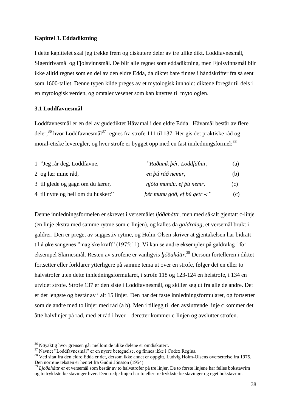## **Kapittel 3. Eddadiktning**

I dette kapittelet skal jeg trekke frem og diskutere deler av tre ulike dikt. Loddfavnesmål, Sigerdrivamål og Fjolsvinnsmål. De blir alle regnet som eddadiktning, men Fjolsvinnsmål blir ikke alltid regnet som en del av den eldre Edda, da diktet bare finnes i håndskrifter fra så sent som 1600-tallet. Denne typen kilde preges av et mytologisk innhold: diktene foregår til dels i en mytologisk verden, og omtaler vesener som kan knyttes til mytologien.

## **3.1 Loddfavnesmål**

Loddfavnesmål er en del av gudediktet Håvamål i den eldre Edda. Håvamål består av flere deler,<sup>36</sup> hvor Loddfavnesmål<sup>37</sup> regnes fra strofe 111 til 137. Her gis det praktiske råd og moral-etiske leveregler, og hver strofe er bygget opp med en fast innledningsformel:<sup>38</sup>

| 1 "Jeg rår deg, Loddfavne,         | "Raðumk þér, Loddfáfnir,             | (a) |
|------------------------------------|--------------------------------------|-----|
| 2 og lær mine råd,                 | en <i>bú ráð nemir</i> ,             | (b) |
| 3 til glede og gagn om du lærer,   | njóta mundu, ef þú nemr,             | (c) |
| 4 til nytte og hell om du husker." | $\beta$ ér munu góð, ef þú getr -: " | (c) |

Denne innledningsformelen er skrevet i versemålet *ljóðaháttr*, men med såkalt gjentatt c-linje (en linje ekstra med samme rytme som c-linjen), og kalles da *galdralag*, et versemål brukt i galdrer. Den er preget av suggestiv rytme, og Holm-Olsen skriver at gjentakelsen har bidratt til å øke sangenes "magiske kraft" (1975:11). Vi kan se andre eksempler på galdralag i for eksempel Skirnesmål. Resten av strofene er vanligvis *ljóðaháttr.*<sup>39</sup> Dersom fortelleren i diktet fortsetter eller forklarer ytterligere på samme tema ut over en strofe, følger det en eller to halvstrofer uten dette innledningsformularet, i strofe 118 og 123-124 en helstrofe, i 134 en utvidet strofe. Strofe 137 er den siste i Loddfavnesmål, og skiller seg ut fra alle de andre. Det er det lengste og består av i alt 15 linjer. Den har det faste innledningsformularet, og fortsetter som de andre med to linjer med råd (a b). Men i tillegg til den avsluttende linje c kommer det åtte halvlinjer på rad, med et råd i hver – deretter kommer c-linjen og avslutter strofen.

<sup>&</sup>lt;sup>36</sup> Nøyaktig hvor grensen går mellom de ulike delene er omdiskutert.

<sup>37</sup> Navnet "Loddfavnesmål" er en nyere betegnelse, og finnes ikke i Codex Regius*.*

<sup>38</sup> Ved sitat fra den eldre Edda er det, dersom ikke annet er oppgitt, Ludvig Holm-Olsens oversettelse fra 1975. Den norrøne teksten er hentet fra Guðni Jónsson (1954).

<sup>39</sup> *Ljoðaháttr* er et versemål som består av to halvstrofer på tre linjer. De to første linjene har felles bokstavrim og to trykksterke stavinger hver. Den tredje linjen har to eller tre trykksterke stavinger og eget bokstavrim.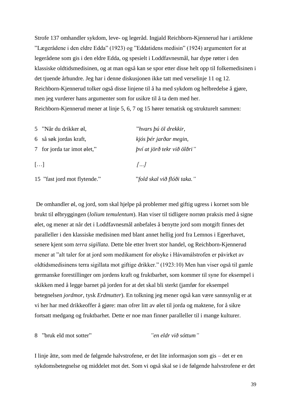Strofe 137 omhandler sykdom, leve- og legeråd. Ingjald Reichborn-Kjennerud har i artiklene "Lægerådene i den eldre Edda" (1923) og "Eddatidens medisin" (1924) argumentert for at legerådene som gis i den eldre Edda, og spesielt i Loddfavnesmål, har dype røtter i den klassiske oldtidsmedisinen, og at man også kan se spor etter disse helt opp til folkemedisinen i det tjuende århundre. Jeg har i denne diskusjonen ikke tatt med verselinje 11 og 12. Reichborn-Kjennerud tolker også disse linjene til å ha med sykdom og helbredelse å gjøre, men jeg vurderer hans argumenter som for usikre til å ta dem med her. Reichborn-Kjennerud mener at linje 5, 6, 7 og 15 hører tematisk og strukturelt sammen:

| 5 "Når du drikker øl,        | "hvars þú öl drekkir,               |
|------------------------------|-------------------------------------|
| 6 så søk jordas kraft,       | kjós þér jarðar megin,              |
| 7 for jorda tar imot ølet,"  | <i>bví at jörð tekr við ölðri</i> " |
| $\lceil \dots \rceil$        | 11                                  |
| 15 "fast jord mot flytende." | "fold skal við flóði taka."         |

De omhandler øl, og jord, som skal hjelpe på problemer med giftig ugress i kornet som ble brukt til ølbryggingen (*lolium temulentum*). Han viser til tidligere norrøn praksis med å signe ølet, og mener at når det i Loddfavnesmål anbefales å benytte jord som motgift finnes det paralleller i den klassiske medisinen med blant annet hellig jord fra Lemnos i Egeerhavet, senere kjent som *terra sigillata*. Dette ble etter hvert stor handel, og Reichborn-Kjennerud mener at "alt taler for at jord som medikament for ølsyke i Hávamálstrofen er påvirket av oldtidsmedisinens terra sigillata mot giftige drikker." (1923:10) Men han viser også til gamle germanske forestillinger om jordens kraft og fruktbarhet, som kommer til syne for eksempel i skikken med å legge barnet på jorden for at det skal bli sterkt (jamfør for eksempel betegnelsen *jordmor,* tysk *Erdmutter*). En tolkning jeg mener også kan være sannsynlig er at vi her har med drikkeoffer å gjøre: man ofrer litt av ølet til jorda og maktene, for å sikre fortsatt medgang og fruktbarhet. Dette er noe man finner paralleller til i mange kulturer.

8 "bruk eld mot sotter" *"en eldr við sóttum"*

I linje åtte, som med de følgende halvstrofene, er det lite informasjon som gis – det er en sykdomsbetegnelse og middelet mot det. Som vi også skal se i de følgende halvstrofene er det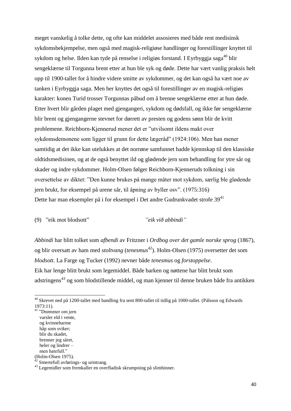meget vanskelig å tolke dette, og ofte kan middelet assosieres med både rent medisinsk sykdomsbekjempelse, men også med magisk-religiøse handlinger og forestillinger knyttet til sykdom og helse. Ilden kan tyde på renselse i religiøs forstand. I Eyrbyggja saga<sup>40</sup> blir sengeklærne til Torgunna brent etter at hun ble syk og døde. Dette har vært vanlig praksis helt opp til 1900-tallet for å hindre videre smitte av sykdommer, og det kan også ha vært noe av tanken i Eyrbyggja saga. Men her knyttes det også til forestillinger av en magisk-religiøs karakter: konen Turid trosser Torgunnas påbud om å brenne sengeklærne etter at hun døde. Etter hvert blir gården plaget med gjengangeri, sykdom og dødsfall, og ikke før sengeklærne blir brent og gjengangerne stevnet for dørrett av presten og godens sønn blir de kvitt problemene. Reichborn-Kjennerud mener det er "utvilsomt ildens makt over sykdomsdemonene som ligger til grunn for dette lægeråd" (1924:106). Men han mener samtidig at det ikke kan utelukkes at det norrøne samfunnet hadde kjennskap til den klassiske oldtidsmedisinen, og at de også benyttet ild og glødende jern som behandling for ytre sår og skader og indre sykdommer. Holm-Olsen følger Reichborn-Kjenneruds tolkning i sin oversettelse av diktet: "Den kunne brukes på mange måter mot sykdom, særlig ble glødende jern brukt, for eksempel på urene sår, til åpning av byller osv". (1975:316) Dette har man eksempler på i for eksempel i Det andre Gudrunkvadet strofe  $39^{41}$ 

(9) "eik mot blodsott" *"eik við abbindi"*

*Abbindi* har blitt tolket som *afbendi* av Fritzner i *Ordbog over det gamle norske sprog* (1867), og blir oversatt av ham med *stoltvang* (*tenesmus*<sup>42</sup>). Holm-Olsen (1975) oversetter det som *blodsott*. La Farge og Tucker (1992) nevner både *tenesmus* og *forstoppelse*. Eik har lenge blitt brukt som legemiddel. Både barken og nøttene har blitt brukt som adstringens<sup>43</sup> og som blodstillende middel, og man kjenner til denne bruken både fra antikken

<sup>&</sup>lt;sup>40</sup> Skrevet ned på 1200-tallet med handling fra sent 800-tallet til tidlig på 1000-tallet. (Pálsson og Edwards 1973:11).

<sup>41</sup> "Drømmer om jern varsler eld i vente, og kvinneharme håp som sviker; blir du skadet, brenner jeg såret, heler og lindrer – men hatefull." (Holm-Olsen 1975).

 $2$  Smertefull avførings- og urintrang.

<sup>43</sup> Legemidler som fremkaller en overfladisk skrumpning på slimhinner.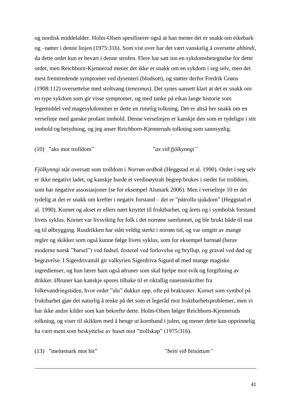og nordisk middelalder. Holm-Olsen spesifiserer også at han mener det er snakk om eikebark og –nøtter i denne linjen (1975:316). Som vist over har det vært vanskelig å oversette *abbindi*, da dette ordet kun er bevart i denne strofen. Flere har satt inn en sykdomsbetegnelse for dette ordet, men Reichborn-Kjennerud mener det ikke er snakk om en sykdom i seg selv, men det mest fremtredende symptomet ved dysenteri (blodsott), og støtter derfor Fredrik Grøns (1908:112) oversettelse med stoltvang (*tenesmus*). Det synes uansett klart at det er snakk om en type sykdom som gir visse symptomer, og med tanke på eikas lange historie som legemiddel ved magesykdommer er dette en rimelig tolkning. Det er altså her snakk om en verselinje med ganske profant innhold. Denne verselinjen er kanskje den som er tydeligst i sitt innhold og betydning, og jeg anser Reichborn-Kjenneruds tolkning som sannsynlig.

# (10) "aks mot trolldom" "*ax við fjölkynngi"*

*Fjölkynngi* står oversatt som trolldom i *Norrøn ordbok* (Heggstad et al. 1990). Ordet i seg selv er ikke negativt ladet, og kanskje burde et verdinøytralt begrep brukes i stedet for trolldom, som har negative assosiasjoner (se for eksempel Alsmark 2006). Men i verselinje 10 er det tydelig at det er snakk om krefter i negativ forstand – det er "påtrolla sjukdom" (Heggstad et al. 1990). Kornet og akset er ellers nært knyttet til fruktbarhet, og årets og i symbolsk forstand livets syklus. Kornet var livsviktig for folk i det norrøne samfunnet, og ble brukt både til mat og til ølbrygging. Rusdrikken har stått veldig sterkt i norrøn tid, og var omgitt av mange regler og skikker som også kunne følge livets syklus, som for eksempel barnsøl (herav moderne norsk "barsel") ved fødsel, festerøl ved forlovelse og bryllup, og gravøl ved død og begravelse. I Sigerdrivamål gir valkyrien Sigerdriva Sigurd øl med mange magiske ingredienser, og hun lærer ham også ølruner som skal hjelpe mot svik og forgiftning av drikker. Ølruner kan kanskje spores tilbake til et riktallig runeinnskrifter fra folkevandringstiden, hvor ordet "alu" dukker opp, ofte på brakteater. Kornet som symbol på fruktbarhet gjør det naturlig å tenke på det som et legeråd mot fruktbarhetsproblemer, men vi har ikke andre kilder som kan bekrefte dette. Holm-Olsen følger Reichborn-Kjenneruds tolkning, og viser til skikken med å henge ut kornband i julen, og mener dette kan opprinnelig ha vært ment som beskyttelse av huset mot "trollskap" (1975:316).

(13) "meitemark mot bit" "*beiti við bitsóttum"*

-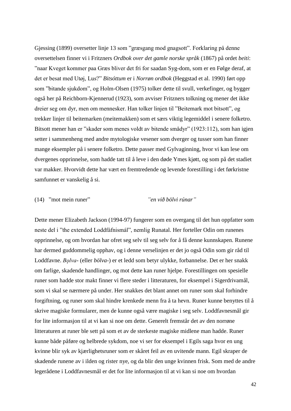Gjessing (1899) oversetter linje 13 som "græsgang mod gnagsott". Forklaring på denne oversettelsen finner vi i Fritzners *Ordbok over det gamle norske språk* (1867) på ordet *beiti*: "naar Kveget kommer paa Græs bliver det fri for saadan Syg-dom, som er en Følge deraf, at det er besat med Utøj, Lus?" *Bitsóttum* er i *Norrøn ordbok* (Heggstad et al. 1990) ført opp som "bitande sjukdom", og Holm-Olsen (1975) tolker dette til svull, verkefinger, og bygger også her på Reichborn-Kjennerud (1923), som avviser Fritzners tolkning og mener det ikke dreier seg om dyr, men om mennesker. Han tolker linjen til "Beitemark mot bitsott", og trekker linjer til beitemarken (meitemakken) som et særs viktig legemiddel i senere folketro. Bitsott mener han er "skader som menes voldt av bitende smådyr" (1923:112), som han igjen setter i sammenheng med andre mytologiske vesener som dverger og tusser som han finner mange eksempler på i senere folketro. Dette passer med Gylvaginning, hvor vi kan lese om dvergenes opprinnelse, som hadde tatt til å leve i den døde Ymes kjøtt, og som på det stadiet var makker. Hvorvidt dette har vært en fremtredende og levende forestilling i det førkristne samfunnet er vanskelig å si.

### (14) "mot mein runer" *"en við bölvi rúnar"*

Dette mener Elizabeth Jackson (1994-97) fungerer som en overgang til det hun oppfatter som neste del i "the extended Loddfáfnismál", nemlig Runatal. Her forteller Odin om runenes opprinnelse, og om hvordan har ofret seg selv til seg selv for å få denne kunnskapen. Runene har dermed guddommelig opphav, og i denne verselinjen er det jo også Odin som gir råd til Loddfavne. *Bǫlva*- (eller *bölva*-) er et ledd som betyr ulykke, forbannelse. Det er her snakk om farlige, skadende handlinger, og mot dette kan runer hjelpe. Forestillingen om spesielle runer som hadde stor makt finner vi flere steder i litteraturen, for eksempel i Sigerdrivamål, som vi skal se nærmere på under. Her snakkes det blant annet om runer som skal forhindre forgiftning, og runer som skal hindre krenkede menn fra å ta hevn. Runer kunne benyttes til å skrive magiske formularer, men de kunne også være magiske i seg selv. Loddfavnesmål gir for lite informasjon til at vi kan si noe om dette. Generelt fremstår det av den norrøne litteraturen at runer ble sett på som et av de sterkeste magiske midlene man hadde. Runer kunne både påføre og helbrede sykdom, noe vi ser for eksempel i Egils saga hvor en ung kvinne blir syk av kjærlighetsruner som er skåret feil av en uvitende mann. Egil skraper de skadende runene av i ilden og rister nye, og da blir den unge kvinnen frisk. Som med de andre legerådene i Loddfavnesmål er det for lite informasjon til at vi kan si noe om hvordan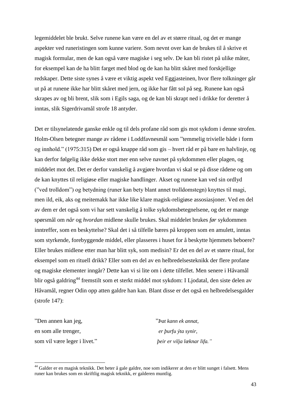legemiddelet ble brukt. Selve runene kan være en del av et større ritual, og det er mange aspekter ved runeristingen som kunne variere. Som nevnt over kan de brukes til å skrive et magisk formular, men de kan også være magiske i seg selv. De kan bli ristet på ulike måter, for eksempel kan de ha blitt farget med blod og de kan ha blitt skåret med forskjellige redskaper. Dette siste synes å være et viktig aspekt ved Eggjasteinen, hvor flere tolkninger går ut på at runene ikke har blitt skåret med jern, og ikke har fått sol på seg. Runene kan også skrapes av og bli brent, slik som i Egils saga, og de kan bli skrapt ned i drikke for deretter å inntas, slik Sigerdrivamål strofe 18 antyder.

Det er tilsynelatende ganske enkle og til dels profane råd som gis mot sykdom i denne strofen. Holm-Olsen betegner mange av rådene i Loddfavnesmål som "temmelig trivielle både i form og innhold." (1975:315) Det er også knappe råd som gis – hvert råd er på bare en halvlinje, og kan derfor følgelig ikke dekke stort mer enn selve navnet på sykdommen eller plagen, og middelet mot det. Det er derfor vanskelig å avgjøre hvordan vi skal se på disse rådene og om de kan knyttes til religiøse eller magiske handlinger. Akset og runene kan ved sin ordlyd ("ved trolldom") og betydning (runer kan bety blant annet trolldomstegn) knyttes til magi, men ild, eik, aks og meitemakk har ikke like klare magisk-religiøse assosiasjoner. Ved en del av dem er det også som vi har sett vanskelig å tolke sykdomsbetegnelsene, og det er mange spørsmål om *når* og *hvordan* midlene skulle brukes. Skal middelet brukes *før* sykdommen inntreffer, som en beskyttelse? Skal det i så tilfelle bæres på kroppen som en amulett, inntas som styrkende, forebyggende middel, eller plasseres i huset for å beskytte hjemmets beboere? Eller brukes midlene etter man har blitt syk, som medisin? Er det en del av et større ritual, for eksempel som en rituell drikk? Eller som en del av en helbredelsesteknikk der flere profane og magiske elementer inngår? Dette kan vi si lite om i dette tilfellet. Men senere i Håvamål blir også galdring<sup>44</sup> fremstilt som et sterkt middel mot sykdom: I Ljodatal, den siste delen av Håvamål, regner Odin opp atten galdre han kan. Blant disse er det også en helbredelsesgalder (strofe 147):

"Den annen kan jeg, "*Þat kann ek annat,* en som alle trenger, *er þurfu ýta synir,* som vil være leger i livet." *þeir er vilja læknar lifa."*

-

<sup>&</sup>lt;sup>44</sup> Galder er en magisk teknikk. Det heter å gale galdre, noe som indikerer at den er blitt sunget i falsett. Mens runer kan brukes som en skriftlig magisk teknikk, er galderen muntlig.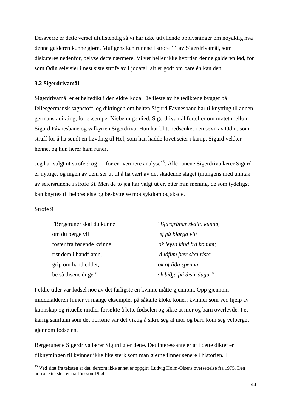Dessverre er dette verset ufullstendig så vi har ikke utfyllende opplysninger om nøyaktig hva denne galderen kunne gjøre. Muligens kan runene i strofe 11 av Sigerdrivamål, som diskuteres nedenfor, belyse dette nærmere. Vi vet heller ikke hvordan denne galderen lød, for som Odin selv sier i nest siste strofe av Ljodatal: alt er godt om bare én kan den.

## **3.2 Sigerdrivamål**

Sigerdrivamål er et heltedikt i den eldre Edda. De fleste av heltediktene bygger på fellesgermansk sagnstoff, og diktingen om helten Sigurd Fåvnesbane har tilknytting til annen germansk dikting, for eksempel Niebelungenlied. Sigerdrivamål forteller om møtet mellom Sigurd Fåvnesbane og valkyrien Sigerdriva. Hun har blitt nedsenket i en søvn av Odin, som straff for å ha sendt en høvding til Hel, som han hadde lovet seier i kamp. Sigurd vekker henne, og hun lærer ham runer.

Jeg har valgt ut strofe 9 og 11 for en nærmere analyse<sup>45</sup>. Alle runene Sigerdriva lærer Sigurd er nyttige, og ingen av dem ser ut til å ha vært av det skadende slaget (muligens med unntak av seiersrunene i strofe 6). Men de to jeg har valgt ut er, etter min mening, de som tydeligst kan knyttes til helbredelse og beskyttelse mot sykdom og skade.

# Strofe 9

-

| "Bergeruner skal du kunne  | "Bjargrúnar skaltu kunna, |  |
|----------------------------|---------------------------|--|
| om du berge vil            | ef <i>bú bjarga vilt</i>  |  |
| foster fra fødende kvinne; | ok leysa kind frá konum;  |  |
| rist dem i handflaten,     | á lófum þær skal rísta    |  |
| grip om handleddet,        | ok of liðu spenna         |  |
| be så disene duge."        | ok biðja þá dísir duga."  |  |

I eldre tider var fødsel noe av det farligste en kvinne måtte gjennom. Opp gjennom middelalderen finner vi mange eksempler på såkalte kloke koner; kvinner som ved hjelp av kunnskap og rituelle midler forsøkte å lette fødselen og sikre at mor og barn overlevde. I et karrig samfunn som det norrøne var det viktig å sikre seg at mor og barn kom seg velberget gjennom fødselen.

Bergerunene Sigerdriva lærer Sigurd gjør dette. Det interessante er at i dette diktet er tilknytningen til kvinner ikke like sterk som man gjerne finner senere i historien. I

<sup>&</sup>lt;sup>45</sup> Ved sitat fra teksten er det, dersom ikke annet er oppgitt, Ludvig Holm-Olsens oversettelse fra 1975. Den norrøne teksten er fra Jónsson 1954.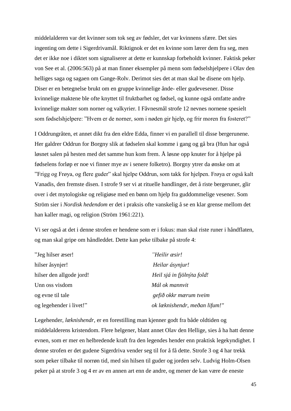middelalderen var det kvinner som tok seg av fødsler, det var kvinnens sfære. Det sies ingenting om dette i Sigerdrivamål. Riktignok er det en kvinne som lærer dem fra seg, men det er ikke noe i diktet som signaliserer at dette er kunnskap forbeholdt kvinner. Faktisk peker von See et al. (2006:563) på at man finner eksempler på menn som fødselshjelpere i Olav den helliges saga og sagaen om Gange-Rolv. Derimot sies det at man skal be disene om hjelp. Diser er en betegnelse brukt om en gruppe kvinnelige ånde- eller gudevesener. Disse kvinnelige maktene ble ofte knyttet til fruktbarhet og fødsel, og kunne også omfatte andre kvinnelige makter som norner og valkyrier. I Fåvnesmål strofe 12 nevnes nornene spesielt som fødselshjelpere: "Hvem er de norner, som i nøden gir hjelp, og frir moren fra fosteret?"

I Oddrungråten, et annet dikt fra den eldre Edda, finner vi en parallell til disse bergerunene. Her galdrer Oddrun for Borgny slik at fødselen skal komme i gang og gå bra (Hun har også løsnet salen på hesten med det samme hun kom frem. Å løsne opp knuter for å hjelpe på fødselens forløp er noe vi finner mye av i senere folketro). Borgny ytrer da ønske om at "Frigg og Frøya, og flere guder" skal hjelpe Oddrun, som takk for hjelpen. Frøya er også kalt Vanadis, den fremste disen. I strofe 9 ser vi at rituelle handlinger, det å riste bergeruner, glir over i det mytologiske og religiøse med en bønn om hjelp fra guddommelige vesener. Som Ström sier i *Nordisk hedendom* er det i praksis ofte vanskelig å se en klar grense mellom det han kaller magi, og religion (Ström 1961:221).

Vi ser også at det i denne strofen er hendene som er i fokus: man skal riste runer i håndflaten, og man skal gripe om håndleddet. Dette kan peke tilbake på strofe 4:

| "Jeg hilser æser!        | "Heilir æsir!                 |
|--------------------------|-------------------------------|
| hilser åsynjer!          | Heilar ásynjur!               |
| hilser den allgode jord! | Heil sjá in fjölnýta fold!    |
| Unn oss visdom           | Mál ok mannvit                |
| og evne til tale         | gefið okkr mærum tveim        |
| og legehender i livet!"  | ok læknishendr, meðan lifum!" |

Legehender, *læknishendr*, er en forestilling man kjenner godt fra både oldtiden og middelalderens kristendom. Flere helgener, blant annet Olav den Hellige, sies å ha hatt denne evnen, som er mer en helbredende kraft fra den legendes hender enn praktisk legekyndighet. I denne strofen er det gudene Sigerdriva vender seg til for å få dette. Strofe 3 og 4 har trekk som peker tilbake til norrøn tid, med sin hilsen til guder og jorden selv. Ludvig Holm-Olsen peker på at strofe 3 og 4 er av en annen art enn de andre, og mener de kan være de eneste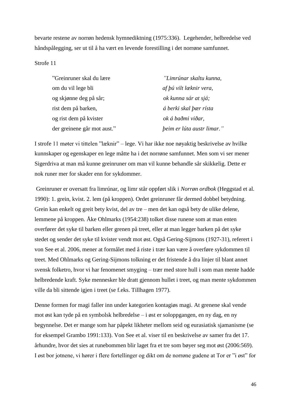bevarte restene av norrøn hedensk hymnediktning (1975:336). Legehender, helbredelse ved håndspålegging, ser ut til å ha vært en levende forestilling i det norrøne samfunnet.

## Strofe 11

| "Greinruner skal du lære    | "Limrúnar skaltu kunna,    |
|-----------------------------|----------------------------|
| om du vil lege bli          | af þú vilt læknir vera,    |
| og skjønne deg på sår;      | ok kunna sár at sjá;       |
| rist dem på barken,         | á berki skal þær rísta     |
| og rist dem på kvister      | ok á baðmi viðar,          |
| der greinene går mot aust." | beim er lúta austr limar." |

I strofe 11 møter vi tittelen "læknir" – lege. Vi har ikke noe nøyaktig beskrivelse av hvilke kunnskaper og egenskaper en lege måtte ha i det norrøne samfunnet. Men som vi ser mener Sigerdriva at man må kunne greinruner om man vil kunne behandle sår skikkelig. Dette er nok runer mer for skader enn for sykdommer.

Greinruner er oversatt fra limrúnar, og limr står oppført slik i *Norrøn ordbok* (Heggstad et al. 1990): 1. grein, kvist. 2. lem (på kroppen). Ordet greinruner får dermed dobbel betydning. Grein kan enkelt og greit bety kvist, del av tre – men det kan også bety de ulike delene, lemmene på kroppen. Åke Ohlmarks (1954:238) tolket disse runene som at man enten overfører det syke til barken eller grenen på treet, eller at man legger barken på det syke stedet og sender det syke til kvister vendt mot øst. Også Gering-Sijmons (1927-31), referert i von See et al. 2006, mener at formålet med å riste i trær kan være å overføre sykdommen til treet. Med Ohlmarks og Gering-Sijmons tolkning er det fristende å dra linjer til blant annet svensk folketro, hvor vi har fenomenet smyging – trær med store hull i som man mente hadde helbredende kraft. Syke mennesker ble dratt gjennom hullet i treet, og man mente sykdommen ville da bli sittende igjen i treet (se f.eks. Tillhagen 1977).

Denne formen for magi faller inn under kategorien kontagiøs magi. At grenene skal vende mot øst kan tyde på en symbolsk helbredelse – i øst er soloppgangen, en ny dag, en ny begynnelse. Det er mange som har påpekt likheter mellom seid og eurasiatisk sjamanisme (se for eksempel Grambo 1991:133). Von See et al. viser til en beskrivelse av samer fra det 17. århundre, hvor det sies at runebommen blir laget fra et tre som bøyer seg mot øst (2006:569). I øst bor jotnene, vi hører i flere fortellinger og dikt om de norrøne gudene at Tor er "i øst" for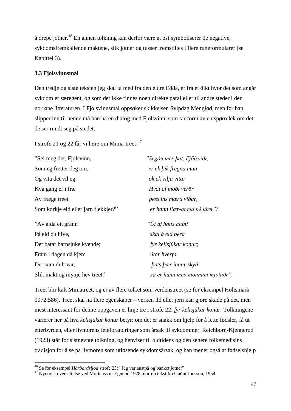å drepe jotner.<sup>46</sup> En annen tolkning kan derfor være at øst symboliserer de negative, sykdomsfremkallende maktene, slik jotner og tusser fremstilles i flere runeformularer (se Kapittel 3).

# **3.3 Fjolsvinnsmål**

Den tredje og siste teksten jeg skal ta med fra den eldre Edda, er fra et dikt hvor det som angår sykdom er særegent, og som det ikke finnes noen direkte paralleller til andre steder i den norrøne litteraturen. I Fjolsvinnsmål oppsøker skikkelsen Svipdag Menglød, men før han slipper inn til henne må han ha en dialog med Fjolsvinn, som tar form av en spørrelek om det de ser rundt seg på stedet.

I strofe 21 og 22 får vi høre om Mima-treet:<sup>47</sup>

| "Sei meg det, Fjolsvinn,             | "Segðu mér þat, Fjölsviðr,      |
|--------------------------------------|---------------------------------|
| Som eg fretter deg om,               | er ek þik fregna mun            |
| Og vita det vil eg:                  | ok ek vilja vita:               |
| Kva gang er i fræ                    | Hvat af móði verðr              |
| Av fræge treet                       | <i>bess ins mæra viðar,</i>     |
| Som korkje eld eller jarn flekkjer?" | er hann flær-at eld né járn"?   |
| "Av alda eit grann                   | "Út af hans aldni               |
| På eld du hive,                      | skal á eld bera                 |
| Det batar barnsjuke kvende;          | fyr kelisjúkar konur;           |
| Fram i dagen då kjem                 | útar hverfa                     |
| Det som dult var,                    | <i>bats bær innar skyli,</i>    |
| Slik makt og mynje hev treet."       | sá er hann með mönnum mjötuðr". |

Treet blir kalt Mimatreet, og er av flere tolket som verdenstreet (se for eksempel Holtsmark 1972:586). Treet skal ha flere egenskaper – verken ild eller jern kan gjøre skade på det, men mest interessant for denne oppgaven er linje tre i strofe 22: *fyr kelisjúkar konur.* Tolkningene varierer her på hva *kelisjúkar konur* betyr: om det er snakk om hjelp for å lette fødsler, få ut etterbyrden, eller livmorens leieforandringer som årsak til sykdommer. Reichborn-Kjennerud (1923) står for sistnevnte tolkning, og henviser til oldtidens og den senere folkemedisins tradisjon for å se på livmoren som utløsende sykdomsårsak, og han mener også at fødselshjelp

-

<sup>46</sup> Se for eksempel *Hårbardsljod* strofe 23: "Jeg var austpå og banket jotner"

<sup>47</sup> Nynorsk oversettelse ved Mortensson-Egnund 1928, norrøn tekst fra Guðni Jónsson, 1954.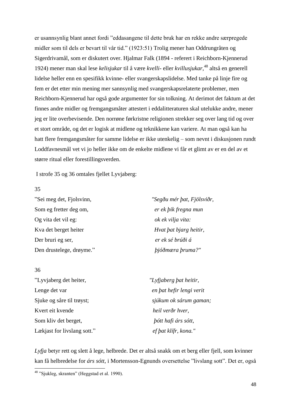er usannsynlig blant annet fordi "eddasangene til dette bruk har en rekke andre særpregede midler som til dels er bevart til vår tid." (1923:51) Trolig mener han Oddrungråten og Sigerdrivamål, som er diskutert over. Hjalmar Falk (1894 - referert i Reichborn-Kjennerud 1924) mener man skal lese *kelisjukar* til å være *kvelli*- eller *kvillusjukar*, <sup>48</sup> altså en generell lidelse heller enn en spesifikk kvinne- eller svangerskapslidelse. Med tanke på linje fire og fem er det etter min mening mer sannsynlig med svangerskapsrelaterte problemer, men Reichborn-Kjennerud har også gode argumenter for sin tolkning. At derimot det faktum at det finnes andre midler og fremgangsmåter attestert i eddalitteraturen skal utelukke andre, mener jeg er lite overbevisende. Den norrøne førkristne religionen strekker seg over lang tid og over et stort område, og det er logisk at midlene og teknikkene kan variere. At man også kan ha hatt flere fremgangsmåter for samme lidelse er ikke utenkelig – som nevnt i diskusjonen rundt Loddfavnesmål vet vi jo heller ikke om de enkelte midlene vi får et glimt av er en del av et større ritual eller forestillingsverden.

I strofe 35 og 36 omtales fjellet Lyvjaberg:

### 35

-

| "Sei meg det, Fjolsvinn, | "Segðu mér þat, Fjölsviðr, |
|--------------------------|----------------------------|
| Som eg fretter deg om,   | er ek þik fregna mun       |
| Og vita det vil eg:      | ok ek vilja vita:          |
| Kva det berget heiter    | Hvat bat bjarg heitir,     |
| Der bruri eg ser,        | er ek sé brúði á           |
| Den drustelege, drøyme." | þjóðmæra þruma?"           |

| 36                          |                            |
|-----------------------------|----------------------------|
| "Lyvjaberg det heiter,      | "Lyfjaberg þat heitir,     |
| Lenge det var               | en þat hefir lengi verit   |
| Sjuke og såre til trøyst;   | sjúkum ok sárum gaman;     |
| Kvert eit kvende            | heil verðr hver,           |
| Som kliv det berget,        | <i>bótt hafi árs sótt,</i> |
| Lækjast for livslang sott." | ef bat klífr, kona."       |

*Lyfja* betyr rett og slett å lege, helbrede. Det er altså snakk om et berg eller fjell, som kvinner kan få helbredelse for *árs sótt*, i Mortensson-Egnunds oversettelse "livslang sott". Det er, også

<sup>&</sup>lt;sup>48</sup> "Sjukleg, skranten" (Heggstad et al. 1990).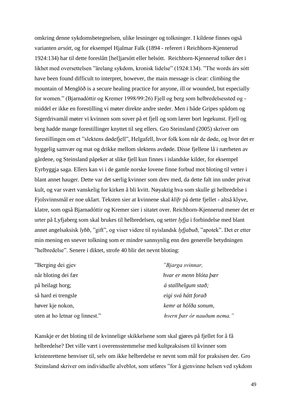omkring denne sykdomsbetegnelsen, ulike lesninger og tolkninger. I kildene finnes også varianten *arsótt*, og for eksempel Hjalmar Falk (1894 - referert i Reichborn-Kjennerud 1924:134) har til dette foreslått [hel]jarsótt eller helsótt. Reichborn-Kjennerud tolker det i likhet med oversettelsen "årelang sykdom, kronisk lidelse" (1924:134). "The words árs sótt have been found difficult to interpret, however, the main message is clear: climbing the mountain of Menglöð is a secure healing practice for anyone, ill or wounded, but especially for women." (Bjarnadóttir og Kremer 1998/99:26) Fjell og berg som helbredelsessted og middel er ikke en forestilling vi møter direkte andre steder. Men i både Gripes spådom og Sigerdrivamål møter vi kvinnen som sover på et fjell og som lærer bort legekunst. Fjell og berg hadde mange forestillinger knyttet til seg ellers. Gro Steinsland (2005) skriver om forestillingen om et "slektens dødefjell", Helgafell, hvor folk kom når de døde, og hvor det er hyggelig samvær og mat og drikke mellom slektens avdøde. Disse fjellene lå i nærheten av gårdene, og Steinsland påpeker at slike fjell kun finnes i islandske kilder, for eksempel Eyrbyggja saga. Ellers kan vi i de gamle norske lovene finne forbud mot bloting til vetter i blant annet hauger. Dette var det særlig kvinner som drev med, da dette falt inn under privat kult, og var svært vanskelig for kirken å bli kvitt. Nøyaktig hva som skulle gi helbredelse i Fjolsvinnsmål er noe uklart. Teksten sier at kvinnene skal *klífr* på dette fjellet - altså klyve, klatre, som også Bjarnadóttir og Kremer sier i sitatet over. Reichborn-Kjennerud mener det er urter på Lyfjaberg som skal brukes til helbredelsen, og setter *lyfja* i forbindelse med blant annet angelsaksisk *lybb*, "gift", og viser videre til nyislandsk *lyfjabuð*, "apotek". Det er etter min mening en snever tolkning som er mindre sannsynlig enn den generelle betydningen "helbredelse". Senere i diktet, strofe 40 blir det nevnt bloting:

| "Berging dei gjev              | "Bjarga svinnar,              |  |
|--------------------------------|-------------------------------|--|
| når bloting dei fær            | hvar er menn blóta þær        |  |
| på heilagt horg;               | $\acute{a}$ stallhelgum stað; |  |
| så hard ei trengsle            | eigi svá hátt forað           |  |
| høver kje nokon,               | kemr at hölða sonum,          |  |
| uten at ho letnar og linnest." | hvern þær ór nauðum nema."    |  |

Kanskje er det bloting til de kvinnelige skikkelsene som skal gjøres på fjellet for å få helbredelse? Det ville vært i overensstemmelse med kultpraksisen til kvinner som kristenrettene henviser til, selv om ikke helbredelse er nevnt som mål for praksisen der. Gro Steinsland skriver om individuelle alveblot, som utføres "for å gjenvinne helsen ved sykdom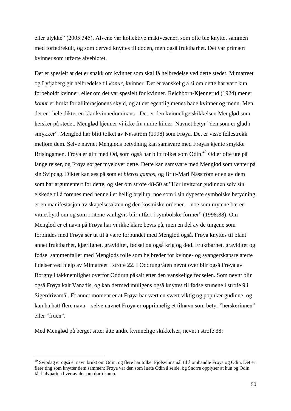eller ulykke" (2005:345). Alvene var kollektive maktvesener, som ofte ble knyttet sammen med forfedrekult, og som derved knyttes til døden, men også fruktbarhet. Det var primært kvinner som utførte alveblotet.

Det er spesielt at det er snakk om kvinner som skal få helbredelse ved dette stedet. Mimatreet og Lyfjaberg gir helbredelse til *konur*, kvinner. Det er vanskelig å si om dette har vært kun forbeholdt kvinner, eller om det var spesielt for kvinner. Reichborn-Kjennerud (1924) mener *konur* er brukt for alliterasjonens skyld, og at det egentlig menes både kvinner og menn. Men det er i hele diktet en klar kvinnedominans - Det er den kvinnelige skikkelsen Menglød som hersker på stedet. Menglød kjenner vi ikke fra andre kilder. Navnet betyr "den som er glad i smykker". Menglød har blitt tolket av Näsström (1998) som Frøya. Det er visse fellestrekk mellom dem. Selve navnet Mengløds betydning kan samsvare med Frøyas kjente smykke Brisingamen. Frøya er gift med Od, som også har blitt tolket som Odin.<sup>49</sup> Od er ofte ute på lange reiser, og Frøya sørger mye over dette. Dette kan samsvare med Menglød som venter på sin Svipdag. Diktet kan ses på som et *hieros gamos*, og Britt-Mari Näsström er en av dem som har argumentert for dette, og sier om strofe 48-50 at "Her inviterer gudinnen selv sin elskede til å forenes med henne i et hellig bryllup, noe som i sin dypeste symbolske betydning er en manifestasjon av skapelsesakten og den kosmiske ordenen – noe som mytene bærer vitnesbyrd om og som i ritene vanligvis blir utført i symbolske former" (1998:88). Om Menglød er et navn på Frøya har vi ikke klare bevis på, men en del av de tingene som forbindes med Frøya ser ut til å være forbundet med Menglød også. Frøya knyttes til blant annet fruktbarhet, kjærlighet, graviditet, fødsel og også krig og død. Fruktbarhet, graviditet og fødsel sammenfaller med Mengløds rolle som helbreder for kvinne- og svangerskapsrelaterte lidelser ved hjelp av Mimatreet i strofe 22. I Oddrungråten nevnt over blir også Frøya av Borgny i takknemlighet overfor Oddrun påkalt etter den vanskelige fødselen. Som nevnt blir også Frøya kalt Vanadis, og kan dermed muligens også knyttes til fødselsrunene i strofe 9 i Sigerdrivamål. Et annet moment er at Frøya har vært en svært viktig og populær gudinne, og kan ha hatt flere navn – selve navnet Frøya er opprinnelig et tilnavn som betyr "herskerinnen" eller "fruen".

Med Menglød på berget sitter åtte andre kvinnelige skikkelser, nevnt i strofe 38:

<sup>49</sup> Svipdag er også et navn brukt om Odin, og flere har tolket Fjolsvinnsmål til å omhandle Frøya og Odin. Det er flere ting som knytter dem sammen: Frøya var den som lærte Odin å seide, og Snorre opplyser at hun og Odin får halvparten hver av de som dør i kamp.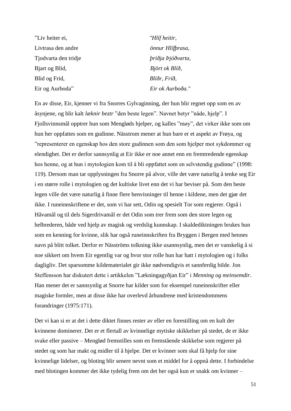| "Liv heiter ei,      | "Hlíf heitir,            |
|----------------------|--------------------------|
| Livtrasa den andre   | önnur Hlífþrasa,         |
| Tjodvarta den tridje | <i>briðja Þjóðvarta,</i> |
| Bjart og Blid,       | Björt ok Blíð,           |
| Blid og Frid,        | Blíðr, Fríð,             |
| Eir og Aurboda"      | Eir ok Aurboða."         |

En av disse, Eir, kjenner vi fra Snorres Gylvaginning, der hun blir regnet opp som en av åsynjene, og blir kalt *læknir beztr* "den beste legen". Navnet betyr "nåde, hjelp". I Fjollsvinnsmål opptrer hun som Mengløds hjelper, og kalles "møy", det virker ikke som om hun her oppfattes som en gudinne. Nässtrom mener at hun bare er et aspekt av Frøya, og "representerer en egenskap hos den store gudinnen som den som hjelper mot sykdommer og elendighet. Det er derfor sannsynlig at Eir ikke er noe annet enn en fremtredende egenskap hos henne, og at hun i mytologien kom til å bli oppfattet som en selvstendig gudinne" (1998: 119). Dersom man tar opplysningen fra Snorre på alvor, ville det være naturlig å tenke seg Eir i en større rolle i mytologien og det kultiske livet enn det vi har beviser på. Som den beste legen ville det være naturlig å finne flere henvisninger til henne i kildene, men det gjør det ikke. I runeinnskriftene er det, som vi har sett, Odin og spesielt Tor som regjerer. Også i Håvamål og til dels Sigerdrivamål er det Odin som trer frem som den store legen og helbrederen, både ved hjelp av magisk og verdslig kunnskap. I skaldediktningen brukes hun som en kenning for kvinne, slik har også runeinnskriften fra Bryggen i Bergen med hennes navn på blitt tolket. Derfor er Näsströms tolkning ikke usannsynlig, men det er vanskelig å si noe sikkert om hvem Eir egentlig var og hvor stor rolle hun har hatt i mytologien og i folks dagligliv. Det sparsomme kildematerialet gir ikke nødvendigvis et sannferdig bilde. Jon Steffensson har diskutert dette i artikkelen "Lækningagyðjan Eir" i *Menning og meinsemdir*. Han mener det er sannsynlig at Snorre har kilder som for eksempel runeinnskrifter eller magiske formler, men at disse ikke har overlevd århundrene med kristendommens forandringer (1975:171).

Det vi kan si er at det i dette diktet finnes rester av eller en forestilling om en kult der kvinnene dominerer. Det er et flertall av kvinnelige mytiske skikkelser på stedet, de er ikke svake eller passive – Menglød fremstilles som en fremstående skikkelse som regjerer på stedet og som har makt og midler til å hjelpe. Det er kvinner som skal få hjelp for sine kvinnelige lidelser, og bloting blir senere nevnt som et middel for å oppnå dette. I forbindelse med blotingen kommer det ikke tydelig frem om det her også kun er snakk om kvinner –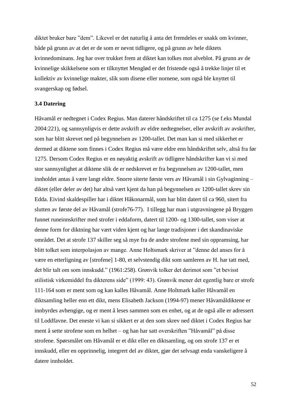diktet bruker bare "dem". Likevel er det naturlig å anta det fremdeles er snakk om kvinner, både på grunn av at det er de som er nevnt tidligere, og på grunn av hele diktets kvinnedominans. Jeg har over trukket frem at diktet kan tolkes mot alveblot. På grunn av de kvinnelige skikkelsene som er tilknyttet Menglød er det fristende også å trekke linjer til et kollektiv av kvinnelige makter, slik som disene eller nornene, som også ble knyttet til svangerskap og fødsel.

### **3.4 Datering**

Håvamål er nedtegnet i Codex Regius. Man daterer håndskriftet til ca 1275 (se f.eks Mundal 2004:221), og sannsynligvis er dette avskrift av eldre nedtegnelser, eller avskrift av avskrifter, som har blitt skrevet ned på begynnelsen av 1200-tallet. Det man kan si med sikkerhet er dermed at diktene som finnes i Codex Regius må være eldre enn håndskriftet selv, altså fra før 1275. Dersom Codex Regius er en nøyaktig avskrift av tidligere håndskrifter kan vi si med stor sannsynlighet at diktene slik de er nedskrevet er fra begynnelsen av 1200-tallet, men innholdet antas å være langt eldre. Snorre siterte første vers av Håvamål i sin Gylvaginning – diktet (eller deler av det) har altså vært kjent da han på begynnelsen av 1200-tallet skrev sin Edda. Eivind skaldespiller har i diktet Håkonarmål, som har blitt datert til ca 960, sitert fra slutten av første del av Håvamål (strofe76-77). I tillegg har man i utgravningene på Bryggen funnet runeinnskrifter med strofer i eddaform, datert til 1200- og 1300-tallet, som viser at denne form for diktning har vært viden kjent og har lange tradisjoner i det skandinaviske området. Det at strofe 137 skiller seg så mye fra de andre strofene med sin oppramsing, har blitt tolket som interpolasjon av mange. Anne Holtsmark skriver at "denne del anses for å være en etterligning av [strofene] 1-80, et selvstendig dikt som samleren av H. har tatt med, det blir talt om som innskudd." (1961:258). Grønvik tolker det derimot som "et bevisst stilistisk virkemiddel fra dikterens side" (1999: 43). Grønvik mener det egentlig bare er strofe 111-164 som er ment som og kan kalles Håvamål. Anne Holtmark kaller Håvamål en diktsamling heller enn ett dikt, mens Elisabeth Jackson (1994-97) mener Håvamåldiktene er innbyrdes avhengige, og er ment å leses sammen som en enhet, og at de også alle er adressert til Loddfavne. Det eneste vi kan si sikkert er at den som skrev ned diktet i Codex Regius har ment å sette strofene som en helhet – og han har satt overskriften "Håvamål" på disse strofene. Spørsmålet om Håvamål er et dikt eller en diktsamling, og om strofe 137 er et innskudd, eller en opprinnelig, integrert del av diktet, gjør det selvsagt enda vanskeligere å datere innholdet.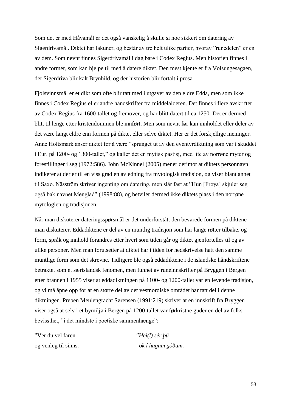Som det er med Håvamål er det også vanskelig å skulle si noe sikkert om datering av Sigerdrivamål. Diktet har lakuner, og består av tre helt ulike partier, hvorav "runedelen" er en av dem. Som nevnt finnes Sigerdrivamål i dag bare i Codex Regius. Men historien finnes i andre former, som kan hjelpe til med å datere diktet. Den mest kjente er fra Volsungesagaen, der Sigerdriva blir kalt Brynhild, og der historien blir fortalt i prosa.

Fjolsvinnsmål er et dikt som ofte blir tatt med i utgaver av den eldre Edda, men som ikke finnes i Codex Regius eller andre håndskrifter fra middelalderen. Det finnes i flere avskrifter av Codex Regius fra 1600-tallet og fremover, og har blitt datert til ca 1250. Det er dermed blitt til lenge etter kristendommen ble innført. Men som nevnt før kan innholdet eller deler av det være langt eldre enn formen på diktet eller selve diktet. Her er det forskjellige meninger. Anne Holtsmark anser diktet for å være "sprunget ut av den eventyrdiktning som var i skuddet i Eur. på 1200- og 1300-tallet," og kaller det en mytisk pastisj, med lite av norrøne myter og forestillinger i seg (1972:586). John McKinnel (2005) mener derimot at diktets personnavn indikerer at der er til en viss grad en avledning fra mytologisk tradisjon, og viser blant annet til Saxo. Näsström skriver ingenting om datering, men slår fast at "Hun [Frøya] skjuler seg også bak navnet Menglad" (1998:88), og betviler dermed ikke diktets plass i den norrøne mytologien og tradisjonen.

Når man diskuterer dateringsspørsmål er det underforstått den bevarede formen på diktene man diskuterer. Eddadiktene er del av en muntlig tradisjon som har lange røtter tilbake, og form, språk og innhold forandres etter hvert som tiden går og diktet gjenfortelles til og av ulike personer. Men man forutsetter at diktet har i tiden for nedskrivelse hatt den samme muntlige form som det skrevne. Tidligere ble også eddadiktene i de islandske håndskriftene betraktet som et særislandsk fenomen, men funnet av runeinnskrifter på Bryggen i Bergen etter brannen i 1955 viser at eddadiktningen på 1100- og 1200-tallet var en levende tradisjon, og vi må åpne opp for at en større del av det vestnordiske området har tatt del i denne diktningen. Preben Meulengracht Sørensen (1991:219) skriver at en innskrift fra Bryggen viser også at selv i et bymiljø i Bergen på 1200-tallet var førkristne guder en del av folks bevissthet, "i det mindste i poetiske sammenhænge":

"Ver du vel faren *"Hei(l) sér þú*  og venleg til sinns. *ok í hugum góðum.*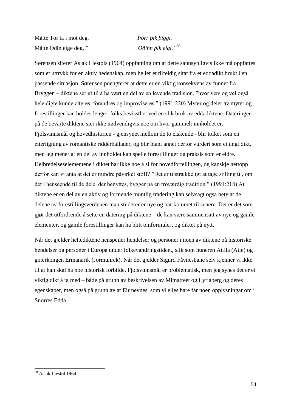Måtte Tor ta i mot deg. *Þórr þik þiggi.*  Måtte Odin eige deg. "

*50*

Sørensen siterer Aslak Liestøls (1964) oppfatning om at dette sannsynligvis ikke må oppfattes som et uttrykk for en aktiv hedenskap, men heller et tilfeldig sitat fra et eddadikt brukt i en passende situasjon. Sørensen poengterer at dette er en viktig konsekvens av funnet fra Bryggen – diktene ser ut til å ha vært en del av en levende tradisjon, "hvor vers og vel også hele digte kunne citeres, forandres og improviseres." (1991:220) Myter og deler av myter og forestillinger kan holdes lenge i folks bevissthet ved en slik bruk av eddadiktene. Dateringen på de bevarte diktene sier ikke nødvendigvis noe om hvor gammelt innholdet er. Fjolsvinnsmål og hovedhistorien - gjensynet mellom de to elskende - blir tolket som en etterligning av romantiske ridderballader, og blir blant annet derfor vurdert som et ungt dikt, men jeg mener at en del av innholdet kan speile forestillinger og praksis som er eldre. Helbredelseselementene i diktet har ikke noe å si for hovedfortellingen, og kanskje nettopp derfor kan vi anta at det er mindre påvirket stoff? "Det er tilstrækkeligt at tage stilling til, om det i henseende til de dele, der benyttes, bygger på en troværdig tradition." (1991:218) At diktene er en del av en aktiv og formende muntlig tradering kan selvsagt også bety at de delene av forestillingsverdenen man studerer er nye og har kommet til senere. Det er det som gjør det utfordrende å sette en datering på diktene – de kan være sammensatt av nye og gamle elementer, og gamle forestillinger kan ha blitt omformulert og diktet på nytt.

Når det gjelder heltediktene henspeiler hendelser og personer i noen av diktene på historiske hendelser og personer i Europa under folkevandringstiden., slik som huneren Attila (Atle) og goterkongen Ermanarik (Jormunrek). Når det gjelder Sigurd Fåvnesbane selv kjenner vi ikke til at han skal ha noe historisk forbilde. Fjolsvinnsmål er problematisk, men jeg synes det er et viktig dikt å ta med – både på grunn av beskrivelsen av Mimatreet og Lyfjaberg og deres egenskaper, men også på grunn av at Eir nevnes, som vi elles bare får noen opplysningar om i Snorres Edda.

<sup>-</sup><sup>50</sup> Aslak Liestøl 1964.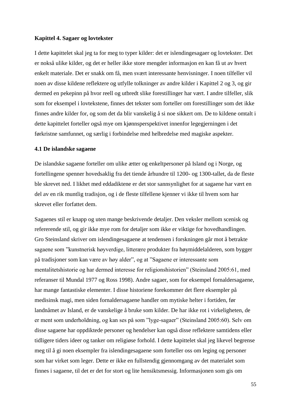#### **Kapittel 4. Sagaer og lovtekster**

I dette kapittelet skal jeg ta for meg to typer kilder: det er islendingesagaer og lovtekster. Det er nokså ulike kilder, og det er heller ikke store mengder informasjon en kan få ut av hvert enkelt materiale. Det er snakk om få, men svært interessante henvisninger. I noen tilfeller vil noen av disse kildene reflektere og utfylle tolkninger av andre kilder i Kapittel 2 og 3, og gir dermed en pekepinn på hvor reell og utbredt slike forestillinger har vært. I andre tilfeller, slik som for eksempel i lovtekstene, finnes det tekster som forteller om forestillinger som det ikke finnes andre kilder for, og som det da blir vanskelig å si noe sikkert om. De to kildene omtalt i dette kapittelet forteller også mye om kjønnsperspektivet innenfor legegjerningen i det førkristne samfunnet, og særlig i forbindelse med helbredelse med magiske aspekter.

## **4.1 De islandske sagaene**

De islandske sagaene forteller om ulike ætter og enkeltpersoner på Island og i Norge, og fortellingene spenner hovedsaklig fra det tiende århundre til 1200- og 1300-tallet, da de fleste ble skrevet ned. I likhet med eddadiktene er det stor sannsynlighet for at sagaene har vært en del av en rik muntlig tradisjon, og i de fleste tilfellene kjenner vi ikke til hvem som har skrevet eller forfattet dem.

Sagaenes stil er knapp og uten mange beskrivende detaljer. Den veksler mellom scenisk og refererende stil, og gir ikke mye rom for detaljer som ikke er viktige for hovedhandlingen. Gro Steinsland skriver om islendingesagaene at tendensen i forskningen går mot å betrakte sagaene som "kunstnerisk høyverdige, litterære produkter fra høymiddelalderen, som bygger på tradisjoner som kan være av høy alder", og at "Sagaene er interessante som mentalitetshistorie og har dermed interesse for religionshistorien" (Steinsland 2005:61, med referanser til Mundal 1977 og Ross 1998). Andre sagaer, som for eksempel fornaldersagaene, har mange fantastiske elementer. I disse historiene forekommer det flere eksempler på medisinsk magi, men siden fornaldersagaene handler om mytiske helter i fortiden, før landnåmet av Island, er de vanskelige å bruke som kilder. De har ikke rot i virkeligheten, de er ment som underholdning, og kan ses på som "lyge-sagaer" (Steinsland 2005:60). Selv om disse sagaene har oppdiktede personer og hendelser kan også disse reflektere samtidens eller tidligere tiders ideer og tanker om religiøse forhold. I dette kapittelet skal jeg likevel begrense meg til å gi noen eksempler fra islendingesagaene som forteller oss om leging og personer som har virket som leger. Dette er ikke en fullstendig gjennomgang av det materialet som finnes i sagaene, til det er det for stort og lite hensiktsmessig. Informasjonen som gis om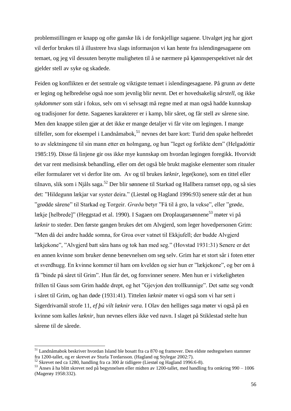problemstillingen er knapp og ofte ganske lik i de forskjellige sagaene. Utvalget jeg har gjort vil derfor brukes til å illustrere hva slags informasjon vi kan hente fra islendingesagaene om temaet, og jeg vil dessuten benytte muligheten til å se nærmere på kjønnsperspektivet når det gjelder stell av syke og skadede.

Feiden og konflikten er det sentrale og viktigste temaet i islendingesagaene. På grunn av dette er leging og helbredelse også noe som jevnlig blir nevnt. Det er hovedsakelig *sårstell,* og ikke *sykdommer* som står i fokus, selv om vi selvsagt må regne med at man også hadde kunnskap og tradisjoner for dette. Sagaenes karakterer er i kamp, blir såret, og får stell av sårene sine. Men den knappe stilen gjør at det ikke er mange detaljer vi får vite om legingen. I mange tilfeller, som for eksempel i Landnåmabok,<sup>51</sup> nevnes det bare kort: Turid den spake helbredet to av slektningene til sin mann etter en holmgang, og hun "leget og forlikte dem" (Helgadóttir 1985:19). Disse få linjene gir oss ikke mye kunnskap om hvordan legingen foregikk. Hvorvidt det var rent medisinsk behandling, eller om det også ble brukt magiske elementer som ritualer eller formularer vet vi derfor lite om. Av og til brukes *læknir*, lege(kone), som en tittel eller tilnavn, slik som i Njåls saga.<sup>52</sup> Der blir sønnene til Starkad og Hallbera ramset opp, og så sies det: "Hildegunn lækjar var syster deira." (Liestøl og Hagland 1996:93) senere står det at hun "grødde sårene" til Starkad og Torgeir. *Grœða* betyr "Få til å gro, la vekse", eller "grøde, lækje [helbrede]" (Heggstad et al. 1990). I Sagaen om Droplaugarsønnene<sup>53</sup> møter vi på *læknir* to steder. Den første gangen brukes det om Alvgjerd, som leger hovedpersonen Grim: "Men då dei andre hadde somna, for Groa over vatnet til Ekkjufell; der budde Alvgjerd lækjekone", "Alvgjerd batt såra hans og tok han med seg." (Hovstad 1931:31) Senere er det en annen kvinne som bruker denne benevnelsen om seg selv. Grim har et stort sår i foten etter et sverdhugg. En kvinne kommer til ham om kvelden og sier hun er "lækjekone", og ber om å få "binde på såret til Grim". Hun får det, og forsvinner senere. Men hun er i virkeligheten frillen til Gaus som Grim hadde drept, og het "Gjevjon den trollkunnige". Det satte seg vondt i såret til Grim, og han døde (1931:41). Tittelen *læknir* møter vi også som vi har sett i Sigerdrivamål strofe 11, *ef þú vilt læknir vera.* I Olav den helliges saga møter vi også på en kvinne som kalles *læknir*, hun nevnes ellers ikke ved navn. I slaget på Stiklestad stelte hun sårene til de sårede.

<sup>51</sup> Landnåmabok beskriver hvordan Island ble bosatt fra ca 870 og framover. Den eldste nedtegnelsen stammer fra 1200-tallet, og er skrevet av Sturla Tordarsson. (Hagland og Stylegar 2002:7).

 $52$  Skrevet ned ca 1280, handling fra ca 300 år tidligere (Liestøl og Hagland 1996:6-8).

 $53$  Anses å ha blitt skrevet ned på begynnelsen eller midten av 1200-tallet, med handling fra omkring 990 – 1006 (Magerøy 1958:332).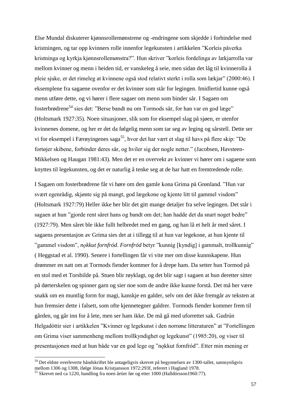Else Mundal diskuterer kjønnsrollemønstrene og -endringene som skjedde i forbindelse med kristningen, og tar opp kvinners rolle innenfor legekunsten i artikkelen "Korleis påverka kristninga og kyrkja kjønnsrollemønstra?". Hun skriver "korleis fordelinga av lækjarrolla var mellom kvinner og menn i heiden tid, er vanskeleg å seie, men sidan det låg til kvinnerolla å pleie sjuke, er det rimeleg at kvinnene også stod relativt sterkt i rolla som lækjar" (2000:46). I eksemplene fra sagaene ovenfor er det kvinner som står for legingen. Imidlertid kunne også menn utføre dette, og vi hører i flere sagaer om menn som binder sår. I Sagaen om fosterbrødrene<sup>54</sup> sies det: "Berse bandt nu om Tormods sår, for han var en god læge" (Holtsmark 1927:35). Noen situasjoner, slik som for eksempel slag på sjøen, er utenfor kvinnenes domene, og her er det da følgelig menn som tar seg av leging og sårstell. Dette ser vi for eksempel i Færøyingenes saga<sup>55</sup>, hvor det har vært et slag til havs på flere skip: "De fortøjer skibene, forbinder deres sår, og hviler sig der nogle netter." (Jacobsen, Havsteen-Mikkelsen og Haugan 1981:43). Men det er en overvekt av kvinner vi hører om i sagaene som knyttes til legekunsten, og det er naturlig å tenke seg at de har hatt en fremtredende rolle.

I Sagaen om fosterbrødrene får vi høre om den gamle kona Grima på Grønland. "Hun var svært egenrådig, skjønte sig på mangt, god lægekone og kjente litt til gammel visdom" (Holtsmark 1927:79) Heller ikke her blir det gitt mange detaljer fra selve legingen. Det står i sagaen at hun "gjorde rent såret hans og bandt om det; han hadde det da snart noget bedre" (1927:79). Men såret ble ikke fullt helbredet med en gang, og han lå et helt år med såret. I sagaens presentasjon av Grima sies det at i tillegg til at hun var legekone, at hun kjente til "gammel visdom", *nǫkkut fornfród*. *Fornfród* betyr "kunnig [kyndig] i gammalt, trollkunnig" ( Heggstad et al. 1990). Senere i fortellingen får vi vite mer om disse kunnskapene. Hun drømmer en natt om at Tormods fiender kommer for å drepe ham. Da setter hun Tormod på en stol med et Torsbilde på. Stuen blir røyklagt, og det blir sagt i sagaen at hun deretter sitter på dørterskelen og spinner garn og sier noe som de andre ikke kunne forstå. Det må her være snakk om en muntlig form for magi, kanskje en galder, selv om det ikke fremgår av teksten at hun fremsier dette i falsett, som ofte kjennetegner galdrer. Tormods fiender kommer frem til gården, og går inn for å lete, men ser ham ikke. De må gå med uforrettet sak. Gudrún Helgadóttir sier i artikkelen "Kvinner og legekunst i den norrøne litteraturen" at "Fortellingen om Grima viser sammenheng mellom trollkyndighet og legekunst" (1985:20), og viser til presentasjonen med at hun både var en god lege og "nǫkkut fornfród". Etter min mening er

<sup>54</sup> Det eldste overleverte håndskriftet ble antageligvis skrevet på begynnelsen av 1300-tallet, sannsynligvis mellom 1306 og 1308, ifølge Jónas Kristjansson 1972:293f, referert i Hagland 1978.

<sup>&</sup>lt;sup>55</sup> Skrevet ned ca 1220, handling fra noen årtier før og etter 1000 (Halldórsson1960:77).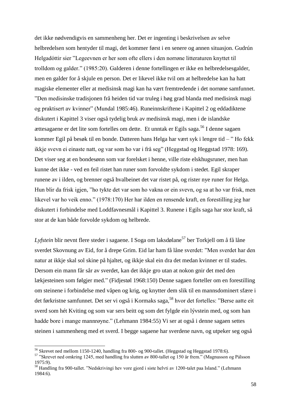det ikke nødvendigvis en sammenheng her. Det er ingenting i beskrivelsen av selve helbredelsen som hentyder til magi, det kommer først i en senere og annen situasjon. Gudrún Helgadóttir sier "Legeevnen er her som ofte ellers i den norrøne litteraturen knyttet til trolldom og galder." (1985:20). Galderen i denne fortellingen er ikke en helbredelsesgalder, men en galder for å skjule en person. Det er likevel ikke tvil om at helbredelse kan ha hatt magiske elementer eller at medisinsk magi kan ha vært fremtredende i det norrøne samfunnet. "Den medisinske tradisjonen frå heiden tid var truleg i høg grad blanda med medisinsk magi og praktisert av kvinner" (Mundal 1985:46). Runeinnskriftene i Kapittel 2 og eddadiktene diskutert i Kapittel 3 viser også tydelig bruk av medisinsk magi, men i de islandske ættesagaene er det lite som fortelles om dette. Et unntak er Egils saga.<sup>56</sup> I denne sagaen kommer Egil på besøk til en bonde. Datteren hans Helga har vært syk i lengre tid – " Ho fekk ikkje svevn ei einaste natt, og var som ho var i frå seg" (Heggstad og Heggstad 1978: 169). Det viser seg at en bondesønn som var forelsket i henne, ville riste elskhugsruner, men han kunne det ikke - ved en feil ristet han runer som forvoldte sykdom i stedet. Egil skraper runene av i ilden, og brenner også hvalbeinet det var ristet på, og rister nye runer for Helga. Hun blir da frisk igjen, "ho tykte det var som ho vakna or ein svevn, og sa at ho var frisk, men likevel var ho veik enno." (1978:170) Her har ilden en rensende kraft, en forestilling jeg har diskutert i forbindelse med Loddfavnesmål i Kapittel 3. Runene i Egils saga har stor kraft, så stor at de kan både forvolde sykdom og helbrede.

Lyfstein blir nevnt flere steder i sagaene. I Soga om laksdølane<sup>57</sup> ber Torkjell om å få låne sverdet Skovnung av Eid, for å drepe Grim. Eid lar ham få låne sverdet: "Men sverdet har den natur at ikkje skal sol skine på hjaltet, og ikkje skal ein dra det medan kvinner er til stades. Dersom ein mann får sår av sverdet, kan det ikkje gro utan at nokon gnir det med den lækjesteinen som følgjer med." (Fidjestøl 1968:150) Denne sagaen forteller om en forestilling om steinene i forbindelse med våpen og krig, og knytter dem slik til en mannsdominert sfære i det førkristne samfunnet. Det ser vi også i Kormaks saga, <sup>58</sup> hvor det fortelles: "Berse aatte eit sverd som hét Kviting og som var sers beitt og som det fylgde ein lývstein med, og som han hadde bore i mange mannrøyne." (Lehmann 1984:55) Vi ser at også i denne sagaen settes steinen i sammenheng med et sverd. I begge sagaene har sverdene navn, og utpeker seg også

<sup>56</sup> Skrevet ned mellom 1150-1240, handling fra 800- og 900-tallet. (Heggstad og Heggstad 1978:6).

<sup>57</sup> "Skrevet ned omkring 1245, med handling fra slutten av 800-tallet og 150 år frem." (Magnusson og Pálsson 1975:9).

<sup>58</sup> Handling fra 900-tallet. "Nedskrivingi hev vore gjord i siste helvti av 1200-talet paa Island." (Lehmann 1984:6).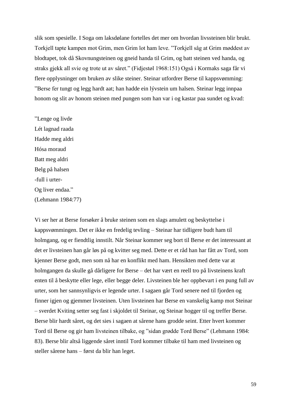slik som spesielle. I Soga om laksdølane fortelles det mer om hvordan livssteinen blir brukt. Torkjell tapte kampen mot Grim, men Grim lot ham leve. "Torkjell såg at Grim møddest av blodtapet, tok då Skovnungsteinen og gneid handa til Grim, og batt steinen ved handa, og straks gjekk all svie og trote ut av såret." (Fidjestøl 1968:151) Også i Kormaks saga får vi flere opplysninger om bruken av slike steiner. Steinar utfordrer Berse til kappsvømming: "Berse fer tungt og legg hardt aat; han hadde ein lývstein um halsen. Steinar legg innpaa honom og slit av honom steinen med pungen som han var i og kastar paa sundet og kvad:

"Lenge og livde Lét lagnad raada Hadde meg aldri Hósa moraud Batt meg aldri Belg på halsen -full i urter-Og liver endaa." (Lehmann 1984:77)

Vi ser her at Berse forsøker å bruke steinen som en slags amulett og beskyttelse i kappsvømmingen. Det er ikke en fredelig tevling – Steinar har tidligere budt ham til holmgang, og er fiendtlig innstilt. Når Steinar kommer seg bort til Berse er det interessant at det er livsteinen han går løs på og kvitter seg med. Dette er et råd han har fått av Tord, som kjenner Berse godt, men som nå har en konflikt med ham. Hensikten med dette var at holmgangen da skulle gå dårligere for Berse – det har vært en reell tro på livsteinens kraft enten til å beskytte eller lege, eller begge deler. Livsteinen ble her oppbevart i en pung full av urter, som her sannsynligvis er legende urter. I sagaen går Tord senere ned til fjorden og finner igjen og gjemmer livsteinen. Uten livsteinen har Berse en vanskelig kamp mot Steinar – sverdet Kviting setter seg fast i skjoldet til Steinar, og Steinar hogger til og treffer Berse. Berse blir hardt såret, og det sies i sagaen at sårene hans grodde seint. Etter hvert kommer Tord til Berse og gir ham livsteinen tilbake, og "sidan grødde Tord Berse" (Lehmann 1984: 83). Berse blir altså liggende såret inntil Tord kommer tilbake til ham med livsteinen og steller sårene hans – først da blir han leget.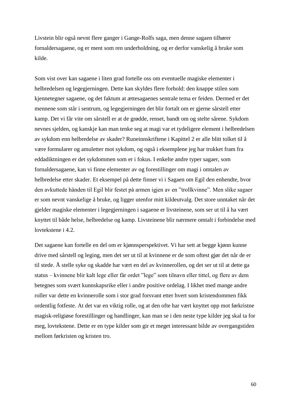Livstein blir også nevnt flere ganger i Gange-Rolfs saga, men denne sagaen tilhører fornaldersagaene, og er ment som ren underholdning, og er derfor vanskelig å bruke som kilde.

Som vist over kan sagaene i liten grad fortelle oss om eventuelle magiske elementer i helbredelsen og legegjerningen. Dette kan skyldes flere forhold: den knappe stilen som kjennetegner sagaene, og det faktum at ættesagaenes sentrale tema er feiden. Dermed er det mennene som står i sentrum, og legegjerningen det blir fortalt om er gjerne sårstell etter kamp. Det vi får vite om sårstell er at de grødde, renset, bandt om og stelte sårene. Sykdom nevnes sjelden, og kanskje kan man tenke seg at magi var et tydeligere element i helbredelsen av sykdom enn helbredelse av skader? Runeinnskriftene i Kapittel 2 er alle blitt tolket til å være formularer og amuletter mot sykdom, og også i eksemplene jeg har trukket fram fra eddadiktningen er det sykdommen som er i fokus. I enkelte andre typer sagaer, som fornaldersagaene, kan vi finne elementer av og forestillinger om magi i omtalen av helbredelse etter skader. Et eksempel på dette finner vi i Sagaen om Egil den enhendte, hvor den avkuttede hånden til Egil blir festet på armen igjen av en "trollkvinne". Men slike sagaer er som nevnt vanskelige å bruke, og ligger utenfor mitt kildeutvalg. Det store unntaket når det gjelder magiske elementer i legegjerningen i sagaene er livsteinene, som ser ut til å ha vært knyttet til både helse, helbredelse og kamp. Livsteinene blir nærmere omtalt i forbindelse med lovtekstene i 4.2.

Det sagaene kan fortelle en del om er kjønnsperspektivet. Vi har sett at begge kjønn kunne drive med sårstell og leging, men det ser ut til at kvinnene er de som oftest gjør det når de er til stede. Å stelle syke og skadde har vært en del av kvinnerollen, og det ser ut til at dette ga status – kvinnene blir kalt lege eller får ordet "lege" som tilnavn eller tittel, og flere av dem betegnes som svært kunnskapsrike eller i andre positive ordelag. I likhet med mange andre roller var dette en kvinnerolle som i stor grad forsvant etter hvert som kristendommen fikk ordentlig fotfeste. At det var en viktig rolle, og at den ofte har vært knyttet opp mot førkristne magisk-religiøse forestillinger og handlinger, kan man se i den neste type kilder jeg skal ta for meg, lovtekstene. Dette er en type kilder som gir et meget interessant bilde av overgangstiden mellom førkristen og kristen tro.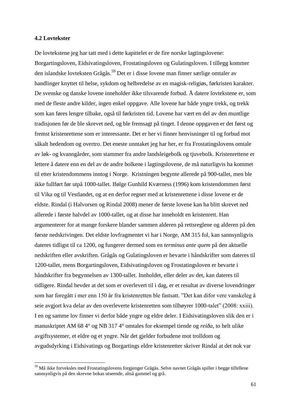### **4.2 Lovtekster**

-

De lovtekstene jeg har tatt med i dette kapittelet er de fire norske lagtingslovene: Borgartingsloven, Eidsivatingsloven, Frostatingsloven og Gulatingsloven. I tillegg kommer den islandske lovteksten Grågås. <sup>59</sup> Det er i disse lovene man finner særlige omtaler av handlinger knyttet til helse, sykdom og helbredelse av en magisk-religiøs, førkristen karakter. De svenske og danske lovene inneholder ikke tilsvarende forbud. Å datere lovtekstene er, som med de fleste andre kilder, ingen enkel oppgave. Alle lovene har både yngre trekk, og trekk som kan føres lengre tilbake, også til førkristen tid. Lovene har vært en del av den muntlige tradisjonen før de ble skrevet ned, og ble fremsagt på tinget. I denne oppgaven er det først og fremst kristenrettene som er interessante. Det er her vi finner henvisninger til og forbud mot såkalt hedendom og overtro. Det eneste unntaket jeg har her, er fra Frostatingslovens omtale av løk- og kvanngårder, som stammer fra andre landsleigebolk og tjuvebolk. Kristenrettene er lettere å datere enn en del av de andre bolkene i lagtingslovene, de må naturligvis ha kommet til etter kristendommens inntog i Norge. Kristningen begynte allerede på 900-tallet, men ble ikke fullført før utpå 1000-tallet. Ifølge Gunhild Kværness (1996) kom kristendommen først til Vika og til Vestlandet, og at en derfor regner med at kristenrettene i disse lovene er de eldste. Rindal (i Halvorsen og Rindal 2008) mener de første lovene kan ha blitt skrevet ned allerede i første halvdel av 1000-tallet, og at disse har inneholdt en kristenrett. Han argumenterer for at mange forskere blander sammen alderen på rettsreglene og alderen på den første nedskrivingen. Det eldste lovfragmentet vi har i Norge, AM 315 fol, kan sannsynligvis dateres tidligst til ca 1200, og fungerer dermed som en *terminus ante quem* på den aktuelle nedskriften eller avskriften. Grågås og Gulatingsloven er bevarte i håndskrifter som dateres til 1200-tallet, mens Borgartingsloven, Eidsivatingsloven og Frostatingsloven er bevarte i håndskrifter fra begynnelsen av 1300-tallet. Innholdet, eller deler av det, kan dateres til tidligere. Rindal hevder at det som er overlevert til i dag, er et resultat av diverse lovendringer som har foregått i mer enn 150 år fra kristenretten ble fastsatt. "Det kan difor vere vanskeleg å seie avgjort kva delar av den overleverte kristenretten som tilhøyrer 1000-talet" (2008: xxiii). I en og samme lov finner vi derfor både yngre og eldre deler. I Eidsivatingsloven slik den er i manuskriptet AM 68 4° og NB 317 4° omtales for eksempel tiende og *reiða*, to helt ulike avgiftsystemer, et eldre og et yngre. Når det gjelder forbudene mot trolldom og avgudsdyrking i Eidsivatings og Borgartings eldre kristenretter skriver Rindal at det nok var

<sup>59</sup> Må ikke forveksles med Frostatingslovens forgjenger Grågås. Selve navnet Grågås spiller i begge tilfellene sannsynligvis på den skrevne bokas utseende, altså gammel og grå.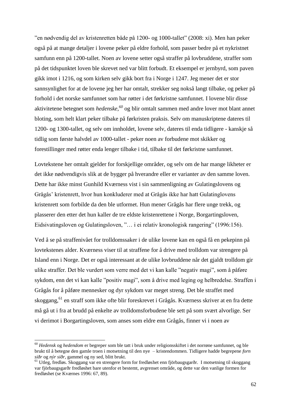"en nødvendig del av kristenretten både på 1200- og 1000-tallet" (2008: xi). Men han peker også på at mange detaljer i lovene peker på eldre forhold, som passer bedre på et nykristnet samfunn enn på 1200-tallet. Noen av lovene setter også straffer på lovbruddene, straffer som på det tidspunktet loven ble skrevet ned var blitt forbudt. Et eksempel er jernbyrd, som paven gikk imot i 1216, og som kirken selv gikk bort fra i Norge i 1247. Jeg mener det er stor sannsynlighet for at de lovene jeg her har omtalt, strekker seg nokså langt tilbake, og peker på forhold i det norske samfunnet som har røtter i det førkristne samfunnet. I lovene blir disse aktivitetene betegnet som *hedenske, <sup>60</sup>* og blir omtalt sammen med andre lover mot blant annet bloting, som helt klart peker tilbake på førkristen praksis. Selv om manuskriptene dateres til 1200- og 1300-tallet, og selv om innholdet, lovene selv, dateres til enda tidligere - kanskje så tidlig som første halvdel av 1000-tallet - peker noen av forbudene mot skikker og forestillinger med røtter enda lenger tilbake i tid, tilbake til det førkristne samfunnet.

Lovtekstene her omtalt gjelder for forskjellige områder, og selv om de har mange likheter er det ikke nødvendigvis slik at de bygger på hverandre eller er varianter av den samme loven. Dette har ikke minst Gunhild Kværness vist i sin sammenligning av Gulatingslovens og Grågås' kristenrett, hvor hun konkluderer med at Grågås ikke har hatt Gulatinglovens kristenrett som forbilde da den ble utformet. Hun mener Grågås har flere unge trekk, og plasserer den etter det hun kaller de tre eldste kristenrettene i Norge, Borgartingsloven, Eidsivatingsloven og Gulatingsloven, "… i ei relativ kronologisk rangering" (1996:156).

Ved å se på straffenivået for trolldomssaker i de ulike lovene kan en også få en pekepinn på lovtekstenes alder. Kværness viser til at straffene for å drive med trolldom var strengere på Island enn i Norge. Det er også interessant at de ulike lovbruddene når det gjaldt trolldom gir ulike straffer. Det ble vurdert som verre med det vi kan kalle "negativ magi", som å påføre sykdom, enn det vi kan kalle "positiv magi", som å drive med leging og helbredelse. Straffen i Grågås for å påføre mennesker og dyr sykdom var meget streng. Det ble straffet med skoggang, <sup>61</sup> en straff som ikke ofte blir foreskrevet i Grågås. Kværness skriver at en fra dette må gå ut i fra at brudd på enkelte av trolldomsforbudene ble sett på som svært alvorlige. Ser vi derimot i Borgartingsloven, som anses som eldre enn Grågås, finner vi i noen av

<sup>60</sup> *Hedensk* og *hedendom* er begreper som ble tatt i bruk under religionsskiftet i det norrøne samfunnet, og ble brukt til å betegne den gamle troen i motsetning til den nye – kristendommen. Tidligere hadde begrepene *forn siðr* og *nýr siðr,* gammel og ny sed, blitt brukt.

<sup>61</sup> Utleg, fredløs. Skoggang var en strengere form for fredløshet enn fjörbaugsgarðr. I motsetning til skoggang var fjörbaugsgarðr fredløshet bare utenfor et bestemt, avgrenset område, og dette var den vanlige formen for fredløshet (se Kværnes 1996: 67, 89).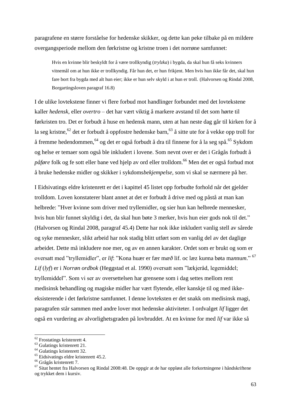paragrafene en større forståelse for hedenske skikker, og dette kan peke tilbake på en mildere overgangsperiode mellom den førkristne og kristne troen i det norrøne samfunnet:

Hvis en kvinne blir beskyldt for å være trollkyndig (*trylzka*) i bygda, da skal hun få seks kvinners vitnemål om at hun ikke er trollkyndig. Får hun det, er hun frikjent. Men hvis hun ikke får det, skal hun fare bort fra bygda med alt hun eier; ikke er hun selv skyld i at hun er troll. (Halvorsen og Rindal 2008, Borgartingsloven paragraf 16.8)

I de ulike lovtekstene finner vi flere forbud mot handlinger forbundet med det lovtekstene kaller *hedensk*, eller *overtro* – det har vært viktig å markere avstand til det som hørte til førkristen tro. Det er forbudt å huse en hedensk mann, uten at han neste dag går til kirken for å la seg kristne,<sup>62</sup> det er forbudt å oppfostre hedenske barn,<sup>63</sup> å sitte ute for å vekke opp troll for å fremme hedendommen, <sup>64</sup> og det er også forbudt å dra til finnene for å la seg spå. <sup>65</sup> Sykdom og helse er temaer som også ble inkludert i lovene. Som nevnt over er det i Grågås forbudt å *påføre* folk og fe sott eller bane ved hjelp av ord eller trolldom. <sup>66</sup> Men det er også forbud mot å bruke hedenske midler og skikker i sykdoms*bekjempelse,* som vi skal se nærmere på her.

I Eidsivatings eldre kristenrett er det i kapittel 45 listet opp forbudte forhold når det gjelder trolldom. Loven konstaterer blant annet at det er forbudt å drive med og påstå at man kan helbrede: "Hver kvinne som driver med tryllemidler, og sier hun kan helbrede mennesker, hvis hun blir funnet skyldig i det, da skal hun bøte 3 merker, hvis hun eier gods nok til det." (Halvorsen og Rindal 2008, paragraf 45.4) Dette har nok ikke inkludert vanlig stell av sårede og syke mennesker, slikt arbeid har nok stadig blitt utført som en vanlig del av det daglige arbeidet. Dette må inkludere noe mer, og av en annen karakter. Ordet som er brukt og som er oversatt med "tryllemidler", er *lif*: "Kona huær er fær m*æð* lif. oc læz ku*n*na bøta ma*n*nu*m*." 67 *Lif* (*lyf*) er i *Norrøn ordbok* (Heggstad et al. 1990) oversatt som "lækjeråd, legemiddel; tryllemiddel". Som vi ser av oversettelsen har grensene som i dag settes mellom rent medisinsk behandling og magiske midler har vært flytende, eller kanskje til og med ikkeeksisterende i det førkristne samfunnet. I denne lovteksten er det snakk om medisinsk magi, paragrafen står sammen med andre lover mot hedenske aktiviteter. I ordvalget *lif* ligger det også en vurdering av alvorlighetsgraden på lovbruddet. At en kvinne for med *lif* var ikke så

-

 $62$  Frostatings kristenrett 4.

<sup>&</sup>lt;sup>63</sup> Gulatings kristenrett 21.

<sup>&</sup>lt;sup>64</sup> Gulatings kristenrett 32.

<sup>65</sup> Eidsivatings eldre kristenrett 45.2.

<sup>66</sup> Grågås kristenrett 7.

 $67$  Sitat hentet fra Halvorsen og Rindal 2008:48. De oppgir at de har oppløst alle forkortningene i håndskriftene og trykket dem i kursiv.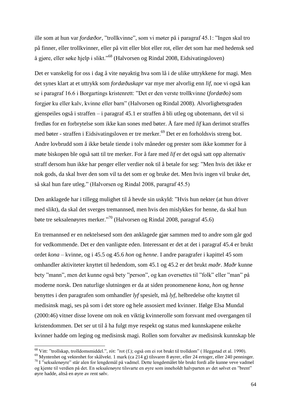ille som at hun var *fordæðor*, "trollkvinne", som vi møter på i paragraf 45.1: "Ingen skal tro på finner, eller trollkvinner, eller på vitt eller blot eller rot, eller det som har med hedensk sed å gjøre, eller søke hjelp i slikt."<sup>68</sup> (Halvorsen og Rindal 2008, Eidsivatingsloven)

Det er vanskelig for oss i dag å vite nøyaktig hva som lå i de ulike uttrykkene for magi. Men det synes klart at et uttrykk som *fordæðuskapr* var mye mer alvorlig enn *lif*, noe vi også kan se i paragraf 16.6 i Borgartings kristenrett: "Det er den verste trollkvinne (*fordæðo)* som forgjør ku eller kalv, kvinne eller barn" (Halvorsen og Rindal 2008). Alvorlighetsgraden gjenspeiles også i straffen – i paragraf 45.1 er straffen å bli utleg og ubotemann, det vil si fredløs for en forbrytelse som ikke kan sones med bøter. Å fare med *lif* kan derimot straffes med bøter - straffen i Eidsivatingsloven er tre merker. <sup>69</sup> Det er en forholdsvis streng bot. Andre lovbrudd som å ikke betale tiende i tolv måneder og prester som ikke kommer for å møte biskopen ble også satt til tre merker. For å fare med *lif* er det også satt opp alternativ straff dersom hun ikke har penger eller verdier nok til å betale for seg: "Men hvis det ikke er nok gods, da skal hver den som vil ta det som er og bruke det. Men hvis ingen vil bruke det, så skal hun fare utleg." (Halvorsen og Rindal 2008, paragraf 45.5)

Den anklagede har i tillegg mulighet til å hevde sin uskyld: "Hvis hun nekter (at hun driver med slikt), da skal det sverges tremannsed, men hvis den mislykkes for henne, da skal hun bøte tre seksalenøyres merker." <sup>70</sup> (Halvorsen og Rindal 2008, paragraf 45.6)

En tremannsed er en nektelsesed som den anklagede gjør sammen med to andre som går god for vedkommende. Det er den vanligste eden. Interessant er det at det i paragraf 45.4 er brukt ordet *kona* – kvinne, og i 45.5 og 45.6 *hon* og *henne*. I andre paragrafer i kapittel 45 som omhandler aktiviteter knyttet til hedendom, som 45.1 og 45.2 er det brukt *maðr. Maðr* kunne bety "mann", men det kunne også bety "person", og kan oversettes til "folk" eller "man" på moderne norsk. Den naturlige slutningen er da at siden pronomenene *kona*, *hon* og *henne* benyttes i den paragrafen som omhandler *lyf* spesielt, må *lyf*, helbredelse ofte knyttet til medisinsk magi, ses på som i det store og hele assosiert med kvinner. Ifølge Elsa Mundal (2000:46) vitner disse lovene om nok en viktig kvinnerolle som forsvant med overgangen til kristendommen. Det ser ut til å ha fulgt mye respekt og status med kunnskapene enkelte kvinner hadde om leging og medisinsk magi. Rollen som forvalter av medisinsk kunnskap ble

<sup>68</sup> Vitt: "trollskap, trolldomsmiddel.", rót: "rot (f.); også om ei rot brukt til trolldom" ( Heggstad et al. 1990).

<sup>69</sup> Myntenhet og vektenhet for skålvekt. 1 mark (ca 214 g) tilsvarer 8 øyrer, eller 24 ertoger, eller 240 penninger. <sup>70</sup> I "seksalenøyre" står alen for lengdemål på vadmel. Dette lengdemålet ble brukt fordi alle kunne veve vadmel

og kjente til verdien på det. En seksalenøyre tilsvarte en øyre som inneholdt halvparten av det sølvet en "brent" øyre hadde, altså en øyre av rent sølv.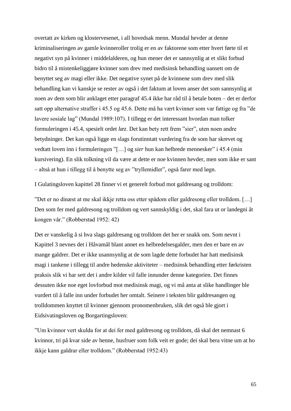overtatt av kirken og klostervesenet, i all hovedsak menn. Mundal hevder at denne kriminaliseringen av gamle kvinneroller trolig er en av faktorene som etter hvert førte til et negativt syn på kvinner i middelalderen, og hun mener det er sannsynlig at et slikt forbud bidro til å mistenkeliggjøre kvinner som drev med medisinsk behandling uansett om de benyttet seg av magi eller ikke. Det negative synet på de kvinnene som drev med slik behandling kan vi kanskje se rester av også i det faktum at loven anser det som sannsynlig at noen av dem som blir anklaget etter paragraf 45.4 ikke har råd til å betale boten – det er derfor satt opp alternative straffer i 45.5 og 45.6. Dette må ha vært kvinner som var fattige og fra "de lavere sosiale lag" (Mundal 1989:107). I tillegg er det interessant hvordan man tolker formuleringen i 45.4, spesielt ordet *læz*. Det kan bety rett frem "sier", uten noen andre betydninger. Det kan også ligge en slags forutinntatt vurdering fra de som har skrevet og vedtatt loven inn i formuleringen "[…] og *sier* hun kan helbrede mennesker" i 45.4 (min kursivering). En slik tolkning vil da være at dette er noe kvinnen hevder, men som ikke er sant – altså at hun i tillegg til å benytte seg av "tryllemidler", også farer med løgn.

I Gulatingsloven kapittel 28 finner vi et generelt forbud mot galdresang og trolldom:

"Det er no dinæst at me skal ikkje retta oss etter spådom eller galdresong eller trolldom. […] Den som fer med galdresong og trolldom og vert sannskyldig i det, skal fara ut or landegni åt kongen vår." (Robberstad 1952: 42)

Det er vanskelig å si hva slags galdresang og trolldom det her er snakk om. Som nevnt i Kapittel 3 nevnes det i Håvamål blant annet en helbredelsesgalder, men den er bare en av mange galdrer. Det er ikke usannsynlig at de som lagde dette forbudet har hatt medisinsk magi i tankene i tillegg til andre hedenske aktiviteter – medisinsk behandling etter førkristen praksis slik vi har sett det i andre kilder vil falle innunder denne kategorien. Det finnes dessuten ikke noe eget lovforbud mot medisinsk magi, og vi må anta at slike handlinger ble vurdert til å falle inn under forbudet her omtalt. Seinere i teksten blir galdresangen og trolldommen knyttet til kvinner gjennom pronomenbruken, slik det også ble gjort i Eidsivatingsloven og Borgartingsloven:

"Um kvinnor vert skulda for at dei fer med galdresong og trolldom, då skal det nemnast 6 kvinnor, tri på kvar side av henne, husfruer som folk veit er gode; dei skal bera vitne um at ho ikkje kann galdrar eller trolldom." (Robberstad 1952:43)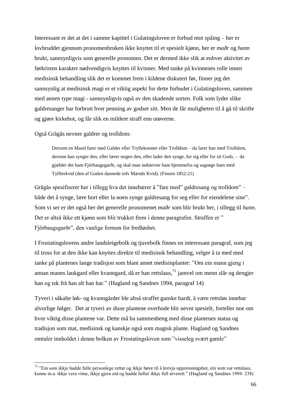Interessant er det at det i samme kapittel i Gulatingsloven er forbud mot spåing – her er lovbruddet gjennom pronomenbruken ikke knyttet til et spesielt kjønn, her er *maðr* og *hann* brukt, sannsynligvis som generelle pronomen. Det er dermed ikke slik at enhver aktivitet av førkristen karakter nødvendigvis knyttes til kvinner. Med tanke på kvinnenes rolle innen medisinsk behandling slik det er kommet frem i kildene diskutert før, finner jeg det sannsynlig at medisinsk magi er et viktig aspekt for dette forbudet i Gulatingsloven, sammen med annen type magi - sannsynligvis også av den skadende sorten. Folk som lyder slike galdresanger har forbrutt hver penning av godset sitt. Men de får muligheten til å gå til skrifte og gjøre kirkebot, og får slik en mildere straff enn utøverne.

Også Grågås nevner galdrer og trolldom:

-

Dersom en Mand farer med Galder eller Tryllekonster eller Trolldom – da farer han med Trolldom, dersom han synger den, eller lærer nogen den, eller lader den synge, for sig eller for sit Gods, - da gjælder det ham Fjörbaugsgarðr, og skal man indstevne ham hjemmefra og sagsøge ham med Tylfterkvid (den af Goden dannede tolv Mænds Kvid). (Finsen 1852:21)

Grågås spesifiserer her i tillegg hva det innebærer å "fare med" galdresang og trolldom" – både det å synge, lære bort eller la noen synge galdresang for seg eller for eiendelene sine". Som vi ser er det også her det generelle pronomenet *maðr* som blir brukt her, i tillegg til *hann*. Det er altså ikke ett kjønn som blir trukket frem i denne paragrafen. Straffen er " Fjörbaugsgarðr", den vanlige formen for fredløshet.

I Frostatingslovens andre landsleigebolk og tjuvebolk finnes en interessant paragraf, som jeg til tross for at den ikke kan knyttes direkte til medisinsk behandling, velger å ta med med tanke på plantenes lange tradisjon som blant annet medisinplanter: "Om ein mann gjeng i annan manns laukgard eller kvanngard, då er han rettslaus,<sup>71</sup> jamvel om menn slår og dengjer han og tek frå han alt han har." (Hagland og Sandnes 1994, paragraf 14)

Tyveri i såkalte løk- og kvanngårder ble altså straffet ganske hardt, å være rettsløs innebar alvorlige følger. Det at tyveri av disse plantene overhode blir nevnt spesielt, forteller noe om hvor viktig disse plantene var. Dette må ha sammenheng med disse plantenes status og tradisjon som mat, medisinsk og kanskje også som magisk plante. Hagland og Sandnes omtaler innholdet i denne bolken av Frostatingsloven som "visseleg svært gamle"

<sup>&</sup>lt;sup>71</sup> "Ein som ikkje hadde fulle personlege rettar og ikkje høve til å krevja oppreisningsbot, ein som var rettslaus, kunne m.a. ikkje vera vitne, ikkje gjera eid og hadde heller ikkje full arverett." (Hagland og Sandnes 1994: 238)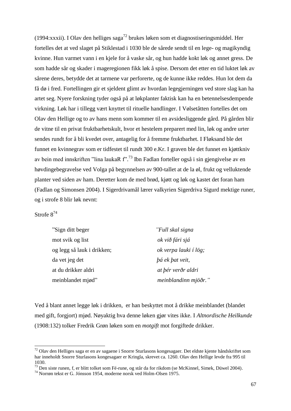(1994:xxxii). I Olav den helliges saga<sup>72</sup> brukes løken som et diagnostiseringsmiddel. Her fortelles det at ved slaget på Stiklestad i 1030 ble de sårede sendt til en lege- og magikyndig kvinne. Hun varmet vann i en kjele for å vaske sår, og hun hadde kokt løk og annet gress. De som hadde sår og skader i mageregionen fikk løk å spise. Dersom det etter en tid luktet løk av sårene deres, betydde det at tarmene var perforerte, og de kunne ikke reddes. Hun lot dem da få dø i fred. Fortellingen gir et sjeldent glimt av hvordan legegjerningen ved store slag kan ha artet seg. Nyere forskning tyder også på at løkplanter faktisk kan ha en betennelsesdempende virkning. Løk har i tillegg vært knyttet til rituelle handlinger. I Vølsetåtten fortelles det om Olav den Hellige og to av hans menn som kommer til en avsidesliggende gård. På gården blir de vitne til en privat fruktbarhetskult, hvor et hestelem preparert med lin, løk og andre urter sendes rundt for å bli kvedet over, antagelig for å fremme fruktbarhet. I Fløksand ble det funnet en kvinnegrav som er tidfestet til rundt 300 e.Kr. I graven ble det funnet en kjøttkniv av bein med innskriften "lina laukaR f".<sup>73</sup> Ibn Fadlan forteller også i sin gjengivelse av en høvdingebegravelse ved Volga på begynnelsen av 900-tallet at de la øl, frukt og velluktende planter ved siden av ham. Deretter kom de med brød, kjøtt og løk og kastet det foran ham (Fadlan og Simonsen 2004). I Sigerdrivamål lærer valkyrien Sigerdriva Sigurd mektige runer, og i strofe 8 blir løk nevnt:

# Strofe 8<sup>74</sup>

1

| "Sign ditt beger           | "Full skal signa       |
|----------------------------|------------------------|
| mot svik og list           | ok við fári sjá        |
| og legg så lauk i drikken; | ok verpa lauki í lög;  |
| da vet jeg det             | <i>bá ek bat veit,</i> |
| at du drikker aldri        | at þér verðr aldri     |
| meinblandet miød"          | meinblandinn mjöðr."   |

Ved å blant annet legge løk i drikken, er han beskyttet mot å drikke meinblandet (blandet med gift, forgjort) mjød. Nøyaktig hva denne løken gjør vites ikke. I *Altnordische Heilkunde* (1908:132) tolker Fredrik Grøn løken som en *motgift* mot forgiftede drikker.

 $^{72}$  Olav den Helliges saga er en av sagaene i Snorre Sturlasons kongesagaer. Det eldste kjente håndskriftet som har inneholdt Snorre Sturlasons kongesagaer er Kringla, skrevet ca. 1260. Olav den Hellige levde fra 995 til 1030.

<sup>73</sup> Den siste runen, f, er blitt tolket som Fé-rune, og står da for rikdom (se McKinnel, Simek, Düwel 2004).

<sup>74</sup> Norrøn tekst er G. Jónsson 1954, moderne norsk ved Holm-Olsen 1975.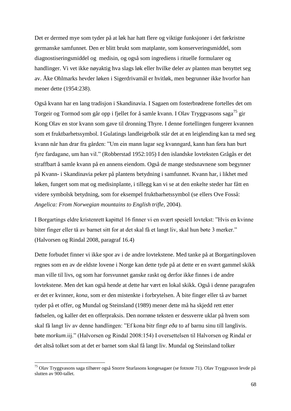Det er dermed mye som tyder på at løk har hatt flere og viktige funksjoner i det førkristne germanske samfunnet. Den er blitt brukt som matplante, som konserveringsmiddel, som diagnostiseringsmiddel og medisin, og også som ingrediens i rituelle formularer og handlinger. Vi vet ikke nøyaktig hva slags løk eller hvilke deler av planten man benyttet seg av. Åke Ohlmarks hevder løken i Sigerdrivamål er hvitløk, men begrunner ikke hvorfor han mener dette (1954:238).

Også kvann har en lang tradisjon i Skandinavia. I Sagaen om fosterbrødrene fortelles det om Torgeir og Tormod som går opp i fjellet for å samle kvann. I Olav Tryggvasons saga<sup>75</sup> gir Kong Olav en stor kvann som gave til dronning Thyre. I denne fortellingen fungerer kvannen som et fruktbarhetssymbol. I Gulatings landleigebolk står det at en leiglending kan ta med seg kvann når han drar fra gården: "Um ein mann lagar seg kvanngard, kann han føra han burt fyre fardagane, um han vil." (Robberstad 1952:105) I den islandske lovteksten Grågås er det straffbart å samle kvann på en annens eiendom. Også de mange stedsnavnene som begynner på Kvann- i Skandinavia peker på plantens betydning i samfunnet. Kvann har, i likhet med løken, fungert som mat og medisinplante, i tillegg kan vi se at den enkelte steder har fått en videre symbolsk betydning, som for eksempel fruktbarhetssymbol (se ellers Ove Fosså: *Angelica: From Norwegian mountains to English trifle*, 2004).

I Borgartings eldre kristenrett kapittel 16 finner vi en svært spesiell lovtekst: "Hvis en kvinne biter finger eller tå av barnet sitt for at det skal få et langt liv, skal hun bøte 3 merker." (Halvorsen og Rindal 2008, paragraf 16.4)

Dette forbudet finner vi ikke spor av i de andre lovtekstene. Med tanke på at Borgartingsloven regnes som en av de eldste lovene i Norge kan dette tyde på at dette er en svært gammel skikk man ville til livs, og som har forsvunnet ganske raskt og derfor ikke finnes i de andre lovtekstene. Men det kan også hende at dette har vært en lokal skikk. Også i denne paragrafen er det er kvinner, *kona*, som er den mistenkte i forbrytelsen. Å bite finger eller tå av barnet tyder på et offer, og Mundal og Steinsland (1989) mener dette må ha skjedd rett etter fødselen, og kaller det en offerpraksis. Den norrøne teksten er dessverre uklar på hvem som skal få langt liv av denne handlingen: "Ef kona bitr fingr *eða* to af barnu sinu till langlivis. bøte m*orkum*.iij." (Halvorsen og Rindal 2008:154) I oversettelsen til Halvorsen og Rindal er det altså tolket som at det er barnet som skal få langt liv. Mundal og Steinsland tolker

-

<sup>75</sup> Olav Tryggvasons saga tilhører også Snorre Sturlasons kongesagaer (se fotnote 71). Olav Tryggvason levde på slutten av 900-tallet.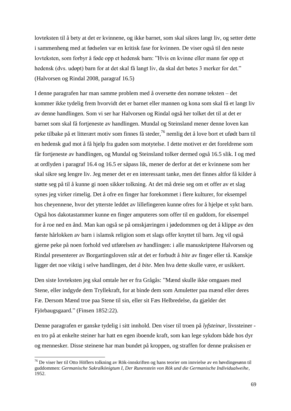lovteksten til å bety at det er kvinnene, og ikke barnet, som skal sikres langt liv, og setter dette i sammenheng med at fødselen var en kritisk fase for kvinnen. De viser også til den neste lovteksten, som forbyr å føde opp et hedensk barn: "Hvis en kvinne eller mann før opp et hedensk (dvs. udøpt) barn for at det skal få langt liv, da skal det bøtes 3 merker for det." (Halvorsen og Rindal 2008, paragraf 16.5)

I denne paragrafen har man samme problem med å oversette den norrøne teksten – det kommer ikke tydelig frem hvorvidt det er barnet eller mannen og kona som skal få et langt liv av denne handlingen. Som vi ser har Halvorsen og Rindal også her tolket det til at det er barnet som skal få fortjeneste av handlingen. Mundal og Steinsland mener denne loven kan peke tilbake på et litterært motiv som finnes få steder, <sup>76</sup> nemlig det å love bort et ufødt barn til en hedensk gud mot å få hjelp fra guden som motytelse. I dette motivet er det foreldrene som får fortjeneste av handlingen, og Mundal og Steinsland tolker dermed også 16.5 slik. I og med at ordlyden i paragraf 16.4 og 16.5 er såpass lik, mener de derfor at det er kvinnene som her skal sikre seg lengre liv. Jeg mener det er en interessant tanke, men det finnes altfor få kilder å støtte seg på til å kunne gi noen sikker tolkning. At det må dreie seg om et offer av et slag synes jeg virker rimelig. Det å ofre en finger har forekommet i flere kulturer, for eksempel hos cheyennene, hvor det ytterste leddet av lillefingeren kunne ofres for å hjelpe et sykt barn. Også hos dakotastammer kunne en finger amputeres som offer til en guddom, for eksempel for å roe ned en ånd. Man kan også se på omskjæringen i jødedommen og det å klippe av den første hårlokken av barn i islamsk religion som et slags offer knyttet til barn. Jeg vil også gjerne peke på noen forhold ved utførelsen av handlingen: i alle manuskriptene Halvorsen og Rindal presenterer av Borgartingsloven står at det er forbudt å *bite* av finger eller tå. Kanskje ligger det noe viktig i selve handlingen, det *å bite*. Men hva dette skulle være, er usikkert.

Den siste lovteksten jeg skal omtale her er fra Grågås: "Mænd skulle ikke omgaaes med Stene, eller indgyde dem Tryllekraft, for at binde dem som Amuletter paa mænd eller deres Fæ. Dersom Mænd troe paa Stene til sin, eller sit Fæs Helbredelse, da gjælder det Fjörbaugsgaard." (Finsen 1852:22).

Denne paragrafen er ganske tydelig i sitt innhold. Den viser til troen på *lyfsteinar*, livssteiner en tro på at enkelte steiner har hatt en egen iboende kraft, som kan lege sykdom både hos dyr og mennesker. Disse steinene har man bundet på kroppen, og straffen for denne praksisen er

<sup>&</sup>lt;sup>76</sup> De viser her til Otto Höflers tolkning av Rök-innskriften og hans teorier om innvielse av en høvdingesønn til guddommen: *Germanische Sakralkönigtum I, Der Runenstein von Rök und die Germanische Individualweihe*, 1952.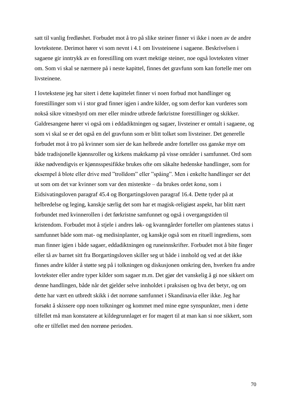satt til vanlig fredløshet. Forbudet mot å tro på slike steiner finner vi ikke i noen av de andre lovtekstene. Derimot hører vi som nevnt i 4.1 om livssteinene i sagaene. Beskrivelsen i sagaene gir inntrykk av en forestilling om svært mektige steiner, noe også lovteksten vitner om. Som vi skal se nærmere på i neste kapittel, finnes det gravfunn som kan fortelle mer om livsteinene.

I lovtekstene jeg har sitert i dette kapittelet finner vi noen forbud mot handlinger og forestillinger som vi i stor grad finner igjen i andre kilder, og som derfor kan vurderes som nokså sikre vitnesbyrd om mer eller mindre utbrede førkristne forestillinger og skikker. Galdresangene hører vi også om i eddadiktningen og sagaer, livsteiner er omtalt i sagaene, og som vi skal se er det også en del gravfunn som er blitt tolket som livsteiner. Det generelle forbudet mot å tro på kvinner som sier de kan helbrede andre forteller oss ganske mye om både tradisjonelle kjønnsroller og kirkens maktkamp på visse områder i samfunnet. Ord som ikke nødvendigvis er kjønnsspesifikke brukes ofte om såkalte hedenske handlinger, som for eksempel å blote eller drive med "trolldom" eller "spåing". Men i enkelte handlinger ser det ut som om det var kvinner som var den mistenkte – da brukes ordet *kona*, som i Eidsivatingsloven paragraf 45.4 og Borgartingsloven paragraf 16.4. Dette tyder på at helbredelse og leging, kanskje særlig det som har et magisk-religiøst aspekt, har blitt nært forbundet med kvinnerollen i det førkristne samfunnet og også i overgangstiden til kristendom. Forbudet mot å stjele i andres løk- og kvanngårder forteller om plantenes status i samfunnet både som mat- og medisinplanter, og kanskje også som en rituell ingrediens, som man finner igjen i både sagaer, eddadiktningen og runeinnskrifter. Forbudet mot å bite finger eller tå av barnet sitt fra Borgartingsloven skiller seg ut både i innhold og ved at det ikke finnes andre kilder å støtte seg på i tolkningen og diskusjonen omkring den, hverken fra andre lovtekster eller andre typer kilder som sagaer m.m. Det gjør det vanskelig å gi noe sikkert om denne handlingen, både når det gjelder selve innholdet i praksisen og hva det betyr, og om dette har vært en utbredt skikk i det norrøne samfunnet i Skandinavia eller ikke. Jeg har forsøkt å skissere opp noen tolkninger og kommet med mine egne synspunkter, men i dette tilfellet må man konstatere at kildegrunnlaget er for magert til at man kan si noe sikkert, som ofte er tilfellet med den norrøne perioden.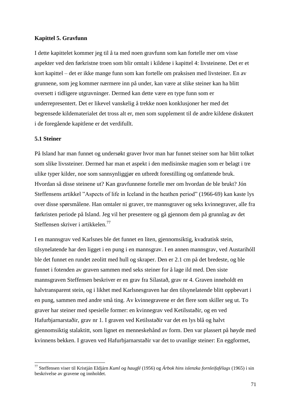### **Kapittel 5. Gravfunn**

I dette kapittelet kommer jeg til å ta med noen gravfunn som kan fortelle mer om visse aspekter ved den førkristne troen som blir omtalt i kildene i kapittel 4: livsteinene. Det er et kort kapittel – det er ikke mange funn som kan fortelle om praksisen med livsteiner. En av grunnene, som jeg kommer nærmere inn på under, kan være at slike steiner kan ha blitt oversett i tidligere utgravninger. Dermed kan dette være en type funn som er underrepresentert. Det er likevel vanskelig å trekke noen konklusjoner her med det begrensede kildematerialet det tross alt er, men som supplement til de andre kildene diskutert i de foregående kapitlene er det verdifullt.

## **5.1 Steiner**

-

På Island har man funnet og undersøkt graver hvor man har funnet steiner som har blitt tolket som slike livssteiner. Dermed har man et aspekt i den medisinske magien som er belagt i tre ulike typer kilder, noe som sannsynliggjør en utbredt forestilling og omfattende bruk. Hvordan så disse steinene ut? Kan gravfunnene fortelle mer om hvordan de ble brukt? Jón Steffensens artikkel "Aspects of life in Iceland in the heathen period" (1966-69) kan kaste lys over disse spørsmålene. Han omtaler ni graver, tre mannsgraver og seks kvinnegraver, alle fra førkristen periode på Island. Jeg vil her presentere og gå gjennom dem på grunnlag av det Steffensen skriver i artikkelen.<sup>77</sup>

I en mannsgrav ved Karlsnes ble det funnet en liten, gjennomsiktig, kvadratisk stein, tilsynelatende har den ligget i en pung i en mannsgrav. I en annen mannsgrav, ved Austarihóll ble det funnet en rundet zeolitt med hull og skraper. Den er 2.1 cm på det bredeste, og ble funnet i fotenden av graven sammen med seks steiner for å lage ild med. Den siste mannsgraven Steffensen beskriver er en grav fra Sílastað, grav nr 4. Graven inneholdt en halvtransparent stein, og i likhet med Karlsnesgraven har den tilsynelatende blitt oppbevart i en pung, sammen med andre små ting. Av kvinnegravene er det flere som skiller seg ut. To graver har steiner med spesielle former: en kvinnegrav ved Ketilsstaðir, og en ved Hafurbjarnarstaðir, grav nr 1. I graven ved Ketilsstaðir var det en lys blå og halvt gjennomsiktig stalaktitt, som lignet en menneskehånd av form. Den var plassert på høyde med kvinnens bekken. I graven ved Hafurbjarnarstaðir var det to uvanlige steiner: En eggformet,

<sup>77</sup> Steffensen viser til Kristján Eldjárn *Kuml og haugfé* (1956) og *Árbok hins islenzka fornleifafélags* (1965) i sin beskrivelse av gravene og innholdet.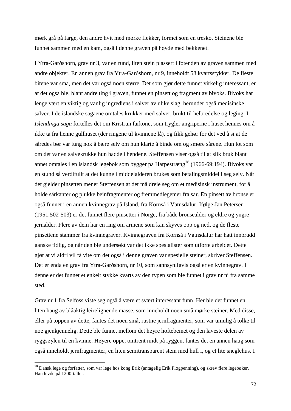mørk grå på farge, den andre hvit med mørke flekker, formet som en tresko. Steinene ble funnet sammen med en kam, også i denne graven på høyde med bekkenet.

I Ytra-Garðshorn, grav nr 3, var en rund, liten stein plassert i fotenden av graven sammen med andre objekter. En annen grav fra Ytra-Garðshorn, nr 9, inneholdt 58 kvartsstykker. De fleste bitene var små, men det var også noen større. Det som gjør dette funnet virkelig interessant, er at det også ble, blant andre ting i graven, funnet en pinsett og fragment av bivoks. Bivoks har lenge vært en viktig og vanlig ingrediens i salver av ulike slag, herunder også medisinske salver. I de islandske sagaene omtales krukker med salver, brukt til helbredelse og leging. I *Islendinga saga* fortelles det om Kristrun farkone, som trygler angriperne i huset hennes om å ikke ta fra henne gullhuset (der ringene til kvinnene lå), og fikk gehør for det ved å si at de såredes bør var tung nok å bære selv om hun klarte å binde om og smøre sårene. Hun lot som om det var en salvekrukke hun hadde i hendene. Steffensen viser også til at slik bruk blant annet omtales i en islandsk legebok som bygger på Harpestræng<sup>78</sup> (1966-69:194). Bivoks var en stund så verdifullt at det kunne i middelalderen brukes som betalingsmiddel i seg selv. Når det gjelder pinsetten mener Steffensen at det må dreie seg om et medisinsk instrument, for å holde sårkanter og plukke beinfragmenter og fremmedlegemer fra sår. En pinsett av bronse er også funnet i en annen kvinnegrav på Island, fra Kornsá i Vatnsdalur. Ifølge Jan Petersen (1951:502-503) er det funnet flere pinsetter i Norge, fra både bronsealder og eldre og yngre jernalder. Flere av dem har en ring om armene som kan skyves opp og ned, og de fleste pinsettene stammer fra kvinnegraver. Kvinnegraven fra Kornsá i Vatnsdalur har hatt innbrudd ganske tidlig, og når den ble undersøkt var det ikke spesialister som utførte arbeidet. Dette gjør at vi aldri vil få vite om det også i denne graven var spesielle steiner, skriver Steffensen. Det er enda en grav fra Ytra-Garðshorn, nr 10, som sannsynligvis også er en kvinnegrav. I denne er det funnet et enkelt stykke kvarts av den typen som ble funnet i grav nr ni fra samme sted.

Grav nr 1 fra Selfoss viste seg også å være et svært interessant funn. Her ble det funnet en liten haug av blåaktig leirelignende masse, som inneholdt noen små mørke steiner. Med disse, eller på toppen av dette, fantes det noen små, rustne jernfragmenter, som var umulig å tolke til noe gjenkjennelig. Dette ble funnet mellom det høyre hoftebeinet og den laveste delen av ryggsøylen til en kvinne. Høyere oppe, omtrent midt på ryggen, fantes det en annen haug som også inneholdt jernfragmenter, en liten semitransparent stein med hull i, og et lite sneglehus. I

-

<sup>78</sup> Dansk lege og forfatter, som var lege hos kong Erik (antagelig Erik Plogpenning), og skrev flere legebøker. Han levde på 1200-tallet.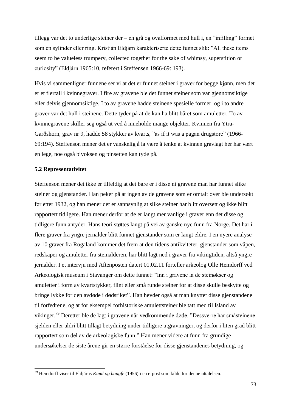tillegg var det to underlige steiner der – en grå og ovalformet med hull i, en "infilling" formet som en sylinder eller ring. Kristján Eldjárn karakteriserte dette funnet slik: "All these items seem to be valueless trumpery, collected together for the sake of whimsy, superstition or curiosity" (Eldjárn 1965:10, referert i Steffensen 1966-69: 193).

Hvis vi sammenligner funnene ser vi at det er funnet steiner i graver for begge kjønn, men det er et flertall i kvinnegraver. I fire av gravene ble det funnet steiner som var gjennomsiktige eller delvis gjennomsiktige. I to av gravene hadde steinene spesielle former, og i to andre graver var det hull i steinene. Dette tyder på at de kan ha blitt båret som amuletter. To av kvinnegravene skiller seg også ut ved å inneholde mange objekter. Kvinnen fra Ytra-Garðshorn, grav nr 9, hadde 58 stykker av kvarts, "as if it was a pagan drugstore" (1966- 69:194). Steffenson mener det er vanskelig å la være å tenke at kvinnen gravlagt her har vært en lege, noe også bivoksen og pinsetten kan tyde på.

## **5.2 Representativitet**

-

Steffenson mener det ikke er tilfeldig at det bare er i disse ni gravene man har funnet slike steiner og gjenstander. Han peker på at ingen av de gravene som er omtalt over ble undersøkt før etter 1932, og han mener det er sannsynlig at slike steiner har blitt oversett og ikke blitt rapportert tidligere. Han mener derfor at de er langt mer vanlige i graver enn det disse og tidligere funn antyder. Hans teori støttes langt på vei av ganske nye funn fra Norge. Det har i flere graver fra yngre jernalder blitt funnet gjenstander som er langt eldre. I en nyere analyse av 10 graver fra Rogaland kommer det frem at den tidens antikviteter, gjenstander som våpen, redskaper og amuletter fra steinalderen, har blitt lagt ned i graver fra vikingtiden, altså yngre jernalder. I et intervju med Aftenposten datert 01.02.11 forteller arkeolog Olle Hemdorff ved Arkeologisk museum i Stavanger om dette funnet: "Inn i gravene la de steinøkser og amuletter i form av kvartstykker, flint eller små runde steiner for at disse skulle beskytte og bringe lykke for den avdøde i dødsriket". Han hevder også at man knyttet disse gjenstandene til forfedrene, og at for eksempel forhistoriske amulettsteiner ble tatt med til Island av vikinger.<sup>79</sup> Deretter ble de lagt i gravene når vedkommende døde. "Dessverre har småsteinene sjelden eller aldri blitt tillagt betydning under tidligere utgravninger, og derfor i liten grad blitt rapportert som del av de arkeologiske funn." Han mener videre at funn fra grundige undersøkelser de siste årene gir en større forståelse for disse gjenstandenes betydning, og

<sup>79</sup> Hemdorff viser til Eldjárns *Kuml og haugfe* (1956) i en e-post som kilde for denne uttalelsen.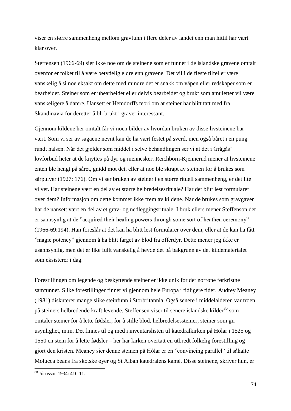viser en større sammenheng mellom gravfunn i flere deler av landet enn man hittil har vært klar over.

Steffensen (1966-69) sier ikke noe om de steinene som er funnet i de islandske gravene omtalt ovenfor er tolket til å være betydelig eldre enn gravene. Det vil i de fleste tilfeller være vanskelig å si noe eksakt om dette med mindre det er snakk om våpen eller redskaper som er bearbeidet. Steiner som er ubearbeidet eller delvis bearbeidet og brukt som amuletter vil være vanskeligere å datere. Uansett er Hemdorffs teori om at steiner har blitt tatt med fra Skandinavia for deretter å bli brukt i graver interessant.

Gjennom kildene her omtalt får vi noen bilder av hvordan bruken av disse livsteinene har vært. Som vi ser av sagaene nevnt kan de ha vært festet på sverd, men også båret i en pung rundt halsen. Når det gjelder som middel i selve behandlingen ser vi at det i Grågås' lovforbud heter at de knyttes på dyr og mennesker. Reichborn-Kjennerud mener at livsteinene enten ble hengt på såret, gnidd mot det, eller at noe ble skrapt av steinen for å brukes som sårpulver (1927: 176). Om vi ser bruken av steiner i en større rituell sammenheng, er det lite vi vet. Har steinene vært en del av et større helbredelsesrituale? Har det blitt lest formularer over dem? Informasjon om dette kommer ikke frem av kildene. Når de brukes som gravgaver har de uansett vært en del av et grav- og nedleggingsrituale. I bruk ellers mener Steffenson det er sannsynlig at de "acquired their healing powers through some sort of heathen ceremony" (1966-69:194). Han foreslår at det kan ha blitt lest formularer over dem, eller at de kan ha fått "magic potency" gjennom å ha blitt farget av blod fra offerdyr. Dette mener jeg ikke er usannsynlig, men det er like fullt vanskelig å hevde det på bakgrunn av det kildematerialet som eksisterer i dag.

Forestillingen om legende og beskyttende steiner er ikke unik for det norrøne førkristne samfunnet. Slike forestillinger finner vi gjennom hele Europa i tidligere tider. Audrey Meaney (1981) diskuterer mange slike steinfunn i Storbritannia. Også senere i middelalderen var troen på steiners helbredende kraft levende. Steffensen viser til senere islandske kilder<sup>80</sup> som omtaler steiner for å lette fødsler, for å stille blod, helbredelsessteiner, steiner som gir usynlighet, m.m. Det finnes til og med i inventarslisten til katedralkirken på Hólar i 1525 og 1550 en stein for å lette fødsler – her har kirken overtatt en utbredt folkelig forestilling og gjort den kristen. Meaney sier denne steinen på Hólar er en "convincing parallel" til såkalte Molucca beans fra skotske øyer og St Alban katedralens kamé. Disse steinene, skriver hun, er

-

<sup>80</sup> Jónasson 1934: 410-11.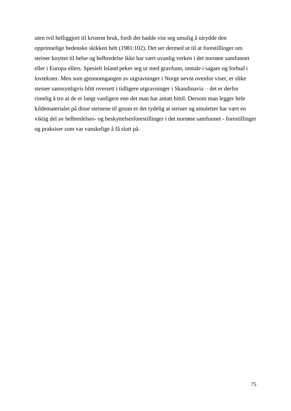uten tvil helliggjort til kristent bruk, fordi det hadde vist seg umulig å utrydde den opprinnelige hedenske skikken helt (1981:102). Det ser dermed ut til at forestillinger om steiner knyttet til helse og helbredelse ikke har vært uvanlig verken i det norrøne samfunnet eller i Europa ellers. Spesielt Island peker seg ut med gravfunn, omtale i sagaer og forbud i lovtekster. Men som gjennomgangen av utgravninger i Norge nevnt ovenfor viser, er slike steiner sannsynligvis blitt oversett i tidligere utgravninger i Skandinavia – det er derfor rimelig å tro at de er langt vanligere enn det man har antatt hittil. Dersom man legger hele kildematerialet på disse steinene til grunn er det tydelig at steiner og amuletter har vært en viktig del av helbredelses- og beskyttelsesforestillinger i det norrøne samfunnet - forestillinger og praksiser som var vanskelige å få slutt på.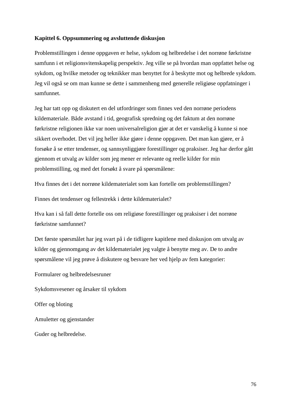# **Kapittel 6. Oppsummering og avsluttende diskusjon**

Problemstillingen i denne oppgaven er helse, sykdom og helbredelse i det norrøne førkristne samfunn i et religionsvitenskapelig perspektiv. Jeg ville se på hvordan man oppfattet helse og sykdom, og hvilke metoder og teknikker man benyttet for å beskytte mot og helbrede sykdom. Jeg vil også se om man kunne se dette i sammenheng med generelle religiøse oppfatninger i samfunnet.

Jeg har tatt opp og diskutert en del utfordringer som finnes ved den norrøne periodens kildemateriale. Både avstand i tid, geografisk spredning og det faktum at den norrøne førkristne religionen ikke var noen universalreligion gjør at det er vanskelig å kunne si noe sikkert overhodet. Det vil jeg heller ikke gjøre i denne oppgaven. Det man kan gjøre, er å forsøke å se etter tendenser, og sannsynliggjøre forestillinger og praksiser. Jeg har derfor gått gjennom et utvalg av kilder som jeg mener er relevante og reelle kilder for min problemstilling, og med det forsøkt å svare på spørsmålene:

Hva finnes det i det norrøne kildematerialet som kan fortelle om problemstillingen?

Finnes det tendenser og fellestrekk i dette kildematerialet?

Hva kan i så fall dette fortelle oss om religiøse forestillinger og praksiser i det norrøne førkristne samfunnet?

Det første spørsmålet har jeg svart på i de tidligere kapitlene med diskusjon om utvalg av kilder og gjennomgang av det kildematerialet jeg valgte å benytte meg av. De to andre spørsmålene vil jeg prøve å diskutere og besvare her ved hjelp av fem kategorier:

Formularer og helbredelsesruner

Sykdomsvesener og årsaker til sykdom

Offer og bloting

Amuletter og gjenstander

Guder og helbredelse.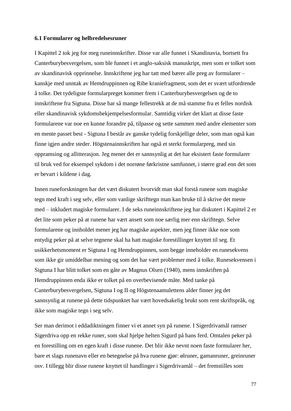### **6.1 Formularer og helbredelsesruner**

I Kapittel 2 tok jeg for meg runeinnskrifter. Disse var alle funnet i Skandinavia, bortsett fra Canterburybesvergelsen, som ble funnet i et anglo-saksisk manuskript, men som er tolket som av skandinavisk opprinnelse. Innskriftene jeg har tatt med bærer alle preg av formularer – kanskje med unntak av Hemdruppinnen og Ribe kraniefragment, som det er svært utfordrende å tolke. Det tydeligste formularpreget kommer frem i Canterburybesvergelsen og de to innskriftene fra Sigtuna. Disse har så mange fellestrekk at de må stamme fra et felles nordisk eller skandinavisk sykdomsbekjempelsesformular. Samtidig virker det klart at disse faste formularene var noe en kunne forandre på, tilpasse og sette sammen med andre elementer som en mente passet best - Sigtuna I består av ganske tydelig forskjellige deler, som man også kan finne igjen andre steder. Högstenainnskriften har også et sterkt formularpreg, med sin oppramsing og allitterasjon. Jeg mener det er sannsynlig at det har eksistert faste formularer til bruk ved for eksempel sykdom i det norrøne førkristne samfunnet, i større grad enn det som er bevart i kildene i dag.

Innen runeforskningen har det vært diskutert hvorvidt man skal forstå runene som magiske tegn med kraft i seg selv, eller som vanlige skrifttegn man kan bruke til å skrive det meste med – inkludert magiske formularer. I de seks runeinnskriftene jeg har diskutert i Kapittel 2 er det lite som peker på at runene har vært ansett som noe særlig mer enn skrifttegn. Selve formularene og innholdet mener jeg har magiske aspekter, men jeg finner ikke noe som entydig peker på at selve tegnene skal ha hatt magiske forestillinger knyttet til seg. Et usikkerhetsmoment er Sigtuna I og Hemdruppinnen, som begge inneholder en runesekvens som ikke gir umiddelbar mening og som det har vært problemer med å tolke. Runesekvensen i Sigtuna I har blitt tolket som en gåte av Magnus Olsen (1940), mens innskriften på Hemdruppinnen enda ikke er tolket på en overbevisende måte. Med tanke på Canterburybesvergelsen, Sigtuna I og II og Högstenaamulettens alder finner jeg det sannsynlig at runene på dette tidspunktet har vært hovedsakelig brukt som rent skriftspråk, og ikke som magiske tegn i seg selv.

Ser man derimot i eddadiktningen finner vi et annet syn på runene. I Sigerdrivamål ramser Sigerdriva opp en rekke runer, som skal hjelpe helten Sigurd på hans ferd. Omtalen peker på en forestilling om en egen kraft i disse runene. Det blir ikke nevnt noen faste formularer her, bare et slags runenavn eller en betegnelse på hva runene gjør: ølruner, gamanruner, greinruner osv. I tillegg blir disse runene knyttet til handlinger i Sigerdrivamål – det fremstilles som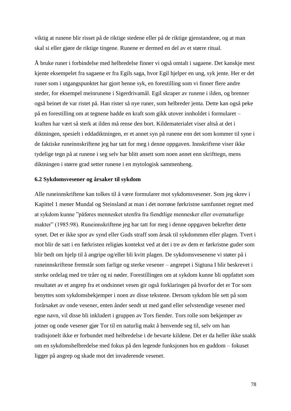viktig at runene blir risset på de riktige stedene eller på de riktige gjenstandene, og at man skal si eller gjøre de riktige tingene. Runene er dermed en del av et større ritual.

Å bruke runer i forbindelse med helbredelse finner vi også omtalt i sagaene. Det kanskje mest kjente eksempelet fra sagaene er fra Egils saga, hvor Egil hjelper en ung, syk jente. Her er det runer som i utgangspunktet har gjort henne syk, en forestilling som vi finner flere andre steder, for eksempel meinrunene i Sigerdrivamål. Egil skraper av runene i ilden, og brenner også beinet de var ristet på. Han rister så nye runer, som helbreder jenta. Dette kan også peke på en forestilling om at tegnene hadde en kraft som gikk utover innholdet i formularet – kraften har vært så sterk at ilden må rense den bort. Kildematerialet viser altså at det i diktningen, spesielt i eddadiktningen, er et annet syn på runene enn det som kommer til syne i de faktiske runeinnskriftene jeg har tatt for meg i denne oppgaven. Innskriftene viser ikke tydelige tegn på at runene i seg selv har blitt ansett som noen annet enn skrifttegn, mens diktningen i større grad setter runene i en mytologisk sammenheng.

### **6.2 Sykdomsvesener og årsaker til sykdom**

Alle runeinnskriftene kan tolkes til å være formularer mot sykdomsvesener. Som jeg skrev i Kapittel 1 mener Mundal og Steinsland at man i det norrøne førkristne samfunnet regnet med at sykdom kunne "påføres mennesket utenfra fra fiendtlige mennesker eller overnaturlige makter" (1985:98). Runeinnskriftene jeg har tatt for meg i denne oppgaven bekrefter dette synet. Det er ikke spor av synd eller Guds straff som årsak til sykdommen eller plagen. Tvert i mot blir de satt i en førkristen religiøs kontekst ved at det i tre av dem er førkristne guder som blir bedt om hjelp til å angripe og/eller bli kvitt plagen. De sykdomsvesenene vi støter på i runeinnskriftene fremstår som farlige og sterke vesener – angrepet i Sigtuna I blir beskrevet i sterke ordelag med tre tråer og ni nøder. Forestillingen om at sykdom kunne bli oppfattet som resultatet av et angrep fra et ondsinnet vesen gir også forklaringen på hvorfor det er Tor som benyttes som sykdomsbekjemper i noen av disse tekstene. Dersom sykdom ble sett på som forårsaket av onde vesener, enten ånder sendt ut med gand eller selvstendige vesener med egne navn, vil disse bli inkludert i gruppen av Tors fiender. Tors rolle som bekjemper av jotner og onde vesener gjør Tor til en naturlig makt å henvende seg til, selv om han tradisjonelt ikke er forbundet med helbredelse i de bevarte kildene. Det er da heller ikke snakk om en sykdomshelbredelse med fokus på den legende funksjonen hos en guddom – fokuset ligger på angrep og skade mot det invaderende vesenet.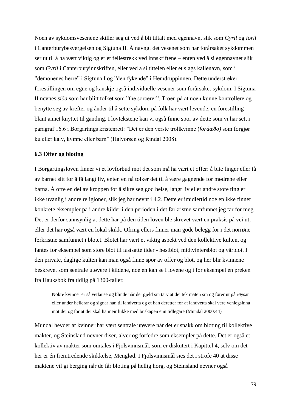Noen av sykdomsvesenene skiller seg ut ved å bli tiltalt med egennavn, slik som *Gyril* og *Ioril* i Canterburybesvergelsen og Sigtuna II. Å navngi det vesenet som har forårsaket sykdommen ser ut til å ha vært viktig og er et fellestrekk ved innskriftene – enten ved å si egennavnet slik som *Gyril* i Canterburyinnskriften, eller ved å si tittelen eller et slags kallenavn, som i "demonenes herre" i Sigtuna I og "den fykende" i Hemdruppinnen. Dette understreker forestillingen om egne og kanskje også individuelle vesener som forårsaket sykdom. I Sigtuna II nevnes *siða* som har blitt tolket som "the sorcerer". Troen på at noen kunne kontrollere og benytte seg av krefter og ånder til å sette sykdom på folk har vært levende, en forestilling blant annet knyttet til ganding. I lovtekstene kan vi også finne spor av dette som vi har sett i paragraf 16.6 i Borgartings kristenrett: "Det er den verste trollkvinne (*fordæðo)* som forgjør ku eller kalv, kvinne eller barn" (Halvorsen og Rindal 2008).

### **6.3 Offer og bloting**

I Borgartingsloven finner vi et lovforbud mot det som må ha vært et offer: å bite finger eller tå av barnet sitt for å få langt liv, enten en nå tolker det til å være gagnende for mødrene eller barna. Å ofre en del av kroppen for å sikre seg god helse, langt liv eller andre store ting er ikke uvanlig i andre religioner, slik jeg har nevnt i 4.2. Dette er imidlertid noe en ikke finner konkrete eksempler på i andre kilder i den perioden i det førkristne samfunnet jeg tar for meg. Det er derfor sannsynlig at dette har på den tiden loven ble skrevet vært en praksis på vei ut, eller det har også vært en lokal skikk. Ofring ellers finner man gode belegg for i det norrøne førkristne samfunnet i blotet. Blotet har vært et viktig aspekt ved den kollektive kulten, og fantes for eksempel som store blot til fastsatte tider - høstblot, midtvintersblot og vårblot. I den private, daglige kulten kan man også finne spor av offer og blot, og her blir kvinnene beskrevet som sentrale utøvere i kildene, noe en kan se i lovene og i for eksempel en preken fra Hauksbok fra tidlig på 1300-tallet:

Nokre kvinner er så vetlause og blinde når det gjeld sin tarv at dei tek maten sin og fører ut på røysar eller under hellerar og signar han til landvetta og et han deretter for at landvetta skal vere venlegsinna mot dei og for at dei skal ha meir lukke med buskapen enn tidlegare (Mundal 2000:44)

Mundal hevder at kvinner har vært sentrale utøvere når det er snakk om bloting til kollektive makter, og Steinsland nevner diser, alver og forfedre som eksempler på dette. Det er også et kollektiv av makter som omtales i Fjolsvinnsmål, som er diskutert i Kapittel 4, selv om det her er én fremtredende skikkelse, Menglød. I Fjolsvinnsmål sies det i strofe 40 at disse maktene vil gi berging når de får bloting på hellig horg, og Steinsland nevner også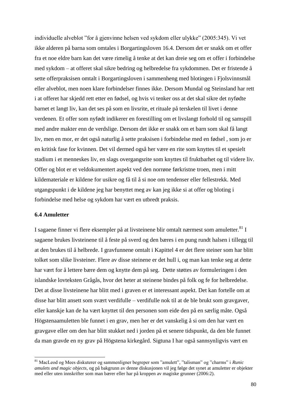individuelle alveblot "for å gjenvinne helsen ved sykdom eller ulykke" (2005:345). Vi vet ikke alderen på barna som omtales i Borgartingsloven 16.4. Dersom det er snakk om et offer fra et noe eldre barn kan det være rimelig å tenke at det kan dreie seg om et offer i forbindelse med sykdom – at offeret skal sikre bedring og helbredelse fra sykdommen. Det er fristende å sette offerpraksisen omtalt i Borgartingsloven i sammenheng med blotingen i Fjolsvinnsmål eller alveblot, men noen klare forbindelser finnes ikke. Dersom Mundal og Steinsland har rett i at offeret har skjedd rett etter en fødsel, og hvis vi tenker oss at det skal sikre det nyfødte barnet et langt liv, kan det ses på som en livsrite, et rituale på terskelen til livet i denne verdenen. Et offer som nyfødt indikerer en forestilling om et livslangt forhold til og samspill med andre makter enn de verdslige. Dersom det ikke er snakk om et barn som skal få langt liv, men en mor, er det også naturlig å sette praksisen i forbindelse med en fødsel , som jo er en kritisk fase for kvinnen. Det vil dermed også her være en rite som knyttes til et spesielt stadium i et menneskes liv, en slags overgangsrite som knyttes til fruktbarhet og til videre liv. Offer og blot er et veldokumentert aspekt ved den norrøne førkristne troen, men i mitt kildemateriale er kildene for usikre og få til å si noe om tendenser eller fellestrekk. Med utgangspunkt i de kildene jeg har benyttet meg av kan jeg ikke si at offer og bloting i forbindelse med helse og sykdom har vært en utbredt praksis.

# **6.4 Amuletter**

1

I sagaene finner vi flere eksempler på at livsteinene blir omtalt nærmest som amuletter.<sup>81</sup> I sagaene brukes livsteinene til å feste på sverd og den bæres i en pung rundt halsen i tillegg til at den brukes til å helbrede. I gravfunnene omtalt i Kapittel 4 er det flere steiner som har blitt tolket som slike livsteiner. Flere av disse steinene er det hull i, og man kan tenke seg at dette har vært for å lettere bære dem og knytte dem på seg. Dette støttes av formuleringen i den islandske lovteksten Grågås, hvor det heter at steinene bindes på folk og fe for helbredelse. Det at disse livsteinene har blitt med i graven er et interessant aspekt. Det kan fortelle om at disse har blitt ansett som svært verdifulle – verdifulle nok til at de ble brukt som gravgaver, eller kanskje kan de ha vært knyttet til den personen som eide den på en særlig måte. Også Högstenaamuletten ble funnet i en grav, men her er det vanskelig å si om den har vært en gravgave eller om den har blitt stukket ned i jorden på et senere tidspunkt, da den ble funnet da man gravde en ny grav på Högstena kirkegård. Sigtuna I har også sannsynligvis vært en

<sup>81</sup> MacLeod og Mees diskuterer og sammenligner begreper som "amulett", "talisman" og "charms" i *Runic amulets and magic objects*, og på bakgrunn av denne diskusjonen vil jeg følge det synet at amuletter er objekter med eller uten innskrifter som man bærer eller har på kroppen av magiske grunner (2006:2).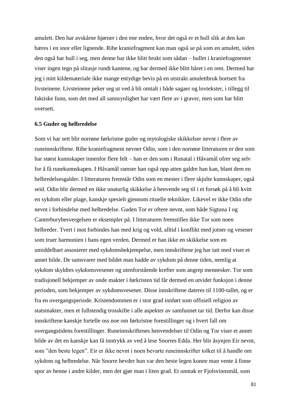amulett. Den har avskårne hjørner i den ene enden, hvor det også er et hull slik at den kan bæres i en snor eller lignende. Ribe kraniefragment kan man også se på som en amulett, siden den også har hull i seg, men denne har ikke blitt brukt som sådan – hullet i kraniefragmentet viser ingen tegn på slitasje rundt kantene, og har dermed ikke blitt båret i en rem. Dermed har jeg i mitt kildemateriale ikke mange entydige bevis på en utstrakt amulettbruk bortsett fra livsteinene. Livsteinene peker seg ut ved å bli omtalt i både sagaer og lovtekster, i tillegg til faktiske funn, som det med all sannsynlighet har vært flere av i graver, men som har blitt oversett.

#### **6.5 Guder og helbredelse**

Som vi har sett blir norrøne førkristne guder og mytologiske skikkelser nevnt i flere av runeinnskriftene. Ribe kraniefragment nevner Odin, som i den norrøne litteraturen er den som har størst kunnskaper innenfor flere felt – han er den som i Runatal i Håvamål ofrer seg selv for å få runekunnskapen. I Håvamål ramser han også opp atten galdre han kan, blant dem en helbredelsesgalder. I litteraturen fremstår Odin som en mester i flere skjulte kunnskaper, også seid. Odin blir dermed en ikke unaturlig skikkelse å henvende seg til i et forsøk på å bli kvitt en sykdom eller plage, kanskje spesielt gjennom rituelle teknikker. Likevel er ikke Odin ofte nevnt i forbindelse med helbredelse. Guden Tor er oftere nevnt, som både Sigtuna I og Canterburybesvergelsen er eksempler på. I litteraturen fremstilles ikke Tor som noen helbreder. Tvert i mot forbindes han med krig og vold, alltid i konflikt med jotner og vesener som truer harmonien i hans egen verden. Dermed er han ikke en skikkelse som en umiddelbart assosierer med sykdomsbekjempelse, men innskriftene jeg har tatt med viser et annet bilde. De samsvarer med bildet man hadde av sykdom på denne tiden, nemlig at sykdom skyldtes sykdomsvesener og utenforstående krefter som angrep mennesker. Tor som tradisjonell bekjemper av onde makter i førkristen tid får dermed en utvidet funksjon i denne perioden, som bekjemper av sykdomsvesener. Disse innskriftene dateres til 1100-tallet, og er fra en overgangsperiode. Kristendommen er i stor grad innført som offisiell religion av statsmakter, men et fullstendig trosskifte i alle aspekter av samfunnet tar tid. Derfor kan disse innskriftene kanskje fortelle oss noe om førkristne forestillinger og i hvert fall om overgangstidens forestillinger. Runeinnskriftenes henvendelser til Odin og Tor viser et annet bilde av det en kanskje kan få inntrykk av ved å lese Snorres Edda. Her blir åsynjen Eir nevnt, som "den beste legen". Eir er ikke nevnt i noen bevarte runeinnskrifter tolket til å handle om sykdom og helbredelse. Når Snorre hevder hun var den beste legen kunne man vente å finne spor av henne i andre kilder, men det gjør man i liten grad. Et unntak er Fjolsvinnsmål, som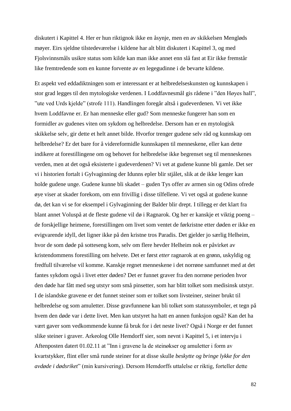diskutert i Kapittel 4. Her er hun riktignok ikke en åsynje, men en av skikkelsen Mengløds møyer. Eirs sjeldne tilstedeværelse i kildene har alt blitt diskutert i Kapittel 3, og med Fjolsvinnsmåls usikre status som kilde kan man ikke annet enn slå fast at Eir ikke fremstår like fremtredende som en kunne forvente av en legegudinne i de bevarte kildene.

Et aspekt ved eddadiktningen som er interessant er at helbredelseskunsten og kunnskapen i stor grad legges til den mytologiske verdenen. I Loddfavnesmål gis rådene i "den Høyes hall", "ute ved Urds kjelde" (strofe 111). Handlingen foregår altså i gudeverdenen. Vi vet ikke hvem Loddfavne er. Er han menneske eller gud? Som menneske fungerer han som en formidler av gudenes viten om sykdom og helbredelse. Dersom han er en mytologisk skikkelse selv, gir dette et helt annet bilde. Hvorfor trenger gudene selv råd og kunnskap om helbredelse? Er det bare for å videreformidle kunnskapen til menneskene, eller kan dette indikere at forestillingene om og behovet for helbredelse ikke begrenset seg til menneskenes verden, men at det også eksisterte i gudeverdenen? Vi vet at gudene kunne bli gamle. Det ser vi i historien fortalt i Gylvaginning der Idunns epler blir stjålet, slik at de ikke lenger kan holde gudene unge. Gudene kunne bli skadet – guden Tys offer av armen sin og Odins ofrede øye viser at skader forekom, om enn frivillig i disse tilfellene. Vi vet også at gudene kunne dø, det kan vi se for eksempel i Gylvaginning der Balder blir drept. I tillegg er det klart fra blant annet Voluspå at de fleste gudene vil dø i Ragnarok. Og her er kanskje et viktig poeng – de forskjellige heimene, forestillingen om livet som ventet de førkristne etter døden er ikke en evigvarende idyll, det ligner ikke på den kristne tros Paradis. Det gjelder jo særlig Helheim, hvor de som døde på sotteseng kom, selv om flere hevder Helheim nok er påvirket av kristendommens forestilling om helvete. Det er først *etter* ragnarok at en grønn, uskyldig og fredfull tilværelse vil komme. Kanskje regnet menneskene i det norrøne samfunnet med at det fantes sykdom også i livet etter døden? Det er funnet graver fra den norrøne perioden hvor den døde har fått med seg utstyr som små pinsetter, som har blitt tolket som medisinsk utstyr. I de islandske gravene er det funnet steiner som er tolket som livsteiner, steiner brukt til helbredelse og som amuletter. Disse gravfunnene kan bli tolket som statussymboler, et tegn på hvem den døde var i dette livet. Men kan utstyret ha hatt en annen funksjon også? Kan det ha vært gaver som vedkommende kunne få bruk for i det neste livet? Også i Norge er det funnet slike steiner i graver. Arkeolog Olle Hemdorff sier, som nevnt i Kapittel 5, i et intervju i Aftenposten datert 01.02.11 at "Inn i gravene la de steinøkser og amuletter i form av kvartstykker, flint eller små runde steiner for at disse skulle *beskytte og bringe lykke for den avdøde i dødsriket*" (min kursivering). Dersom Hemdorffs uttalelse er riktig, forteller dette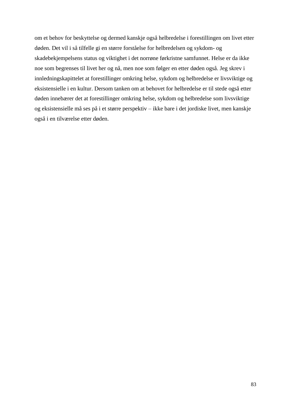om et behov for beskyttelse og dermed kanskje også helbredelse i forestillingen om livet etter døden. Det vil i så tilfelle gi en større forståelse for helbredelsen og sykdom- og skadebekjempelsens status og viktighet i det norrøne førkristne samfunnet. Helse er da ikke noe som begrenses til livet her og nå, men noe som følger en etter døden også. Jeg skrev i innledningskapittelet at forestillinger omkring helse, sykdom og helbredelse er livsviktige og eksistensielle i en kultur. Dersom tanken om at behovet for helbredelse er til stede også etter døden innebærer det at forestillinger omkring helse, sykdom og helbredelse som livsviktige og eksistensielle må ses på i et større perspektiv – ikke bare i det jordiske livet, men kanskje også i en tilværelse etter døden.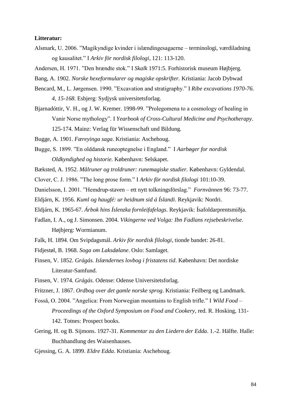### **Litteratur:**

- Alsmark, U. 2006. "Magikyndige kvinder i islændingesagaerne terminologi, værdiladning og kausalitet." I *Arkiv för nordisk filologi*, 121: 113-120.
- Andersen, H. 1971. "Den brændte stok." I *Skalk* 1971:5. Forhistorisk museum Højbjerg.
- Bang, A. 1902. *Norske hexeformularer og magiske opskrifter.* Kristiania: Jacob Dybwad
- Bencard, M., L. Jørgensen. 1990. "Excavation and stratigraphy." I *Ribe excavations 1970-76. 4, 15-168.* Esbjerg: Sydjysk universitetsforlag.
- Bjarnadóttir, V. H., og J. W. Kremer. 1998-99. "Prolegomena to a cosmology of healing in Vanir Norse mythology". I *Yearbook of Cross-Cultural Medicine and Psychotherapy*. 125-174. Mainz: Verlag für Wissenschaft und Bildung.

Bugge, A. 1901. *Færeyinga saga*. Kristiania: Aschehoug.

- Bugge, S. 1899. "En olddansk runeoptegnelse i England." I *Aarbøger for nordisk Oldkyndighed og historie.* København: Selskapet.
- Bæksted, A. 1952. *Målruner og troldruner: runemagiske studier.* København: Gyldendal.
- Clover, C. J. 1986. "The long prose form." I *Arkiv för nordisk filologi* 101:10-39.
- Danielsson, I. 2001. "Hemdrup-staven ett nytt tolkningsförslag." *Fornvännen* 96: 73-77.
- Eldjárn, K. 1956. *Kuml og haugfé: ur heidnum sid á Íslandi*. Reykjavik: Nordri.
- Eldjárn, K. 1965-67. *Árbok hins Íslenzka fornleifafelags*. Reykjavik: Ísafoldarprentsmiðja.
- Fadlan, I. A., og J. Simonsen. 2004. *Vikingerne ved Volga: Ibn Fadlans rejsebeskrivelse*. Højbjerg: Wormianum.
- Falk, H. 1894. Om Svipdagsmál. *Arkiv för nordisk filologi*, tionde bandet: 26-81.
- Fidjestøl, B. 1968. *Soga om Laksdølane*. Oslo: Samlaget.
- Finsen, V. 1852. *Grágás. Islændernes lovbog i fristatens tid*. København: Det nordiske Literatur-Samfund.
- Finsen, V. 1974. *Grágás*. Odense: Odense Universitetsforlag.
- Fritzner, J. 1867. *Ordbog over det gamle norske sprog*. Kristiania: Feilberg og Landmark.
- Fosså, O. 2004. "Angelica: From Norwegian mountains to English trifle." I *Wild Food – Proceedings of the Oxford Symposium on Food and Cookery*, red. R. Hosking, 131- 142. Totnes: Prospect books.
- Gering, H. og B. Sijmons. 1927-31. *Kommentar zu den Liedern der Edda*. 1.-2. Hälfte. Halle: Buchhandlung des Waisenhauses.
- Gjessing, G. A. 1899. *Eldre Edda*. Kristiania: Aschehoug.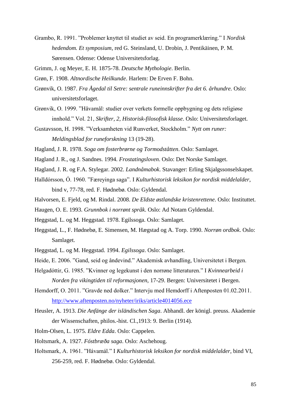- Grambo, R. 1991. "Problemer knyttet til studiet av seid. En programerklæring." I *Nordisk hedendom. Et symposium*, red G. Steinsland, U. Drobin, J. Pentikäinen, P. M. Sørensen. Odense: Odense Universitetsforlag.
- Grimm, J. og Meyer, E. H. 1875-78. *Deutsche Mythologie*. Berlin.
- Grøn, F. 1908. *Altnordische Heilkunde*. Harlem: De Erven F. Bohn.
- Grønvik, O. 1987. *Fra Ågedal til Setre: sentrale runeinnskrifter fra det 6. århundre.* Oslo: universitetsforlaget.
- Grønvik, O. 1999. "Håvamål: studier over verkets formelle oppbygning og dets religiøse innhold." Vol. 21, *Skrifter, 2, Historisk-filosofisk klasse*. Oslo: Universitetsforlaget.
- Gustavsson, H. 1998. "Verksamheten vid Runverket, Stockholm." *Nytt om runer: Meldingsblad for runeforskning* 13 (19-28).
- Hagland, J. R. 1978. *Soga om fosterbrørne og Tormodståtten*. Oslo: Samlaget.
- Hagland J. R., og J. Sandnes. 1994. *Frostatingsloven*. Oslo: Det Norske Samlaget.
- Hagland, J. R. og F.A. Stylegar. 2002. *Landnåmabok*. Stavanger: Erling Skjalgssonselskapet.
- Halldórsson, Ó. 1960. "Færeyinga saga". I *Kulturhistorisk leksikon for nordisk middelalder*, bind v, 77-78, red. F. Hødnebø. Oslo: Gyldendal.
- Halvorsen, E. Fjeld, og M. Rindal. 2008. *De Eldste østlandske kristenrettene*. Oslo: Instituttet.
- Haugen, O. E. 1993. *Grunnbok i norrønt språk*. Oslo: Ad Notam Gyldendal.
- Heggstad, L. og M. Heggstad. 1978. Egilssoga. Oslo: Samlaget.
- Heggstad, L., F. Hødnebø, E. Simensen, M. Hægstad og A. Torp. 1990. *Norrøn ordbok*. Oslo: Samlaget.
- Heggstad, L. og M. Heggstad. 1994. *Egilssoga*. Oslo: Samlaget.
- Heide, E. 2006. "Gand, seid og åndevind." Akademisk avhandling, Universitetet i Bergen.
- Helgadóttir, G. 1985. "Kvinner og legekunst i den norrøne litteraturen." I *Kvinnearbeid i Norden fra vikingtiden til reformasjonen*, 17-29. Bergen: Universitetet i Bergen.
- Hemdorff, O. 2011. "Gravde ned dolker." Intervju med Hemdorff i Aftenposten 01.02.2011. <http://www.aftenposten.no/nyheter/iriks/article4014056.ece>
- Heusler, A. 1913. *Die Anfänge der isländischen Saga*. Abhandl. der königl. preuss. Akademie der Wissenschaften, philos.-hist. Cl.,1913: 9. Berlin (1914).
- Holm-Olsen, L. 1975. *Eldre Edda*. Oslo: Cappelen.
- Holtsmark, A. 1927. *Fóstbræða saga*. Oslo: Aschehoug.
- Holtsmark, A. 1961. "Hávamál." I *Kulturhistorisk leksikon for nordisk middelalder*, bind VI, 256-259, red. F. Hødnebø. Oslo: Gyldendal.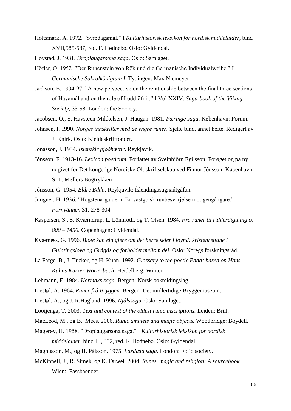- Holtsmark, A. 1972. "Svipdagsmál." I *Kulturhistorisk leksikon for nordisk middelalder*, bind XVII,585-587, red. F. Hødnebø. Oslo: Gyldendal.
- Hovstad, J. 1931. *Droplaugarsona saga*. Oslo: Samlaget.
- Höfler, O. 1952. "Der Runenstein von Rök und die Germanische Individualweihe." I *Germanische Sakralkönigtum I*. Tybingen: Max Niemeyer.
- Jackson, E. 1994-97. "A new perspective on the relationship between the final three sections of Hávamál and on the role of Loddfáfnir." I Vol XXIV, *Saga-book of the Viking Society,* 33-58. London: the Society.
- Jacobsen, O., S. Havsteen-Mikkelsen, J. Haugan. 1981. *Færinge saga*. København: Forum.
- Johnsen, I. 1990. *Norges innskrifter med de yngre runer.* Sjette bind, annet hefte. Redigert av J. Knirk. Oslo: Kjeldeskriftfondet.

Jonasson, J. 1934. *Islenzkir þjoðhættir*. Reykjavik.

Jónsson, F. 1913-16. *Lexicon poeticum.* Forfattet av Sveinbjörn Egilsson. Forøget og på ny udgivet for Det kongelige Nordiske Oldskriftselskab ved Fínnur Jónsson. København: S. L. Møllers Bogtrykkeri

Jónsson, G. 1954. *Eldre Edda*. Reykjavik: Íslendingasagnaútgáfan.

- Jungner, H. 1936. "Högstena-galdern. En västgötsk runbesvärjelse mot gengångare." *Fornvännen* 31, 278-304.
- Kaspersen, S., S. Kværndrup, L. Lönnroth, og T. Olsen. 1984. *Fra runer til ridderdigtning o. 800 – 1450.* Copenhagen: Gyldendal.
- Kværness, G. 1996. *Blote kan ein gjere om det berre skjer i løynd: kristenrettane i Gulatingslova og Grágás og forholdet mellom dei*. Oslo: Noregs forskningsråd.
- La Farge, B., J. Tucker, og H. Kuhn. 1992. *Glossary to the poetic Edda: based on Hans Kuhns Kurzer Wörterbuch*. Heidelberg: Winter.
- Lehmann, E. 1984. *Kormaks saga*. Bergen: Norsk bokreidingslag.
- Liestøl, A. 1964. *Runer frå Bryggen.* Bergen: Det midlertidige Bryggemuseum.
- Liestøl, A., og J. R.Hagland. 1996. *Njålssoga*. Oslo: Samlaget.
- Looijenga, T. 2003. *Text and context of the oldest runic inscriptions.* Leiden: Brill.
- MacLeod, M., og B. Mees. 2006. *Runic amulets and magic objects.* Woodbridge: Boydell.
- Magerøy, H. 1958. "Droplaugarsona saga." I *Kulturhistorisk leksikon for nordisk middelalder,* bind III, 332, red. F. Hødnebø. Oslo: Gyldendal.
- Magnusson, M., og H. Pálsson. 1975. *Laxdæla saga*. London: Folio society.
- McKinnell, J., R. Simek, og K. Düwel. 2004. *Runes, magic and religion: A sourcebook.* Wien: Fassbaender.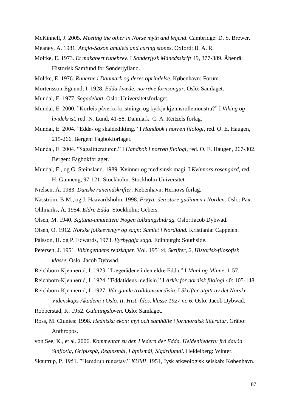- McKinnell, J. 2005. *Meeting the other in Norse myth and legend*. Cambridge: D. S. Brewer.
- Meaney, A. 1981. *Anglo-Saxon amulets and curing stones*. Oxford: B. A. R.
- Moltke, E. 1973. *Et makabert runebrev*. I *Sønderjysk Månedsskrift* 49, 377-389. Åbenrå: Historisk Samfund for Sønderjylland.
- Moltke, E. 1976. *Runerne i Danmark og deres oprindelse.* København: Forum.
- Mortensson-Egnund, I. 1928. *Edda-kvæde: norrøne fornsongar.* Oslo: Samlaget.
- Mundal, E. 1977. *Sagadebatt*. Oslo: Universitetsforlaget.
- Mundal, E. 2000. "Korleis påverka kristninga og kyrkja kjønnsrollemønstra?" I *Viking og hvidekrist*, red. N. Lund, 41-58. Danmark: C. A. Reitzels forlag.
- Mundal, E. 2004. "Edda- og skaldedikting." I *Handbok i norrøn filologi*, red. O. E. Haugen, 215-266. Bergen: Fagbokforlaget.
- Mundal, E. 2004. "Sagalitteraturen." I *Handbok i norrøn filologi*, red. O. E. Haugen, 267-302. Bergen: Fagbokforlaget.
- Mundal, E., og G. Steinsland. 1989. Kvinner og medisinsk magi. I *Kvinnors rosengård*, red. H. Gunneng, 97-121. Stockholm: Stockholm Universitet.
- Nielsen, Å. 1983. *Danske runeindskrifter*. København: Hernovs forlag.
- Näsström, B-M., og J. Haavardsholm. 1998. *Frøya: den store gudinnen i Norden*. Oslo: Pax.
- Ohlmarks, Å. 1954. *Eldre Edda*. Stockholm: Gebers.
- Olsen, M. 1940. *Sigtuna-amuletten: Nogen tolkningsbidrag.* Oslo: Jacob Dybwad.
- Olsen, O. 1912. *Norske folkeeventyr og sagn: Samlet i Nordland.* Kristiania: Cappelen.
- Pálsson, H. og P. Edwards, 1973. *Eyrbyggja saga.* Edinburgh: Southside.
- Petersen, J. 1951. *Vikingetidens redskaper*. Vol. 1951:4, *Skrifter, 2, Historisk-filosofisk klasse.* Oslo: Jacob Dybwad.
- Reichborn-Kjennerud, I. 1923. "Lægerådene i den eldre Edda." I *Maal og Minne*, 1-57.
- Reichborn-Kjennerud, I. 1924. "Eddatidens medisin." I *Arkiv för nordisk filologi* 40: 105-148.
- Reichborn-Kjennerud, I. 1927. *Vår gamle trolldomsmedisin*. I *Skrifter utgitt av det Norske Videnskaps-Akademi i Oslo. II. Hist.-filos. klasse 1927 no 6*. Oslo: Jacob Dybwad.
- Robberstad, K. 1952. *Gulatingsloven*. Oslo: Samlaget.
- Ross, M. Clunies: 1998. *Hedniska ekon: myt och samhälle i fornnordisk litteratur*. Gråbo: Anthropos.
- von See, K., et al. 2006. *Kommentar zu den Liedern der Edda. Heldenliedern: frá dauða Sinfiotla, Grípisspá, Reginsmál, Fáfnismál, Sigdrífumál.* Heidelberg: Winter.
- Skautrup, P. 1951. "Hemdrup runestav." *KUML* 1951, Jysk arkæologisk selskab: København.